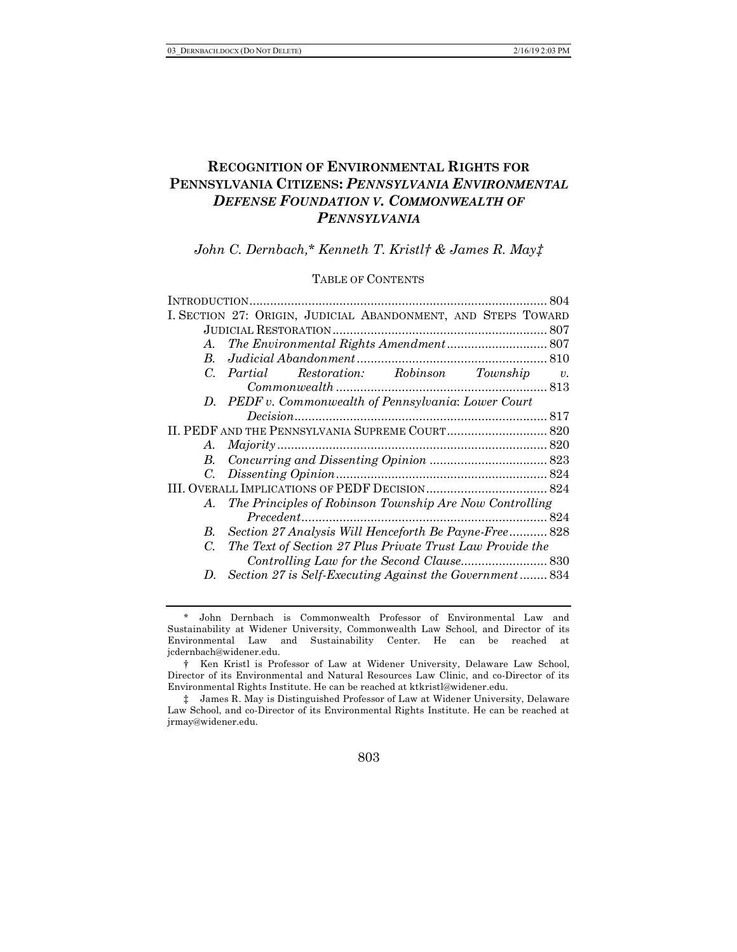# **RECOGNITION OF ENVIRONMENTAL RIGHTS FOR PENNSYLVANIA CITIZENS:** *PENNSYLVANIA ENVIRONMENTAL DEFENSE FOUNDATION V. COMMONWEALTH OF PENNSYLVANIA*

*John C. Dernbach,\* Kenneth T. Kristl† & James R. May‡*

## TABLE OF CONTENTS

|              | 804                                                           |  |  |
|--------------|---------------------------------------------------------------|--|--|
|              | I. SECTION 27: ORIGIN, JUDICIAL ABANDONMENT, AND STEPS TOWARD |  |  |
|              |                                                               |  |  |
| A.           | The Environmental Rights Amendment 807                        |  |  |
|              |                                                               |  |  |
|              | C. Partial Restoration: Robinson Township v.                  |  |  |
|              |                                                               |  |  |
|              | D. PEDF v. Commonwealth of Pennsylvania: Lower Court          |  |  |
|              |                                                               |  |  |
|              |                                                               |  |  |
| A.           |                                                               |  |  |
|              |                                                               |  |  |
|              |                                                               |  |  |
|              |                                                               |  |  |
| A.           | The Principles of Robinson Township Are Now Controlling       |  |  |
|              |                                                               |  |  |
| $B_{\cdot}$  | Section 27 Analysis Will Henceforth Be Payne-Free 828         |  |  |
| C.           | The Text of Section 27 Plus Private Trust Law Provide the     |  |  |
|              |                                                               |  |  |
| $\mathbf{D}$ | Section 27 is Self-Executing Against the Government 834       |  |  |
|              |                                                               |  |  |

803

<sup>\*</sup> John Dernbach is Commonwealth Professor of Environmental Law and Sustainability at Widener University, Commonwealth Law School, and Director of its Environmental Law and Sustainability Center. He can be reached at jcdernbach@widener.edu.

<sup>†</sup> Ken Kristl is Professor of Law at Widener University, Delaware Law School, Director of its Environmental and Natural Resources Law Clinic, and co-Director of its Environmental Rights Institute. He can be reached at ktkristl@widener.edu.

<sup>‡</sup> James R. May is Distinguished Professor of Law at Widener University, Delaware Law School, and co-Director of its Environmental Rights Institute. He can be reached at jrmay@widener.edu.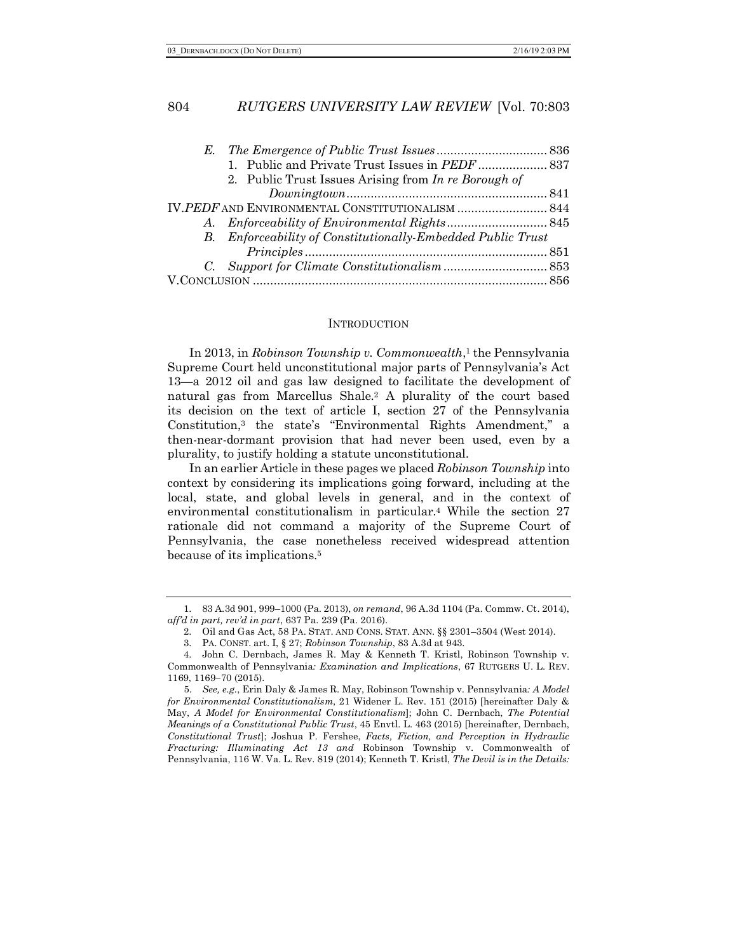|  | 1. Public and Private Trust Issues in PEDF  837             |  |
|--|-------------------------------------------------------------|--|
|  | 2. Public Trust Issues Arising from In re Borough of        |  |
|  |                                                             |  |
|  | IV.PEDF AND ENVIRONMENTAL CONSTITUTIONALISM  844            |  |
|  |                                                             |  |
|  | B. Enforceability of Constitutionally-Embedded Public Trust |  |
|  |                                                             |  |
|  |                                                             |  |
|  |                                                             |  |

#### **INTRODUCTION**

In 2013, in *Robinson Township v. Commonwealth*,<sup>1</sup> the Pennsylvania Supreme Court held unconstitutional major parts of Pennsylvania's Act 13—a 2012 oil and gas law designed to facilitate the development of natural gas from Marcellus Shale.2 A plurality of the court based its decision on the text of article I, section 27 of the Pennsylvania Constitution,3 the state's "Environmental Rights Amendment," a then-near-dormant provision that had never been used, even by a plurality, to justify holding a statute unconstitutional.

In an earlier Article in these pages we placed *Robinson Township* into context by considering its implications going forward, including at the local, state, and global levels in general, and in the context of environmental constitutionalism in particular.4 While the section 27 rationale did not command a majority of the Supreme Court of Pennsylvania, the case nonetheless received widespread attention because of its implications.5

<sup>1.</sup> 83 A.3d 901, 999–1000 (Pa. 2013), *on remand*, 96 A.3d 1104 (Pa. Commw. Ct. 2014), *aff'd in part, rev'd in part*, 637 Pa. 239 (Pa. 2016).

<sup>2.</sup> Oil and Gas Act, 58 PA. STAT. AND CONS. STAT. ANN. §§ 2301–3504 (West 2014).

<sup>3.</sup> PA. CONST. art. I, § 27; *Robinson Township*, 83 A.3d at 943.

<sup>4.</sup> John C. Dernbach, James R. May & Kenneth T. Kristl, Robinson Township v. Commonwealth of Pennsylvania*: Examination and Implications*, 67 RUTGERS U. L. REV. 1169, 1169-70 (2015).

<sup>5.</sup> *See, e.g.*, Erin Daly & James R. May, Robinson Township v. Pennsylvania*: A Model for Environmental Constitutionalism*, 21 Widener L. Rev. 151 (2015) [hereinafter Daly & May, *A Model for Environmental Constitutionalism*]; John C. Dernbach, *The Potential Meanings of a Constitutional Public Trust*, 45 Envtl. L. 463 (2015) [hereinafter, Dernbach, *Constitutional Trust*]; Joshua P. Fershee, *Facts, Fiction, and Perception in Hydraulic Fracturing: Illuminating Act 13 and* Robinson Township v. Commonwealth of Pennsylvania, 116 W. Va. L. Rev. 819 (2014); Kenneth T. Kristl, *The Devil is in the Details:*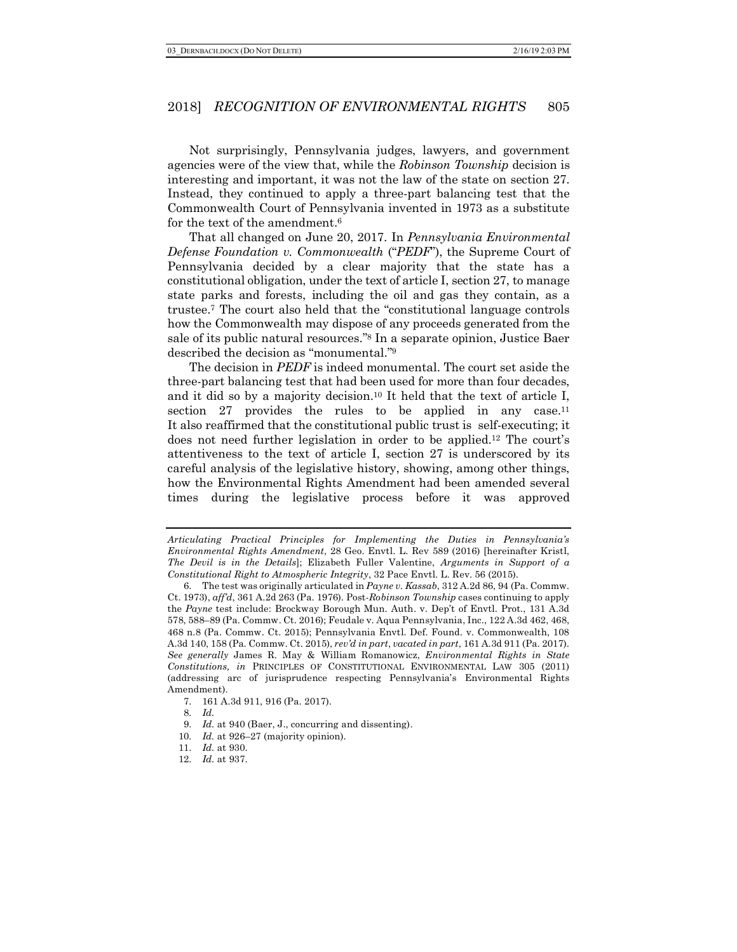Not surprisingly, Pennsylvania judges, lawyers, and government agencies were of the view that, while the *Robinson Township* decision is interesting and important, it was not the law of the state on section 27. Instead, they continued to apply a three-part balancing test that the Commonwealth Court of Pennsylvania invented in 1973 as a substitute for the text of the amendment.6

That all changed on June 20, 2017. In *Pennsylvania Environmental Defense Foundation v. Commonwealth* ("*PEDF*"), the Supreme Court of Pennsylvania decided by a clear majority that the state has a constitutional obligation, under the text of article I, section 27, to manage state parks and forests, including the oil and gas they contain, as a trustee.7 The court also held that the "constitutional language controls how the Commonwealth may dispose of any proceeds generated from the sale of its public natural resources."8 In a separate opinion, Justice Baer described the decision as "monumental."9

The decision in *PEDF* is indeed monumental. The court set aside the three-part balancing test that had been used for more than four decades, and it did so by a majority decision.10 It held that the text of article I, section 27 provides the rules to be applied in any case.<sup>11</sup> It also reaffirmed that the constitutional public trust is self-executing; it does not need further legislation in order to be applied.12 The court's attentiveness to the text of article I, section 27 is underscored by its careful analysis of the legislative history, showing, among other things, how the Environmental Rights Amendment had been amended several times during the legislative process before it was approved

10. *Id.* at 926–27 (majority opinion).

*Articulating Practical Principles for Implementing the Duties in Pennsylvania's Environmental Rights Amendment*, 28 Geo. Envtl. L. Rev 589 (2016) [hereinafter Kristl, *The Devil is in the Details*]; Elizabeth Fuller Valentine, *Arguments in Support of a Constitutional Right to Atmospheric Integrity*, 32 Pace Envtl. L. Rev. 56 (2015).

<sup>6.</sup> The test was originally articulated in *Payne v. Kassab*, 312 A.2d 86, 94 (Pa. Commw. Ct. 1973), *aff'd*, 361 A.2d 263 (Pa. 1976). Post-*Robinson Township* cases continuing to apply the *Payne* test include: Brockway Borough Mun. Auth. v. Dep't of Envtl. Prot., 131 A.3d 578, 588–89 (Pa. Commw. Ct. 2016); Feudale v. Aqua Pennsylvania, Inc., 122 A.3d 462, 468, 468 n.8 (Pa. Commw. Ct. 2015); Pennsylvania Envtl. Def. Found. v. Commonwealth, 108 A.3d 140, 158 (Pa. Commw. Ct. 2015), *rev'd in part*, *vacated in part*, 161 A.3d 911 (Pa. 2017). *See generally* James R. May & William Romanowicz, *Environmental Rights in State Constitutions, in* PRINCIPLES OF CONSTITUTIONAL ENVIRONMENTAL LAW 305 (2011) (addressing arc of jurisprudence respecting Pennsylvania's Environmental Rights Amendment).

<sup>7.</sup> 161 A.3d 911, 916 (Pa. 2017).

<sup>8.</sup> *Id.*

<sup>9.</sup> *Id.* at 940 (Baer, J., concurring and dissenting).

<sup>11.</sup> *Id.* at 930.

<sup>12.</sup> *Id.* at 937.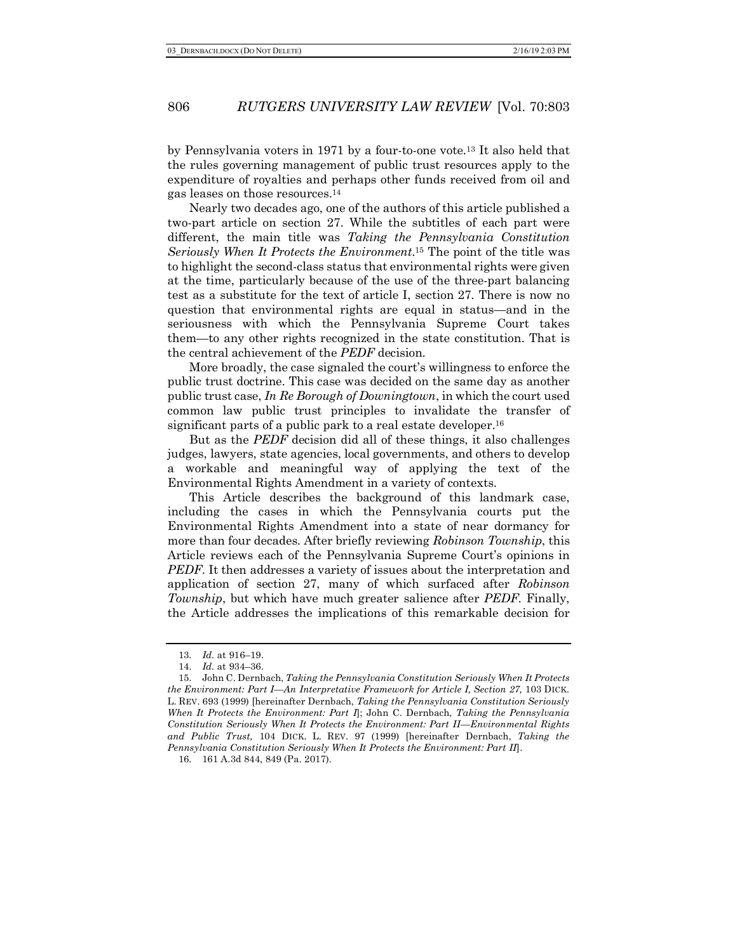by Pennsylvania voters in 1971 by a four-to-one vote.13 It also held that the rules governing management of public trust resources apply to the expenditure of royalties and perhaps other funds received from oil and gas leases on those resources.14

Nearly two decades ago, one of the authors of this article published a two-part article on section 27. While the subtitles of each part were different, the main title was *Taking the Pennsylvania Constitution Seriously When It Protects the Environment*.15 The point of the title was to highlight the second-class status that environmental rights were given at the time, particularly because of the use of the three-part balancing test as a substitute for the text of article I, section 27. There is now no question that environmental rights are equal in status—and in the seriousness with which the Pennsylvania Supreme Court takes them—to any other rights recognized in the state constitution. That is the central achievement of the *PEDF* decision.

More broadly, the case signaled the court's willingness to enforce the public trust doctrine. This case was decided on the same day as another public trust case, *In Re Borough of Downingtown*, in which the court used common law public trust principles to invalidate the transfer of significant parts of a public park to a real estate developer.<sup>16</sup>

But as the *PEDF* decision did all of these things, it also challenges judges, lawyers, state agencies, local governments, and others to develop a workable and meaningful way of applying the text of the Environmental Rights Amendment in a variety of contexts.

This Article describes the background of this landmark case, including the cases in which the Pennsylvania courts put the Environmental Rights Amendment into a state of near dormancy for more than four decades. After briefly reviewing *Robinson Township*, this Article reviews each of the Pennsylvania Supreme Court's opinions in *PEDF*. It then addresses a variety of issues about the interpretation and application of section 27, many of which surfaced after *Robinson Township*, but which have much greater salience after *PEDF*. Finally, the Article addresses the implications of this remarkable decision for

<sup>13.</sup> *Id.* at 916–19.

<sup>14.</sup> *Id.* at 934–36.

<sup>15.</sup> John C. Dernbach, *Taking the Pennsylvania Constitution Seriously When It Protects the Environment: Part I—An Interpretative Framework for Article I, Section 27, 103 DICK.* L. REV. 693 (1999) [hereinafter Dernbach, *Taking the Pennsylvania Constitution Seriously When It Protects the Environment: Part I*]; John C. Dernbach, *Taking the Pennsylvania Constitution Seriously When It Protects the Environment: Part II—Environmental Rights and Public Trust,* 104 DICK. L. REV. 97 (1999) [hereinafter Dernbach, *Taking the Pennsylvania Constitution Seriously When It Protects the Environment: Part II*].

<sup>16.</sup> 161 A.3d 844, 849 (Pa. 2017).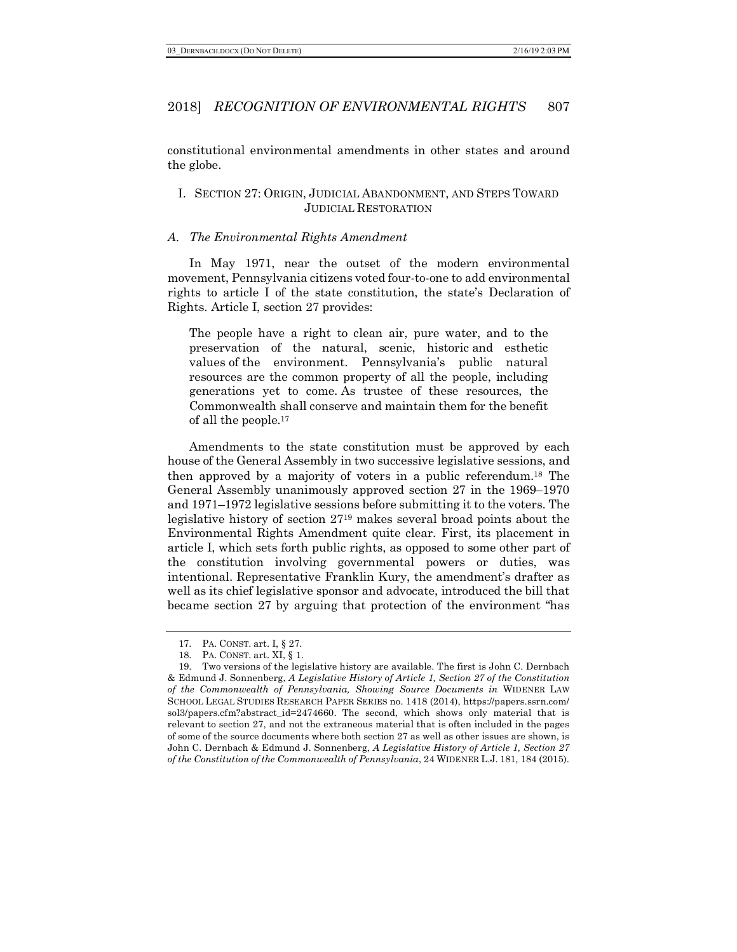constitutional environmental amendments in other states and around the globe.

## I. SECTION 27: ORIGIN, JUDICIAL ABANDONMENT, AND STEPS TOWARD JUDICIAL RESTORATION

#### *A. The Environmental Rights Amendment*

In May 1971, near the outset of the modern environmental movement, Pennsylvania citizens voted four-to-one to add environmental rights to article I of the state constitution, the state's Declaration of Rights. Article I, section 27 provides:

The people have a right to clean air, pure water, and to the preservation of the natural, scenic, historic and esthetic values of the environment. Pennsylvania's public natural resources are the common property of all the people, including generations yet to come. As trustee of these resources, the Commonwealth shall conserve and maintain them for the benefit of all the people.17

Amendments to the state constitution must be approved by each house of the General Assembly in two successive legislative sessions, and then approved by a majority of voters in a public referendum.18 The General Assembly unanimously approved section 27 in the 1969–1970 and 1971–1972 legislative sessions before submitting it to the voters. The legislative history of section 2719 makes several broad points about the Environmental Rights Amendment quite clear. First, its placement in article I, which sets forth public rights, as opposed to some other part of the constitution involving governmental powers or duties, was intentional. Representative Franklin Kury, the amendment's drafter as well as its chief legislative sponsor and advocate, introduced the bill that became section 27 by arguing that protection of the environment "has

<sup>17.</sup> PA. CONST. art. I, § 27.

<sup>18.</sup> PA. CONST. art. XI, § 1.

<sup>19.</sup> Two versions of the legislative history are available. The first is John C. Dernbach & Edmund J. Sonnenberg, *A Legislative History of Article 1, Section 27 of the Constitution of the Commonwealth of Pennsylvania, Showing Source Documents in* WIDENER LAW SCHOOL LEGAL STUDIES RESEARCH PAPER SERIES no. 1418 (2014), https://papers.ssrn.com/ sol3/papers.cfm?abstract\_id=2474660. The second, which shows only material that is relevant to section 27, and not the extraneous material that is often included in the pages of some of the source documents where both section 27 as well as other issues are shown, is John C. Dernbach & Edmund J. Sonnenberg, *A Legislative History of Article 1, Section 27 of the Constitution of the Commonwealth of Pennsylvania*, 24 WIDENER L.J. 181, 184 (2015).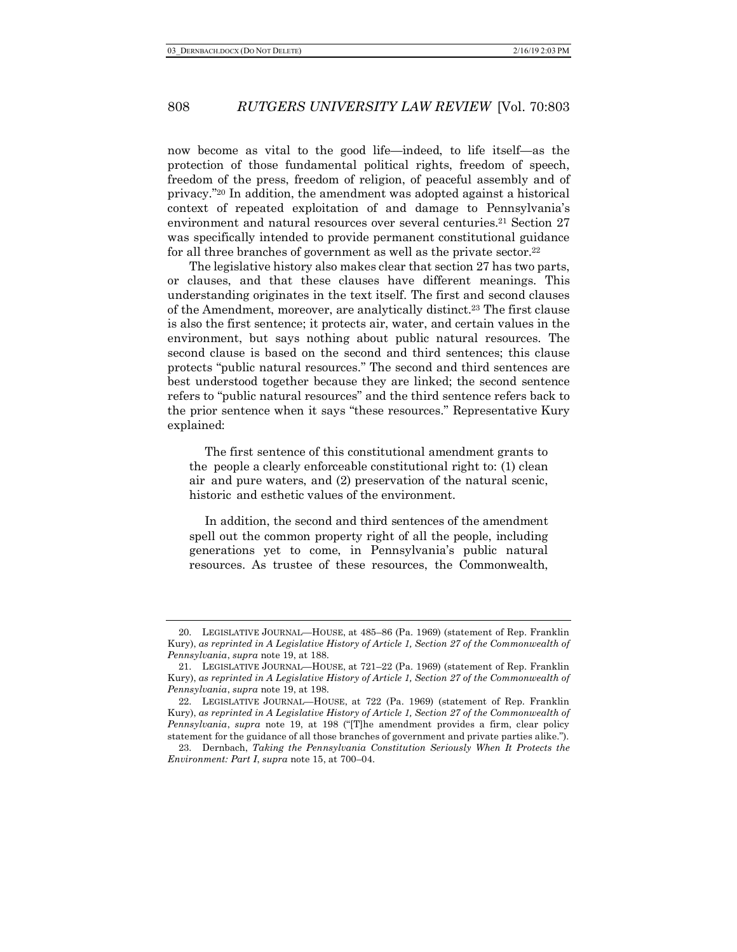now become as vital to the good life—indeed, to life itself—as the protection of those fundamental political rights, freedom of speech, freedom of the press, freedom of religion, of peaceful assembly and of privacy."20 In addition, the amendment was adopted against a historical context of repeated exploitation of and damage to Pennsylvania's environment and natural resources over several centuries.<sup>21</sup> Section 27 was specifically intended to provide permanent constitutional guidance for all three branches of government as well as the private sector.<sup>22</sup>

The legislative history also makes clear that section 27 has two parts, or clauses, and that these clauses have different meanings. This understanding originates in the text itself. The first and second clauses of the Amendment, moreover, are analytically distinct.23 The first clause is also the first sentence; it protects air, water, and certain values in the environment, but says nothing about public natural resources. The second clause is based on the second and third sentences; this clause protects "public natural resources." The second and third sentences are best understood together because they are linked; the second sentence refers to "public natural resources" and the third sentence refers back to the prior sentence when it says "these resources." Representative Kury explained:

The first sentence of this constitutional amendment grants to the people a clearly enforceable constitutional right to: (1) clean air and pure waters, and (2) preservation of the natural scenic, historic and esthetic values of the environment.

In addition, the second and third sentences of the amendment spell out the common property right of all the people, including generations yet to come, in Pennsylvania's public natural resources. As trustee of these resources, the Commonwealth,

<sup>20.</sup> LEGISLATIVE JOURNAL—HOUSE, at 485–86 (Pa. 1969) (statement of Rep. Franklin Kury), *as reprinted in A Legislative History of Article 1, Section 27 of the Commonwealth of Pennsylvania*, *supra* note 19, at 188.

<sup>21.</sup> LEGISLATIVE JOURNAL—HOUSE, at 721–22 (Pa. 1969) (statement of Rep. Franklin Kury), *as reprinted in A Legislative History of Article 1, Section 27 of the Commonwealth of Pennsylvania*, *supra* note 19, at 198.

<sup>22.</sup> LEGISLATIVE JOURNAL—HOUSE, at 722 (Pa. 1969) (statement of Rep. Franklin Kury), *as reprinted in A Legislative History of Article 1, Section 27 of the Commonwealth of Pennsylvania*, *supra* note 19, at 198 ("[T]he amendment provides a firm, clear policy statement for the guidance of all those branches of government and private parties alike.").

<sup>23.</sup> Dernbach, *Taking the Pennsylvania Constitution Seriously When It Protects the Environment: Part I*, *supra* note 15, at 700–04.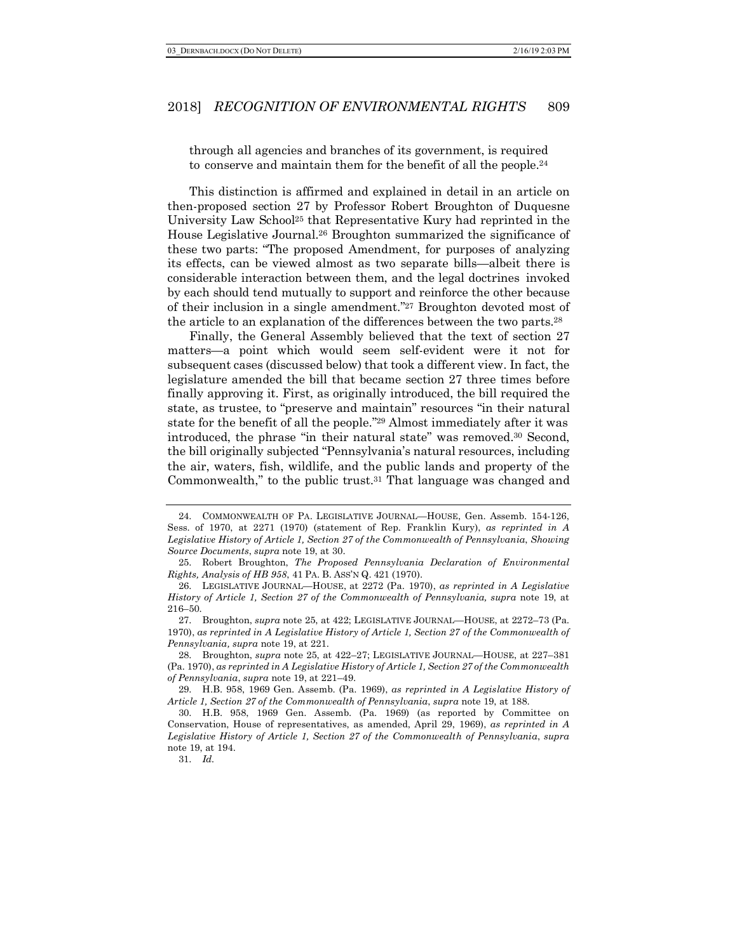through all agencies and branches of its government, is required to conserve and maintain them for the benefit of all the people.24

This distinction is affirmed and explained in detail in an article on then-proposed section 27 by Professor Robert Broughton of Duquesne University Law School25 that Representative Kury had reprinted in the House Legislative Journal.26 Broughton summarized the significance of these two parts: "The proposed Amendment, for purposes of analyzing its effects, can be viewed almost as two separate bills—albeit there is considerable interaction between them, and the legal doctrines invoked by each should tend mutually to support and reinforce the other because of their inclusion in a single amendment."27 Broughton devoted most of the article to an explanation of the differences between the two parts.28

Finally, the General Assembly believed that the text of section 27 matters—a point which would seem self-evident were it not for subsequent cases (discussed below) that took a different view. In fact, the legislature amended the bill that became section 27 three times before finally approving it. First, as originally introduced, the bill required the state, as trustee, to "preserve and maintain" resources "in their natural state for the benefit of all the people."29 Almost immediately after it was introduced, the phrase "in their natural state" was removed.30 Second, the bill originally subjected "Pennsylvania's natural resources, including the air, waters, fish, wildlife, and the public lands and property of the Commonwealth," to the public trust.31 That language was changed and

31. *Id.*

<sup>24.</sup> COMMONWEALTH OF PA. LEGISLATIVE JOURNAL—HOUSE, Gen. Assemb. 154-126, Sess. of 1970, at 2271 (1970) (statement of Rep. Franklin Kury), *as reprinted in A Legislative History of Article 1, Section 27 of the Commonwealth of Pennsylvania*, *Showing Source Documents*, *supra* note 19, at 30.

<sup>25.</sup> Robert Broughton, *The Proposed Pennsylvania Declaration of Environmental Rights, Analysis of HB 958*, 41 PA. B. ASS'N Q. 421 (1970).

<sup>26.</sup> LEGISLATIVE JOURNAL—HOUSE, at 2272 (Pa. 1970), *as reprinted in A Legislative History of Article 1, Section 27 of the Commonwealth of Pennsylvania, supra* note 19, at 216–50.

<sup>27.</sup> Broughton, *supra* note 25, at 422; LEGISLATIVE JOURNAL—HOUSE, at 2272–73 (Pa. 1970), *as reprinted in A Legislative History of Article 1, Section 27 of the Commonwealth of Pennsylvania, supra* note 19, at 221.

<sup>28.</sup> Broughton, *supra* note 25, at 422–27; LEGISLATIVE JOURNAL—HOUSE, at 227–381 (Pa. 1970), *as reprinted in A Legislative History of Article 1, Section 27 of the Commonwealth of Pennsylvania*, *supra* note 19, at 221–49.

<sup>29.</sup> H.B. 958, 1969 Gen. Assemb. (Pa. 1969), *as reprinted in A Legislative History of Article 1, Section 27 of the Commonwealth of Pennsylvania*, *supra* note 19, at 188.

<sup>30.</sup> H.B. 958, 1969 Gen. Assemb. (Pa. 1969) (as reported by Committee on Conservation, House of representatives, as amended, April 29, 1969), *as reprinted in A Legislative History of Article 1, Section 27 of the Commonwealth of Pennsylvania*, *supra* note 19, at 194.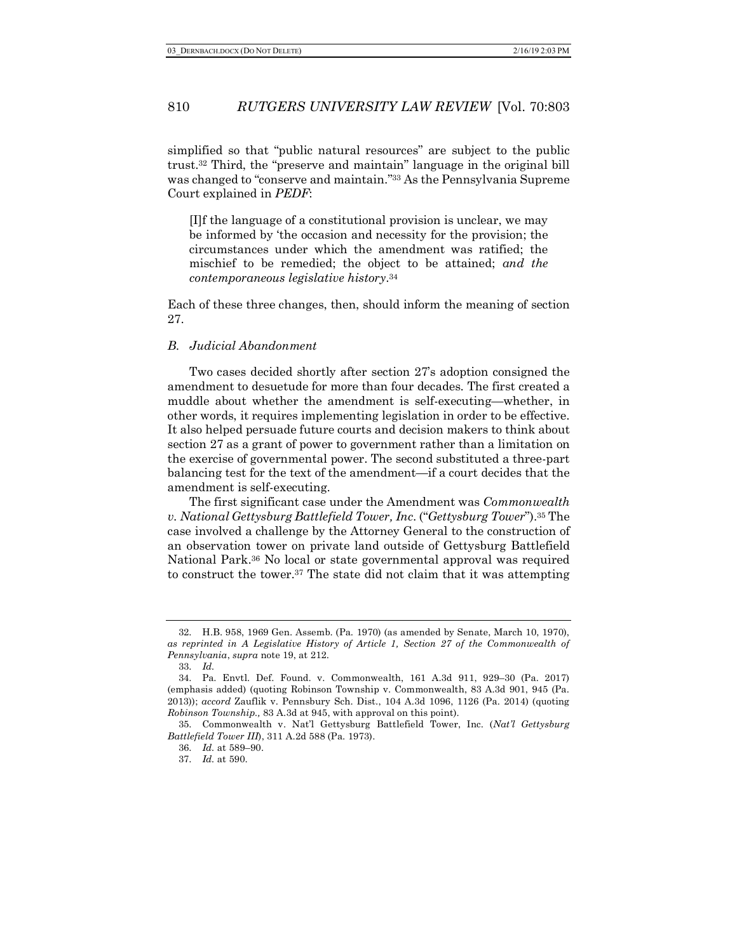simplified so that "public natural resources" are subject to the public trust.32 Third, the "preserve and maintain" language in the original bill was changed to "conserve and maintain."33 As the Pennsylvania Supreme Court explained in *PEDF*:

[I]f the language of a constitutional provision is unclear, we may be informed by 'the occasion and necessity for the provision; the circumstances under which the amendment was ratified; the mischief to be remedied; the object to be attained; *and the contemporaneous legislative history*.34

Each of these three changes, then, should inform the meaning of section 27.

#### *B. Judicial Abandonment*

Two cases decided shortly after section 27's adoption consigned the amendment to desuetude for more than four decades. The first created a muddle about whether the amendment is self-executing—whether, in other words, it requires implementing legislation in order to be effective. It also helped persuade future courts and decision makers to think about section 27 as a grant of power to government rather than a limitation on the exercise of governmental power. The second substituted a three-part balancing test for the text of the amendment—if a court decides that the amendment is self-executing.

The first significant case under the Amendment was *Commonwealth v. National Gettysburg Battlefield Tower, Inc*. ("*Gettysburg Tower*").35 The case involved a challenge by the Attorney General to the construction of an observation tower on private land outside of Gettysburg Battlefield National Park.36 No local or state governmental approval was required to construct the tower.37 The state did not claim that it was attempting

<sup>32.</sup> H.B. 958, 1969 Gen. Assemb. (Pa. 1970) (as amended by Senate, March 10, 1970), *as reprinted in A Legislative History of Article 1, Section 27 of the Commonwealth of Pennsylvania*, *supra* note 19, at 212.

<sup>33.</sup> *Id.*

<sup>34.</sup> Pa. Envtl. Def. Found. v. Commonwealth, 161 A.3d 911, 929–30 (Pa. 2017) (emphasis added) (quoting Robinson Township v. Commonwealth, 83 A.3d 901, 945 (Pa. 2013)); *accord* Zauflik v. Pennsbury Sch. Dist., 104 A.3d 1096, 1126 (Pa. 2014) (quoting *Robinson Township.,* 83 A.3d at 945, with approval on this point).

<sup>35.</sup> Commonwealth v. Nat'l Gettysburg Battlefield Tower, Inc. (*Nat'l Gettysburg Battlefield Tower III*), 311 A.2d 588 (Pa. 1973).

<sup>36.</sup> *Id.* at 589–90.

<sup>37.</sup> *Id.* at 590.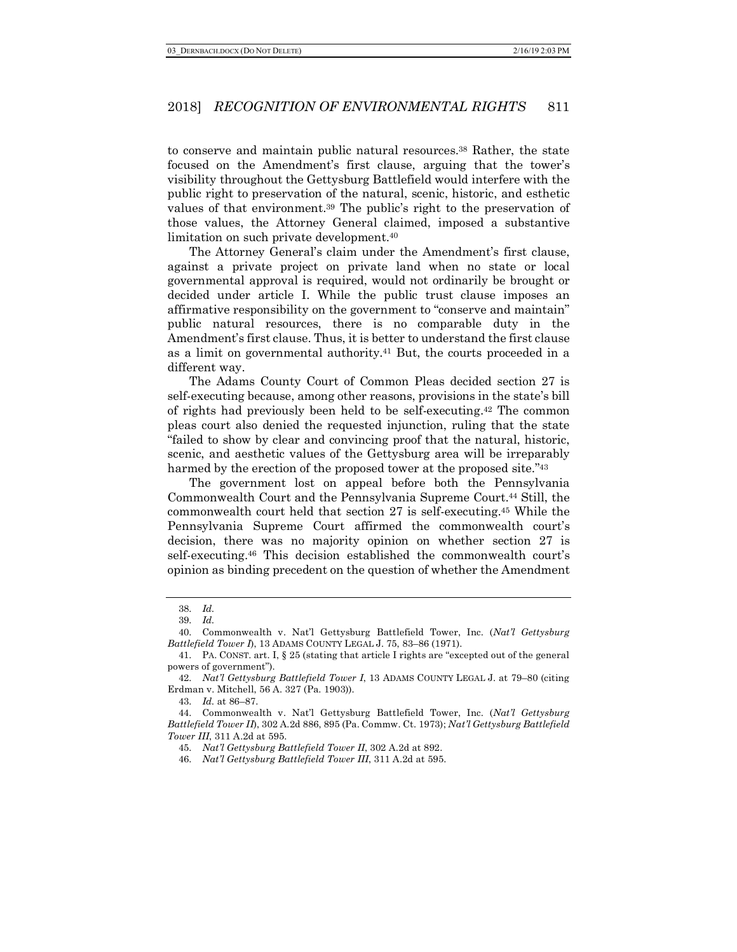to conserve and maintain public natural resources.38 Rather, the state focused on the Amendment's first clause, arguing that the tower's visibility throughout the Gettysburg Battlefield would interfere with the public right to preservation of the natural, scenic, historic, and esthetic values of that environment.39 The public's right to the preservation of those values, the Attorney General claimed, imposed a substantive limitation on such private development.40

The Attorney General's claim under the Amendment's first clause, against a private project on private land when no state or local governmental approval is required, would not ordinarily be brought or decided under article I. While the public trust clause imposes an affirmative responsibility on the government to "conserve and maintain" public natural resources, there is no comparable duty in the Amendment's first clause. Thus, it is better to understand the first clause as a limit on governmental authority.41 But, the courts proceeded in a different way.

The Adams County Court of Common Pleas decided section 27 is self-executing because, among other reasons, provisions in the state's bill of rights had previously been held to be self-executing.42 The common pleas court also denied the requested injunction, ruling that the state "failed to show by clear and convincing proof that the natural, historic, scenic, and aesthetic values of the Gettysburg area will be irreparably harmed by the erection of the proposed tower at the proposed site."<sup>43</sup>

The government lost on appeal before both the Pennsylvania Commonwealth Court and the Pennsylvania Supreme Court.44 Still, the commonwealth court held that section 27 is self-executing.45 While the Pennsylvania Supreme Court affirmed the commonwealth court's decision, there was no majority opinion on whether section 27 is self-executing.46 This decision established the commonwealth court's opinion as binding precedent on the question of whether the Amendment

43. *Id.* at 86–87.

<sup>38.</sup> *Id.*

<sup>39.</sup> *Id.*

<sup>40.</sup> Commonwealth v. Nat'l Gettysburg Battlefield Tower, Inc. (*Nat'l Gettysburg Battlefield Tower I*), 13 ADAMS COUNTY LEGAL J. 75, 83–86 (1971).

<sup>41.</sup> PA. CONST. art. I, § 25 (stating that article I rights are "excepted out of the general powers of government").

<sup>42.</sup> *Nat'l Gettysburg Battlefield Tower I*, 13 ADAMS COUNTY LEGAL J. at 79–80 (citing Erdman v. Mitchell, 56 A. 327 (Pa. 1903)).

<sup>44.</sup> Commonwealth v. Nat'l Gettysburg Battlefield Tower, Inc. (*Nat'l Gettysburg Battlefield Tower II*), 302 A.2d 886, 895 (Pa. Commw. Ct. 1973); *Nat'l Gettysburg Battlefield Tower III*, 311 A.2d at 595.

<sup>45.</sup> *Nat'l Gettysburg Battlefield Tower II*, 302 A.2d at 892.

<sup>46.</sup> *Nat'l Gettysburg Battlefield Tower III*, 311 A.2d at 595.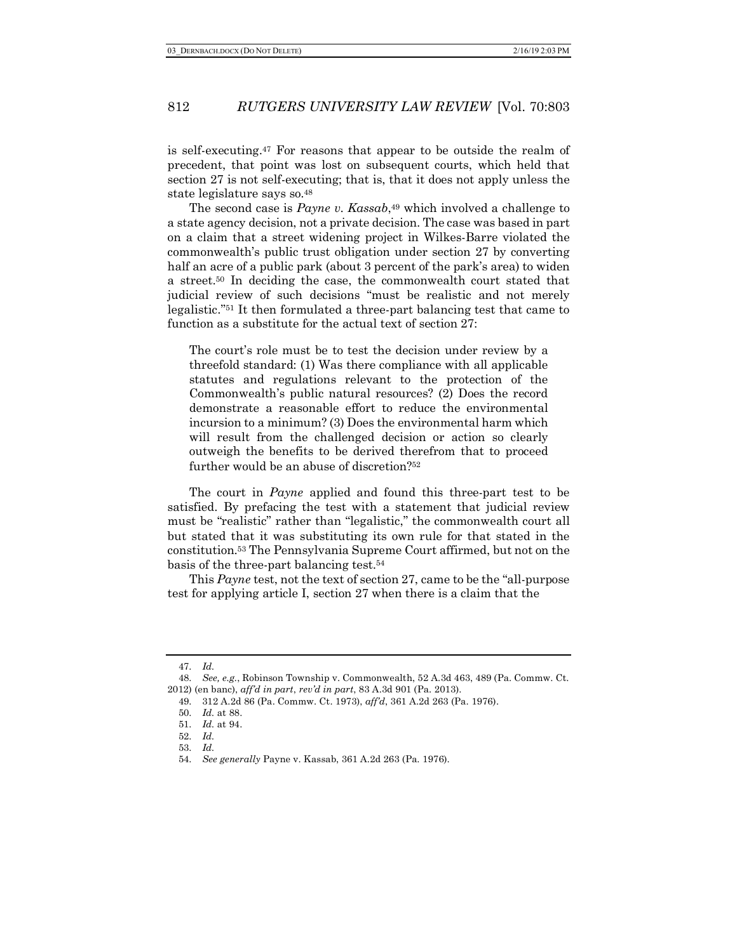is self-executing.47 For reasons that appear to be outside the realm of precedent, that point was lost on subsequent courts, which held that section 27 is not self-executing; that is, that it does not apply unless the state legislature says so.48

The second case is *Payne v. Kassab*,<sup>49</sup> which involved a challenge to a state agency decision, not a private decision. The case was based in part on a claim that a street widening project in Wilkes-Barre violated the commonwealth's public trust obligation under section 27 by converting half an acre of a public park (about 3 percent of the park's area) to widen a street.50 In deciding the case, the commonwealth court stated that judicial review of such decisions "must be realistic and not merely legalistic."51 It then formulated a three-part balancing test that came to function as a substitute for the actual text of section 27:

The court's role must be to test the decision under review by a threefold standard: (1) Was there compliance with all applicable statutes and regulations relevant to the protection of the Commonwealth's public natural resources? (2) Does the record demonstrate a reasonable effort to reduce the environmental incursion to a minimum? (3) Does the environmental harm which will result from the challenged decision or action so clearly outweigh the benefits to be derived therefrom that to proceed further would be an abuse of discretion?52

The court in *Payne* applied and found this three-part test to be satisfied. By prefacing the test with a statement that judicial review must be "realistic" rather than "legalistic," the commonwealth court all but stated that it was substituting its own rule for that stated in the constitution.53 The Pennsylvania Supreme Court affirmed, but not on the basis of the three-part balancing test.54

This *Payne* test, not the text of section 27, came to be the "all-purpose test for applying article I, section 27 when there is a claim that the

<sup>47.</sup> *Id.*

<sup>48.</sup> *See, e.g.*, Robinson Township v. Commonwealth, 52 A.3d 463, 489 (Pa. Commw. Ct. 2012) (en banc), *aff'd in part*, *rev'd in part*, 83 A.3d 901 (Pa. 2013).

<sup>49.</sup> 312 A.2d 86 (Pa. Commw. Ct. 1973), *aff'd*, 361 A.2d 263 (Pa. 1976).

<sup>50.</sup> *Id.* at 88.

<sup>51.</sup> *Id.* at 94.

<sup>52.</sup> *Id.*

<sup>53.</sup> *Id.*

<sup>54.</sup> *See generally* Payne v. Kassab, 361 A.2d 263 (Pa. 1976).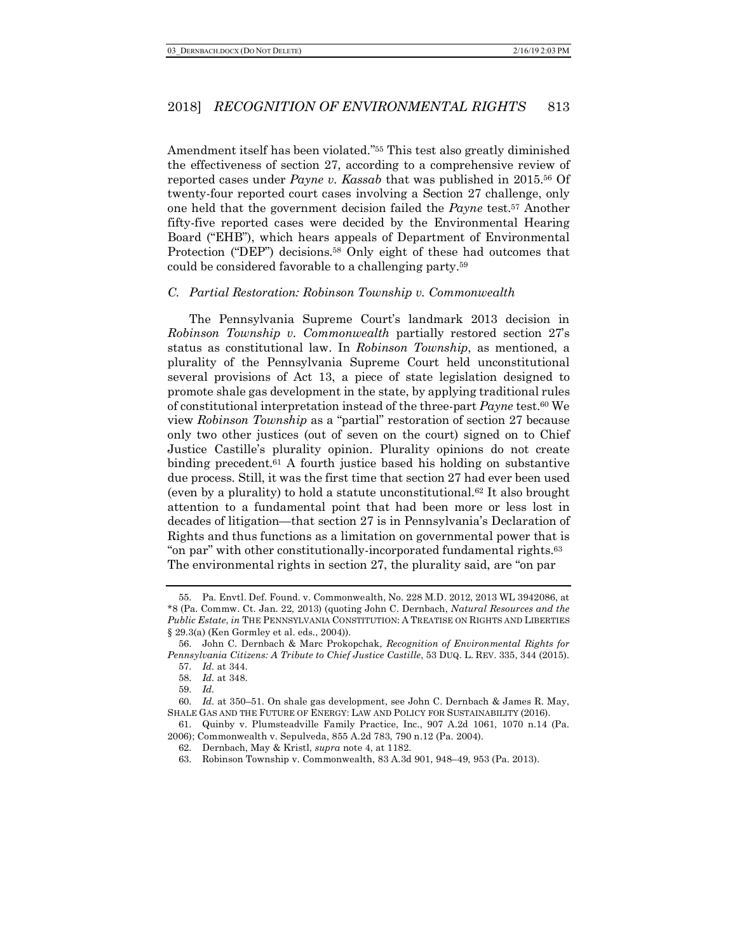Amendment itself has been violated."55 This test also greatly diminished the effectiveness of section 27, according to a comprehensive review of reported cases under *Payne v. Kassab* that was published in 2015.56 Of twenty-four reported court cases involving a Section 27 challenge, only one held that the government decision failed the *Payne* test.57 Another fifty-five reported cases were decided by the Environmental Hearing Board ("EHB"), which hears appeals of Department of Environmental Protection ("DEP") decisions.<sup>58</sup> Only eight of these had outcomes that could be considered favorable to a challenging party.59

#### *C. Partial Restoration: Robinson Township v. Commonwealth*

The Pennsylvania Supreme Court's landmark 2013 decision in *Robinson Township v. Commonwealth* partially restored section 27's status as constitutional law. In *Robinson Township*, as mentioned, a plurality of the Pennsylvania Supreme Court held unconstitutional several provisions of Act 13, a piece of state legislation designed to promote shale gas development in the state, by applying traditional rules of constitutional interpretation instead of the three-part *Payne* test.60 We view *Robinson Township* as a "partial" restoration of section 27 because only two other justices (out of seven on the court) signed on to Chief Justice Castille's plurality opinion. Plurality opinions do not create binding precedent.<sup> $61$ </sup> A fourth justice based his holding on substantive due process. Still, it was the first time that section 27 had ever been used (even by a plurality) to hold a statute unconstitutional.62 It also brought attention to a fundamental point that had been more or less lost in decades of litigation—that section 27 is in Pennsylvania's Declaration of Rights and thus functions as a limitation on governmental power that is "on par" with other constitutionally-incorporated fundamental rights.63 The environmental rights in section 27, the plurality said, are "on par

<sup>55.</sup> Pa. Envtl. Def. Found. v. Commonwealth, No. 228 M.D. 2012, 2013 WL 3942086, at \*8 (Pa. Commw. Ct. Jan. 22, 2013) (quoting John C. Dernbach, *Natural Resources and the Public Estate*, *in* THE PENNSYLVANIA CONSTITUTION: A TREATISE ON RIGHTS AND LIBERTIES § 29.3(a) (Ken Gormley et al. eds., 2004)).

<sup>56.</sup> John C. Dernbach & Marc Prokopchak, *Recognition of Environmental Rights for Pennsylvania Citizens: A Tribute to Chief Justice Castille*, 53 DUQ. L. REV. 335, 344 (2015).

<sup>57.</sup> *Id.* at 344.

<sup>58.</sup> *Id.* at 348.

<sup>59.</sup> *Id.*

<sup>60.</sup> *Id.* at 350–51. On shale gas development, see John C. Dernbach & James R. May, SHALE GAS AND THE FUTURE OF ENERGY: LAW AND POLICY FOR SUSTAINABILITY (2016).

<sup>61.</sup> Quinby v. Plumsteadville Family Practice, Inc., 907 A.2d 1061, 1070 n.14 (Pa. 2006); Commonwealth v. Sepulveda, 855 A.2d 783, 790 n.12 (Pa. 2004).

<sup>62.</sup> Dernbach, May & Kristl, *supra* note 4, at 1182.

<sup>63.</sup> Robinson Township v. Commonwealth, 83 A.3d 901, 948–49, 953 (Pa. 2013).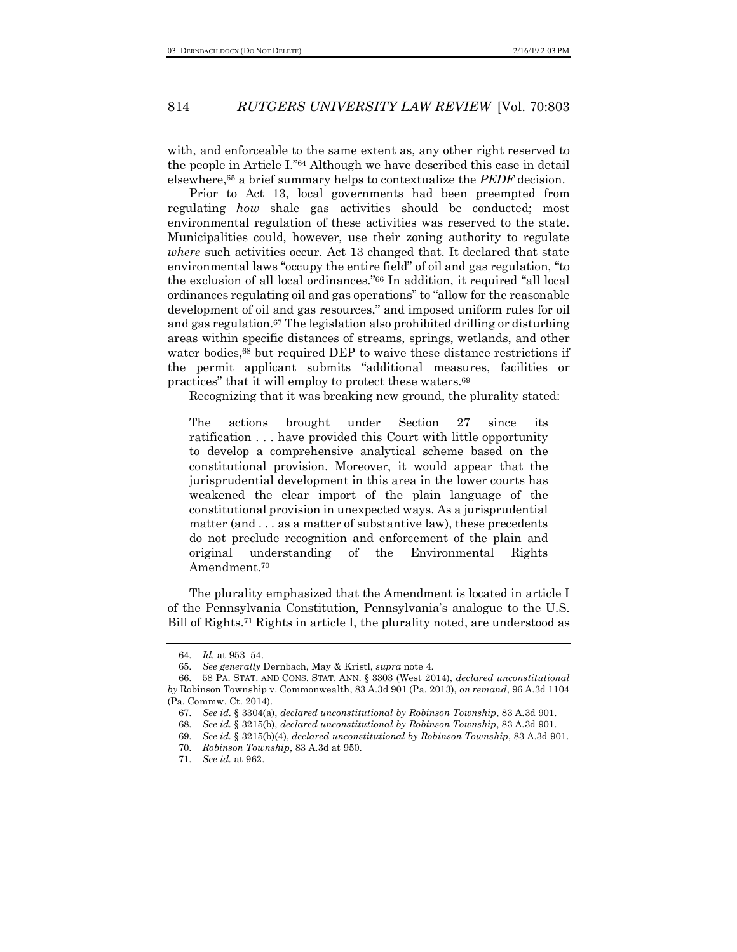with, and enforceable to the same extent as, any other right reserved to the people in Article I."64 Although we have described this case in detail elsewhere,65 a brief summary helps to contextualize the *PEDF* decision.

Prior to Act 13, local governments had been preempted from regulating *how* shale gas activities should be conducted; most environmental regulation of these activities was reserved to the state. Municipalities could, however, use their zoning authority to regulate *where* such activities occur. Act 13 changed that. It declared that state environmental laws "occupy the entire field" of oil and gas regulation, "to the exclusion of all local ordinances."66 In addition, it required "all local ordinances regulating oil and gas operations" to "allow for the reasonable development of oil and gas resources," and imposed uniform rules for oil and gas regulation.67 The legislation also prohibited drilling or disturbing areas within specific distances of streams, springs, wetlands, and other water bodies,<sup>68</sup> but required DEP to waive these distance restrictions if the permit applicant submits "additional measures, facilities or practices" that it will employ to protect these waters.69

Recognizing that it was breaking new ground, the plurality stated:

The actions brought under Section 27 since its ratification . . . have provided this Court with little opportunity to develop a comprehensive analytical scheme based on the constitutional provision. Moreover, it would appear that the jurisprudential development in this area in the lower courts has weakened the clear import of the plain language of the constitutional provision in unexpected ways. As a jurisprudential matter (and . . . as a matter of substantive law), these precedents do not preclude recognition and enforcement of the plain and original understanding of the Environmental Rights Amendment.70

The plurality emphasized that the Amendment is located in article I of the Pennsylvania Constitution, Pennsylvania's analogue to the U.S. Bill of Rights.71 Rights in article I, the plurality noted, are understood as

<sup>64.</sup> *Id.* at 953–54.

<sup>65.</sup> *See generally* Dernbach, May & Kristl, *supra* note 4.

<sup>66.</sup> 58 PA. STAT. AND CONS. STAT. ANN. § 3303 (West 2014), *declared unconstitutional by* Robinson Township v. Commonwealth, 83 A.3d 901 (Pa. 2013), *on remand*, 96 A.3d 1104 (Pa. Commw. Ct. 2014).

<sup>67.</sup> *See id.* § 3304(a), *declared unconstitutional by Robinson Township*, 83 A.3d 901.

<sup>68.</sup> *See id.* § 3215(b), *declared unconstitutional by Robinson Township*, 83 A.3d 901.

<sup>69.</sup> *See id.* § 3215(b)(4), *declared unconstitutional by Robinson Township*, 83 A.3d 901.

<sup>70.</sup> *Robinson Township*, 83 A.3d at 950.

<sup>71.</sup> *See id.* at 962.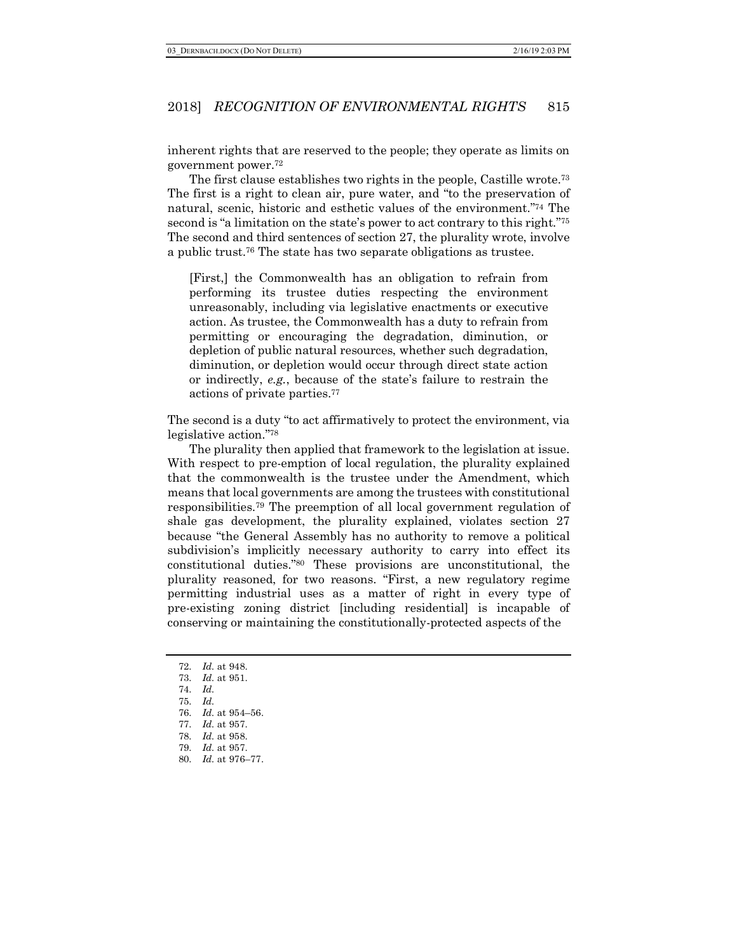inherent rights that are reserved to the people; they operate as limits on government power.72

The first clause establishes two rights in the people, Castille wrote.73 The first is a right to clean air, pure water, and "to the preservation of natural, scenic, historic and esthetic values of the environment."74 The second is "a limitation on the state's power to act contrary to this right."75 The second and third sentences of section 27, the plurality wrote, involve a public trust.76 The state has two separate obligations as trustee.

[First,] the Commonwealth has an obligation to refrain from performing its trustee duties respecting the environment unreasonably, including via legislative enactments or executive action. As trustee, the Commonwealth has a duty to refrain from permitting or encouraging the degradation, diminution, or depletion of public natural resources, whether such degradation, diminution, or depletion would occur through direct state action or indirectly, *e.g.*, because of the state's failure to restrain the actions of private parties.77

The second is a duty "to act affirmatively to protect the environment, via legislative action."78

The plurality then applied that framework to the legislation at issue. With respect to pre-emption of local regulation, the plurality explained that the commonwealth is the trustee under the Amendment, which means that local governments are among the trustees with constitutional responsibilities.79 The preemption of all local government regulation of shale gas development, the plurality explained, violates section 27 because "the General Assembly has no authority to remove a political subdivision's implicitly necessary authority to carry into effect its constitutional duties."80 These provisions are unconstitutional, the plurality reasoned, for two reasons. "First, a new regulatory regime permitting industrial uses as a matter of right in every type of pre-existing zoning district [including residential] is incapable of conserving or maintaining the constitutionally-protected aspects of the

- 72. *Id.* at 948.
- 73. *Id.* at 951.
- 74. *Id.*
- 75. *Id.*
- 76. *Id.* at 954–56.
- 77. *Id.* at 957.
- 78. *Id.* at 958.
- 79. *Id.* at 957.
- 80. *Id.* at 976–77.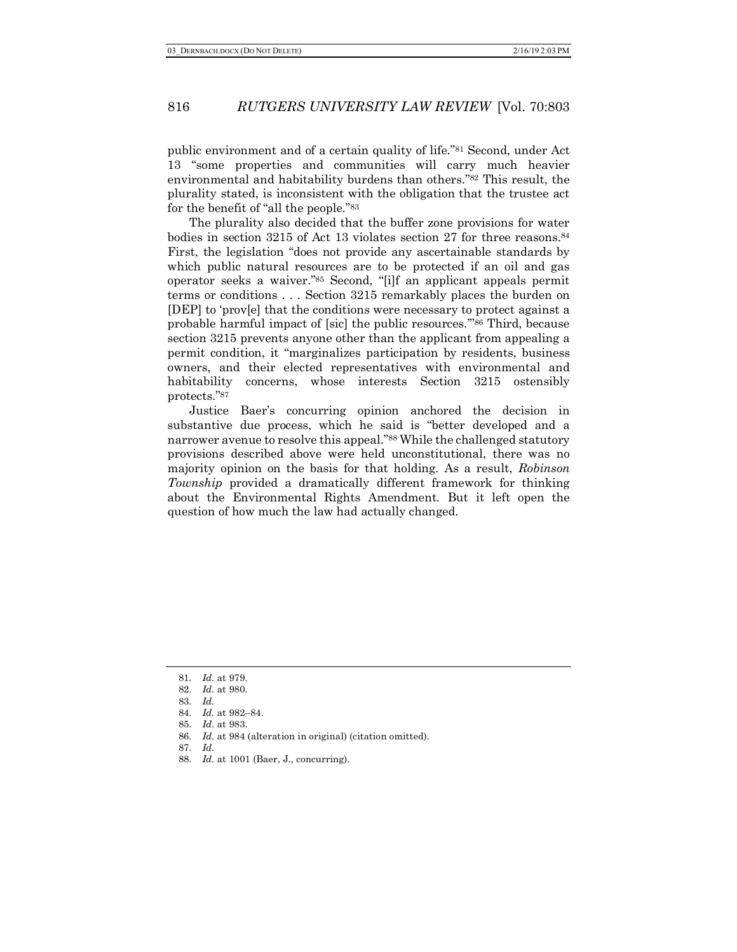public environment and of a certain quality of life."81 Second, under Act 13 "some properties and communities will carry much heavier environmental and habitability burdens than others."82 This result, the plurality stated, is inconsistent with the obligation that the trustee act for the benefit of "all the people."83

The plurality also decided that the buffer zone provisions for water bodies in section 3215 of Act 13 violates section 27 for three reasons.84 First, the legislation "does not provide any ascertainable standards by which public natural resources are to be protected if an oil and gas operator seeks a waiver."85 Second, "[i]f an applicant appeals permit terms or conditions . . . Section 3215 remarkably places the burden on [DEP] to 'prov[e] that the conditions were necessary to protect against a probable harmful impact of [sic] the public resources.'"86 Third, because section 3215 prevents anyone other than the applicant from appealing a permit condition, it "marginalizes participation by residents, business owners, and their elected representatives with environmental and habitability concerns, whose interests Section 3215 ostensibly protects."87

Justice Baer's concurring opinion anchored the decision in substantive due process, which he said is "better developed and a narrower avenue to resolve this appeal."88 While the challenged statutory provisions described above were held unconstitutional, there was no majority opinion on the basis for that holding. As a result, *Robinson Township* provided a dramatically different framework for thinking about the Environmental Rights Amendment. But it left open the question of how much the law had actually changed.

86. *Id.* at 984 (alteration in original) (citation omitted).

<sup>81.</sup> *Id.* at 979.

<sup>82.</sup> *Id.* at 980.

<sup>83.</sup> *Id.* 

<sup>84.</sup> *Id.* at 982–84.

<sup>85.</sup> *Id.* at 983.

<sup>87.</sup> *Id.*

<sup>88.</sup> *Id.* at 1001 (Baer, J., concurring).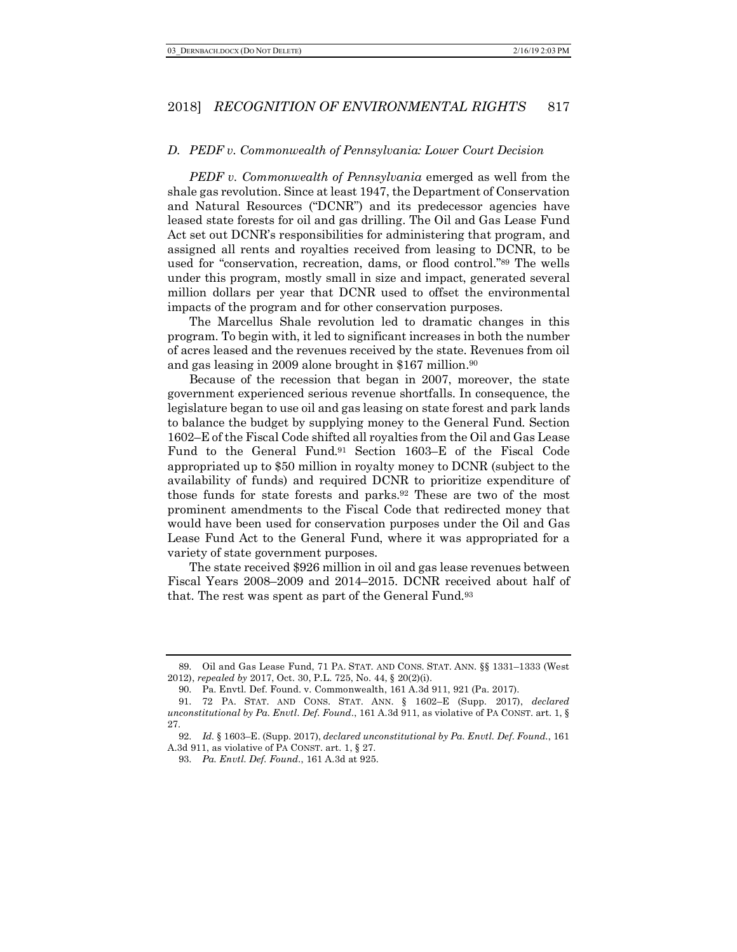#### *D. PEDF v. Commonwealth of Pennsylvania: Lower Court Decision*

*PEDF v. Commonwealth of Pennsylvania* emerged as well from the shale gas revolution. Since at least 1947, the Department of Conservation and Natural Resources ("DCNR") and its predecessor agencies have leased state forests for oil and gas drilling. The Oil and Gas Lease Fund Act set out DCNR's responsibilities for administering that program, and assigned all rents and royalties received from leasing to DCNR, to be used for "conservation, recreation, dams, or flood control."89 The wells under this program, mostly small in size and impact, generated several million dollars per year that DCNR used to offset the environmental impacts of the program and for other conservation purposes.

The Marcellus Shale revolution led to dramatic changes in this program. To begin with, it led to significant increases in both the number of acres leased and the revenues received by the state. Revenues from oil and gas leasing in 2009 alone brought in \$167 million.90

Because of the recession that began in 2007, moreover, the state government experienced serious revenue shortfalls. In consequence, the legislature began to use oil and gas leasing on state forest and park lands to balance the budget by supplying money to the General Fund. Section 1602–E of the Fiscal Code shifted all royalties from the Oil and Gas Lease Fund to the General Fund.91 Section 1603–E of the Fiscal Code appropriated up to \$50 million in royalty money to DCNR (subject to the availability of funds) and required DCNR to prioritize expenditure of those funds for state forests and parks.92 These are two of the most prominent amendments to the Fiscal Code that redirected money that would have been used for conservation purposes under the Oil and Gas Lease Fund Act to the General Fund, where it was appropriated for a variety of state government purposes.

The state received \$926 million in oil and gas lease revenues between Fiscal Years 2008–2009 and 2014–2015. DCNR received about half of that. The rest was spent as part of the General Fund.93

<sup>89.</sup> Oil and Gas Lease Fund, 71 PA. STAT. AND CONS. STAT. ANN. §§ 1331–1333 (West 2012), *repealed by* 2017, Oct. 30, P.L. 725, No. 44, § 20(2)(i).

<sup>90.</sup> Pa. Envtl. Def. Found. v. Commonwealth, 161 A.3d 911, 921 (Pa. 2017).

<sup>91.</sup> 72 PA. STAT. AND CONS. STAT. ANN. § 1602–E (Supp. 2017), *declared unconstitutional by Pa. Envtl. Def. Found.*, 161 A.3d 911, as violative of PA CONST. art. 1, § 27.

<sup>92.</sup> *Id.* § 1603–E. (Supp. 2017), *declared unconstitutional by Pa. Envtl. Def. Found.*, 161 A.3d 911, as violative of PA CONST. art. 1, § 27.

<sup>93.</sup> *Pa. Envtl. Def. Found.*, 161 A.3d at 925.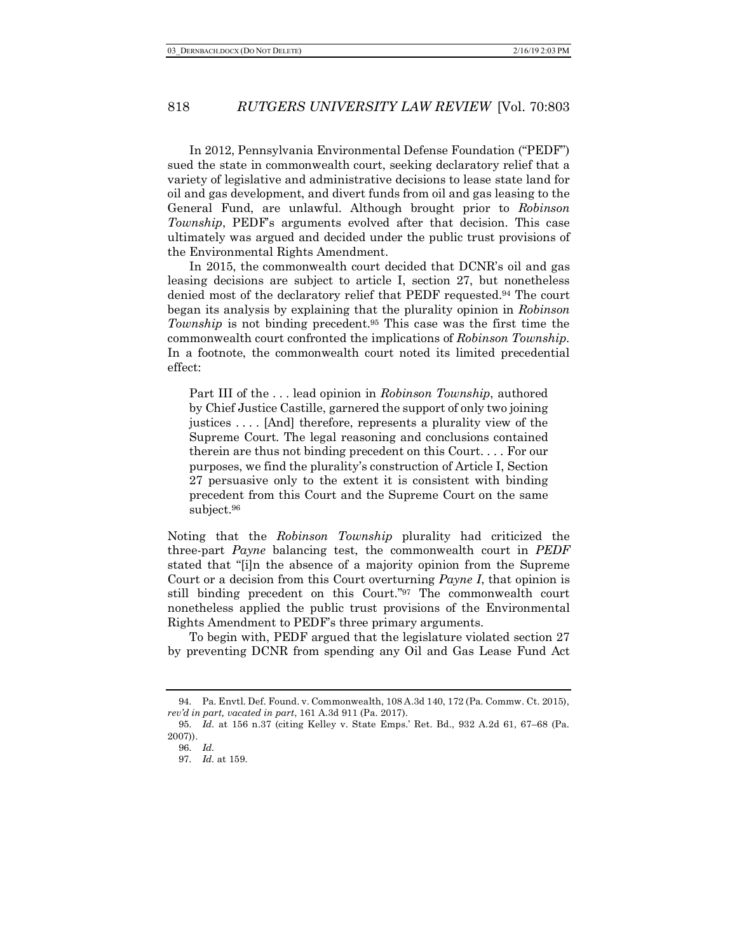In 2012, Pennsylvania Environmental Defense Foundation ("PEDF") sued the state in commonwealth court, seeking declaratory relief that a variety of legislative and administrative decisions to lease state land for oil and gas development, and divert funds from oil and gas leasing to the General Fund, are unlawful. Although brought prior to *Robinson Township*, PEDF's arguments evolved after that decision. This case ultimately was argued and decided under the public trust provisions of the Environmental Rights Amendment.

In 2015, the commonwealth court decided that DCNR's oil and gas leasing decisions are subject to article I, section 27, but nonetheless denied most of the declaratory relief that PEDF requested.94 The court began its analysis by explaining that the plurality opinion in *Robinson Township* is not binding precedent.95 This case was the first time the commonwealth court confronted the implications of *Robinson Township*. In a footnote, the commonwealth court noted its limited precedential effect:

Part III of the . . . lead opinion in *Robinson Township*, authored by Chief Justice Castille, garnered the support of only two joining justices . . . . [And] therefore, represents a plurality view of the Supreme Court. The legal reasoning and conclusions contained therein are thus not binding precedent on this Court. . . . For our purposes, we find the plurality's construction of Article I, Section 27 persuasive only to the extent it is consistent with binding precedent from this Court and the Supreme Court on the same subject.96

Noting that the *Robinson Township* plurality had criticized the three-part *Payne* balancing test, the commonwealth court in *PEDF*  stated that "[i]n the absence of a majority opinion from the Supreme Court or a decision from this Court overturning *Payne I*, that opinion is still binding precedent on this Court."97 The commonwealth court nonetheless applied the public trust provisions of the Environmental Rights Amendment to PEDF's three primary arguments.

To begin with, PEDF argued that the legislature violated section 27 by preventing DCNR from spending any Oil and Gas Lease Fund Act

<sup>94.</sup> Pa. Envtl. Def. Found. v. Commonwealth, 108 A.3d 140, 172 (Pa. Commw. Ct. 2015), *rev'd in part, vacated in part*, 161 A.3d 911 (Pa. 2017).

<sup>95.</sup> *Id.* at 156 n.37 (citing Kelley v. State Emps.' Ret. Bd., 932 A.2d 61, 67–68 (Pa. 2007)).

<sup>96.</sup> *Id.*

<sup>97.</sup> *Id.* at 159.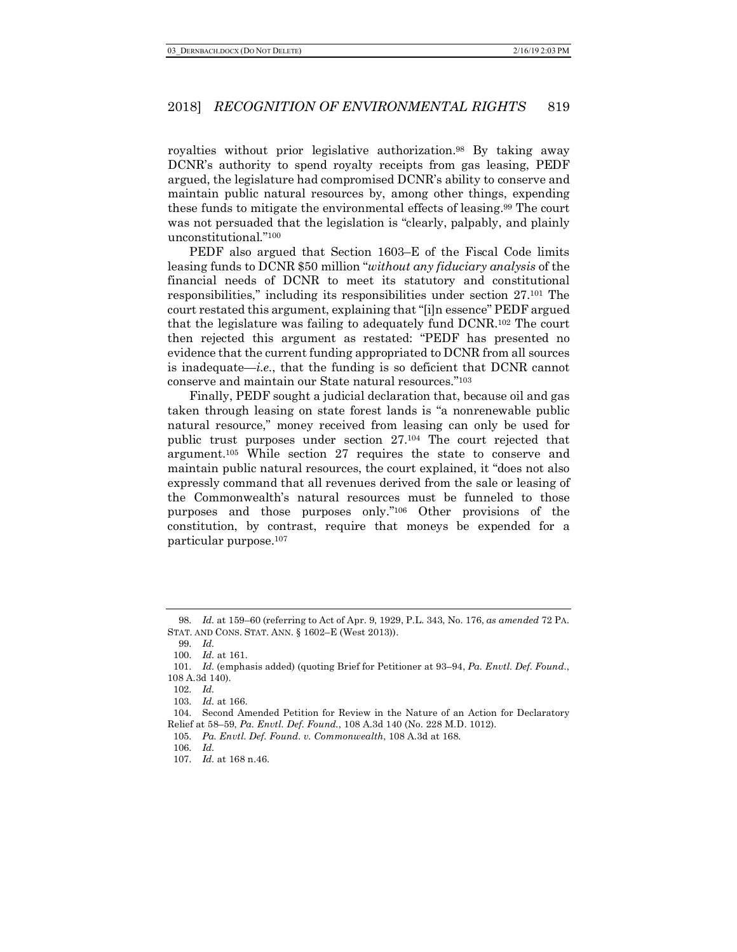royalties without prior legislative authorization.98 By taking away DCNR's authority to spend royalty receipts from gas leasing, PEDF argued, the legislature had compromised DCNR's ability to conserve and maintain public natural resources by, among other things, expending these funds to mitigate the environmental effects of leasing.99 The court was not persuaded that the legislation is "clearly, palpably, and plainly unconstitutional."100

PEDF also argued that Section 1603–E of the Fiscal Code limits leasing funds to DCNR \$50 million "*without any fiduciary analysis* of the financial needs of DCNR to meet its statutory and constitutional responsibilities," including its responsibilities under section 27.101 The court restated this argument, explaining that "[i]n essence" PEDF argued that the legislature was failing to adequately fund DCNR.102 The court then rejected this argument as restated: "PEDF has presented no evidence that the current funding appropriated to DCNR from all sources is inadequate—*i.e.*, that the funding is so deficient that DCNR cannot conserve and maintain our State natural resources."103

Finally, PEDF sought a judicial declaration that, because oil and gas taken through leasing on state forest lands is "a nonrenewable public natural resource," money received from leasing can only be used for public trust purposes under section 27.104 The court rejected that argument.105 While section 27 requires the state to conserve and maintain public natural resources, the court explained, it "does not also expressly command that all revenues derived from the sale or leasing of the Commonwealth's natural resources must be funneled to those purposes and those purposes only."106 Other provisions of the constitution, by contrast, require that moneys be expended for a particular purpose.107

99. *Id.*

103. *Id.* at 166.

<sup>98.</sup> *Id.* at 159–60 (referring to Act of Apr. 9, 1929, P.L. 343, No. 176, *as amended* 72 PA. STAT. AND CONS. STAT. ANN. § 1602–E (West 2013)).

<sup>100.</sup> *Id.* at 161.

<sup>101.</sup> *Id.* (emphasis added) (quoting Brief for Petitioner at 93–94, *Pa. Envtl. Def. Found.*, 108 A.3d 140).

<sup>102.</sup> *Id.*

<sup>104.</sup> Second Amended Petition for Review in the Nature of an Action for Declaratory Relief at 58–59, *Pa. Envtl. Def. Found.*, 108 A.3d 140 (No. 228 M.D. 1012).

<sup>105.</sup> *Pa. Envtl. Def. Found. v. Commonwealth*, 108 A.3d at 168.

<sup>106.</sup> *Id.*

<sup>107.</sup> *Id.* at 168 n.46.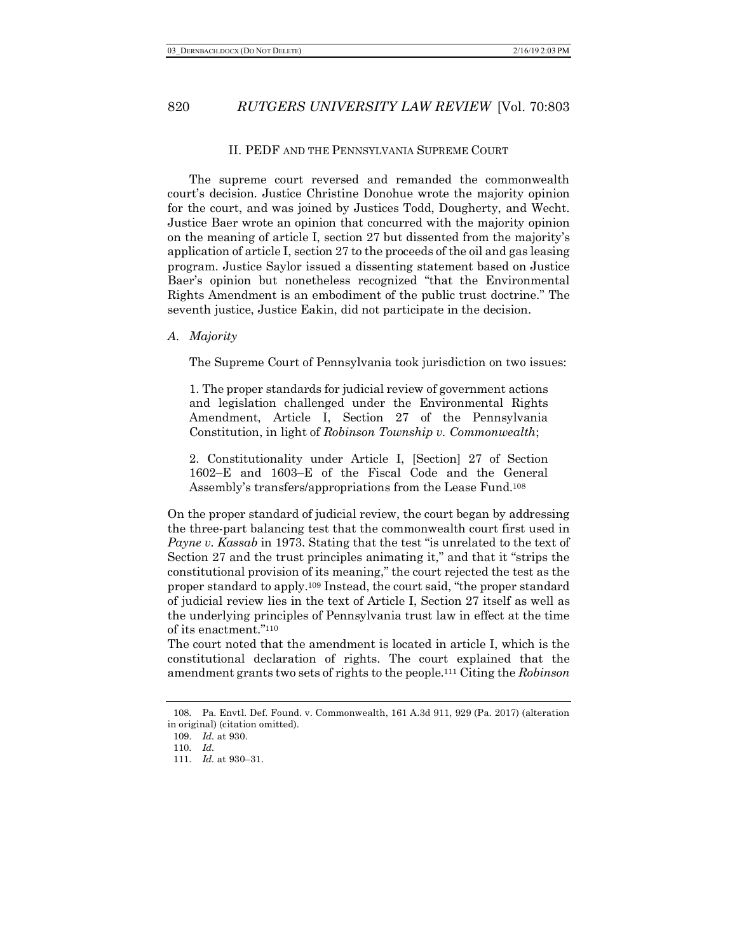#### II. PEDF AND THE PENNSYLVANIA SUPREME COURT

The supreme court reversed and remanded the commonwealth court's decision. Justice Christine Donohue wrote the majority opinion for the court, and was joined by Justices Todd, Dougherty, and Wecht. Justice Baer wrote an opinion that concurred with the majority opinion on the meaning of article I, section 27 but dissented from the majority's application of article I, section 27 to the proceeds of the oil and gas leasing program. Justice Saylor issued a dissenting statement based on Justice Baer's opinion but nonetheless recognized "that the Environmental Rights Amendment is an embodiment of the public trust doctrine." The seventh justice, Justice Eakin, did not participate in the decision.

#### *A. Majority*

The Supreme Court of Pennsylvania took jurisdiction on two issues:

1. The proper standards for judicial review of government actions and legislation challenged under the Environmental Rights Amendment, Article I, Section 27 of the Pennsylvania Constitution, in light of *Robinson Township v. Commonwealth*;

2. Constitutionality under Article I, [Section] 27 of Section 1602–E and 1603–E of the Fiscal Code and the General Assembly's transfers/appropriations from the Lease Fund.108

On the proper standard of judicial review, the court began by addressing the three-part balancing test that the commonwealth court first used in *Payne v. Kassab* in 1973. Stating that the test "is unrelated to the text of Section 27 and the trust principles animating it," and that it "strips the constitutional provision of its meaning," the court rejected the test as the proper standard to apply.109 Instead, the court said, "the proper standard of judicial review lies in the text of Article I, Section 27 itself as well as the underlying principles of Pennsylvania trust law in effect at the time of its enactment."110

The court noted that the amendment is located in article I, which is the constitutional declaration of rights. The court explained that the amendment grants two sets of rights to the people.111 Citing the *Robinson*

<sup>108.</sup> Pa. Envtl. Def. Found. v. Commonwealth, 161 A.3d 911, 929 (Pa. 2017) (alteration in original) (citation omitted).

<sup>109.</sup> *Id.* at 930.

<sup>110.</sup> *Id.*

<sup>111.</sup> *Id.* at 930–31.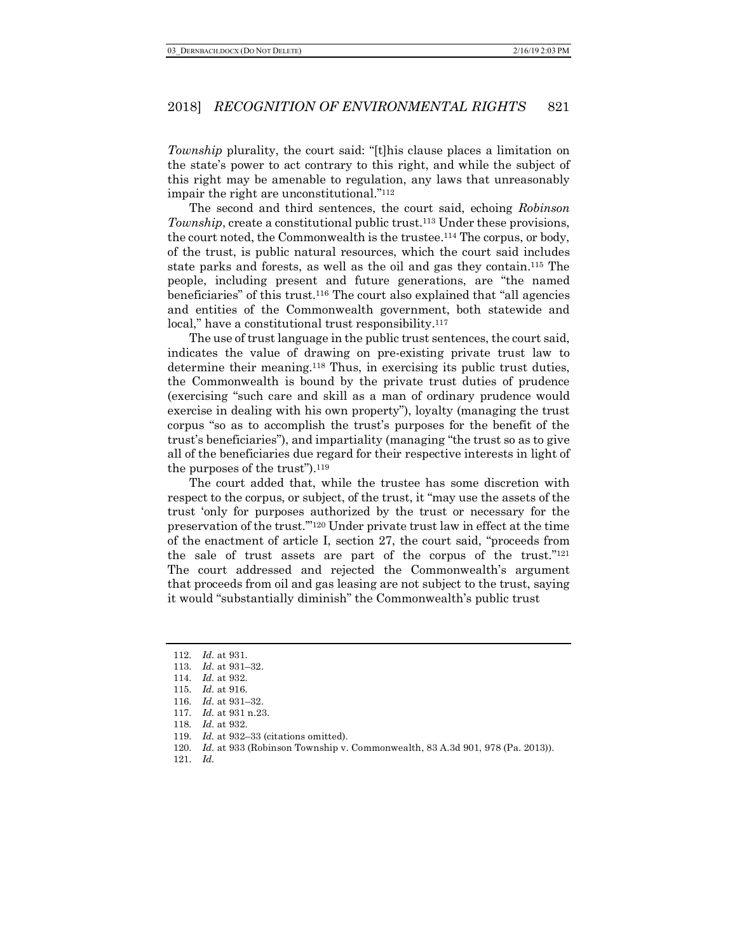*Township* plurality, the court said: "[t]his clause places a limitation on the state's power to act contrary to this right, and while the subject of this right may be amenable to regulation, any laws that unreasonably impair the right are unconstitutional."112

The second and third sentences, the court said, echoing *Robinson Township*, create a constitutional public trust.<sup>113</sup> Under these provisions, the court noted, the Commonwealth is the trustee.114 The corpus, or body, of the trust, is public natural resources, which the court said includes state parks and forests, as well as the oil and gas they contain.115 The people, including present and future generations, are "the named beneficiaries" of this trust.116 The court also explained that "all agencies and entities of the Commonwealth government, both statewide and local," have a constitutional trust responsibility.<sup>117</sup>

The use of trust language in the public trust sentences, the court said, indicates the value of drawing on pre-existing private trust law to determine their meaning.118 Thus, in exercising its public trust duties, the Commonwealth is bound by the private trust duties of prudence (exercising "such care and skill as a man of ordinary prudence would exercise in dealing with his own property"), loyalty (managing the trust corpus "so as to accomplish the trust's purposes for the benefit of the trust's beneficiaries"), and impartiality (managing "the trust so as to give all of the beneficiaries due regard for their respective interests in light of the purposes of the trust").119

The court added that, while the trustee has some discretion with respect to the corpus, or subject, of the trust, it "may use the assets of the trust 'only for purposes authorized by the trust or necessary for the preservation of the trust.'"120 Under private trust law in effect at the time of the enactment of article I, section 27, the court said, "proceeds from the sale of trust assets are part of the corpus of the trust."121 The court addressed and rejected the Commonwealth's argument that proceeds from oil and gas leasing are not subject to the trust, saying it would "substantially diminish" the Commonwealth's public trust

<sup>112.</sup> *Id.* at 931.

<sup>113.</sup> *Id.* at 931–32.

<sup>114.</sup> *Id.* at 932.

<sup>115.</sup> *Id.* at 916.

<sup>116.</sup> *Id.* at 931–32.

<sup>117.</sup> *Id.* at 931 n.23.

<sup>118.</sup> *Id.* at 932.

<sup>119.</sup> *Id.* at 932–33 (citations omitted).

<sup>120.</sup> *Id.* at 933 (Robinson Township v. Commonwealth, 83 A.3d 901, 978 (Pa. 2013)).

<sup>121.</sup> *Id.*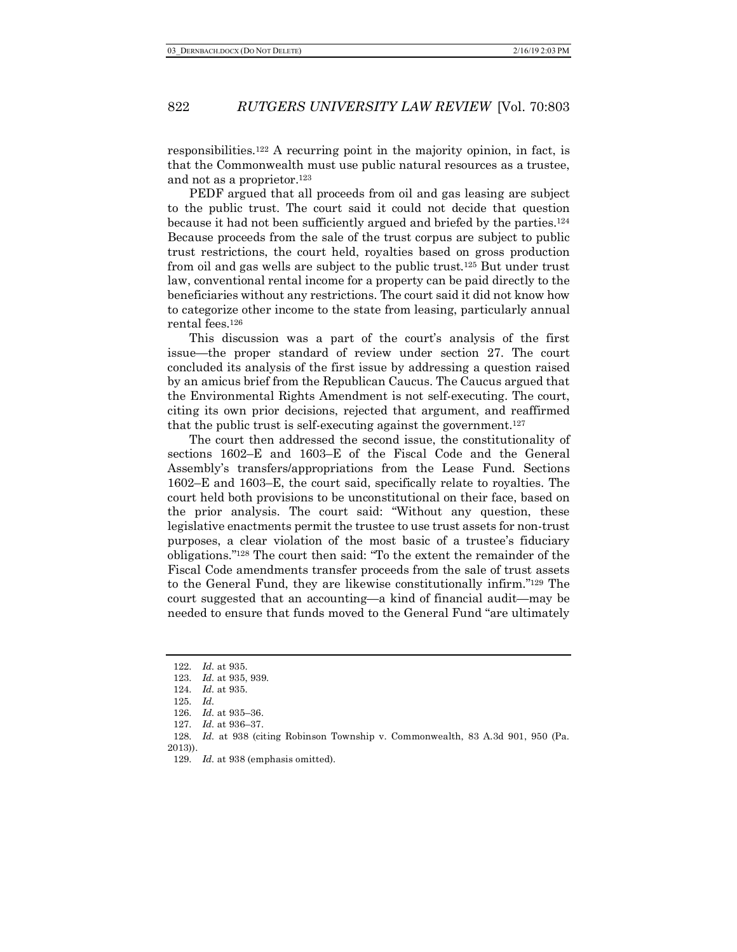responsibilities.122 A recurring point in the majority opinion, in fact, is that the Commonwealth must use public natural resources as a trustee, and not as a proprietor.123

PEDF argued that all proceeds from oil and gas leasing are subject to the public trust. The court said it could not decide that question because it had not been sufficiently argued and briefed by the parties.124 Because proceeds from the sale of the trust corpus are subject to public trust restrictions, the court held, royalties based on gross production from oil and gas wells are subject to the public trust.125 But under trust law, conventional rental income for a property can be paid directly to the beneficiaries without any restrictions. The court said it did not know how to categorize other income to the state from leasing, particularly annual rental fees.126

This discussion was a part of the court's analysis of the first issue—the proper standard of review under section 27. The court concluded its analysis of the first issue by addressing a question raised by an amicus brief from the Republican Caucus. The Caucus argued that the Environmental Rights Amendment is not self-executing. The court, citing its own prior decisions, rejected that argument, and reaffirmed that the public trust is self-executing against the government.127

The court then addressed the second issue, the constitutionality of sections 1602–E and 1603–E of the Fiscal Code and the General Assembly's transfers/appropriations from the Lease Fund. Sections 1602–E and 1603–E, the court said, specifically relate to royalties. The court held both provisions to be unconstitutional on their face, based on the prior analysis. The court said: "Without any question, these legislative enactments permit the trustee to use trust assets for non-trust purposes, a clear violation of the most basic of a trustee's fiduciary obligations."128 The court then said: "To the extent the remainder of the Fiscal Code amendments transfer proceeds from the sale of trust assets to the General Fund, they are likewise constitutionally infirm."129 The court suggested that an accounting—a kind of financial audit—may be needed to ensure that funds moved to the General Fund "are ultimately

<sup>122.</sup> *Id.* at 935.

<sup>123.</sup> *Id.* at 935, 939.

<sup>124.</sup> *Id.* at 935.

<sup>125.</sup> *Id.*

<sup>126.</sup> *Id.* at 935–36.

<sup>127.</sup> *Id.* at 936–37.

<sup>128.</sup> *Id.* at 938 (citing Robinson Township v. Commonwealth, 83 A.3d 901, 950 (Pa. 2013)).

<sup>129.</sup> *Id.* at 938 (emphasis omitted).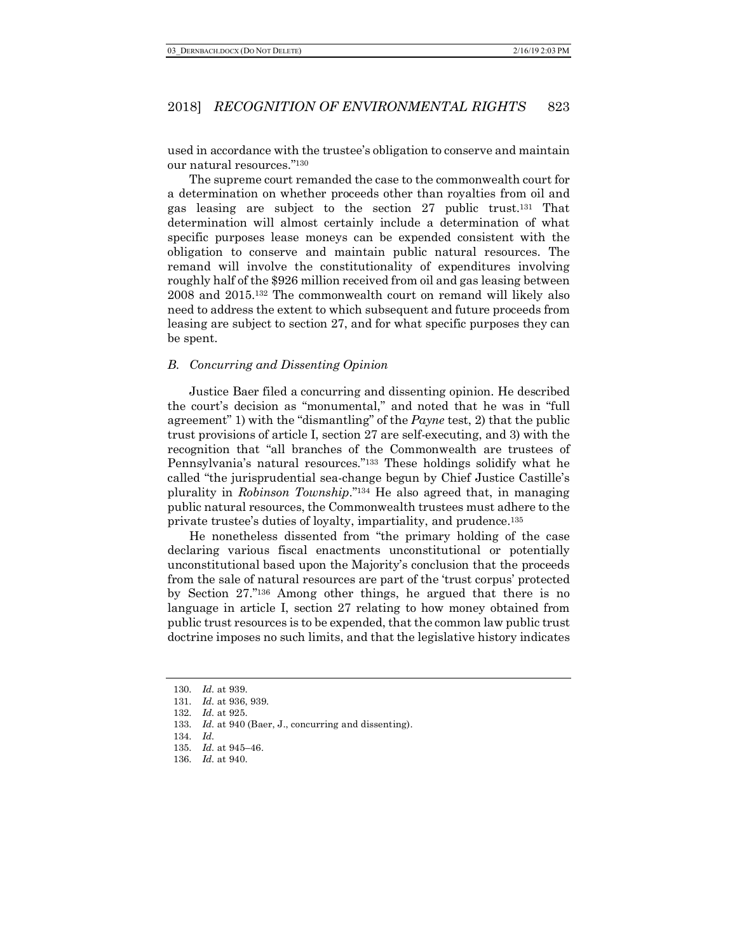used in accordance with the trustee's obligation to conserve and maintain our natural resources."130

The supreme court remanded the case to the commonwealth court for a determination on whether proceeds other than royalties from oil and gas leasing are subject to the section 27 public trust.131 That determination will almost certainly include a determination of what specific purposes lease moneys can be expended consistent with the obligation to conserve and maintain public natural resources. The remand will involve the constitutionality of expenditures involving roughly half of the \$926 million received from oil and gas leasing between 2008 and 2015.132 The commonwealth court on remand will likely also need to address the extent to which subsequent and future proceeds from leasing are subject to section 27, and for what specific purposes they can be spent.

#### *B. Concurring and Dissenting Opinion*

Justice Baer filed a concurring and dissenting opinion. He described the court's decision as "monumental," and noted that he was in "full agreement" 1) with the "dismantling" of the *Payne* test, 2) that the public trust provisions of article I, section 27 are self-executing, and 3) with the recognition that "all branches of the Commonwealth are trustees of Pennsylvania's natural resources."133 These holdings solidify what he called "the jurisprudential sea-change begun by Chief Justice Castille's plurality in *Robinson Township*."134 He also agreed that, in managing public natural resources, the Commonwealth trustees must adhere to the private trustee's duties of loyalty, impartiality, and prudence.135

He nonetheless dissented from "the primary holding of the case declaring various fiscal enactments unconstitutional or potentially unconstitutional based upon the Majority's conclusion that the proceeds from the sale of natural resources are part of the 'trust corpus' protected by Section 27."136 Among other things, he argued that there is no language in article I, section 27 relating to how money obtained from public trust resources is to be expended, that the common law public trust doctrine imposes no such limits, and that the legislative history indicates

<sup>130.</sup> *Id.* at 939.

<sup>131.</sup> *Id.* at 936, 939.

<sup>132.</sup> *Id.* at 925.

<sup>133.</sup> *Id.* at 940 (Baer, J., concurring and dissenting).

<sup>134.</sup> *Id.*

<sup>135.</sup> *Id.* at 945–46.

<sup>136.</sup> *Id.* at 940.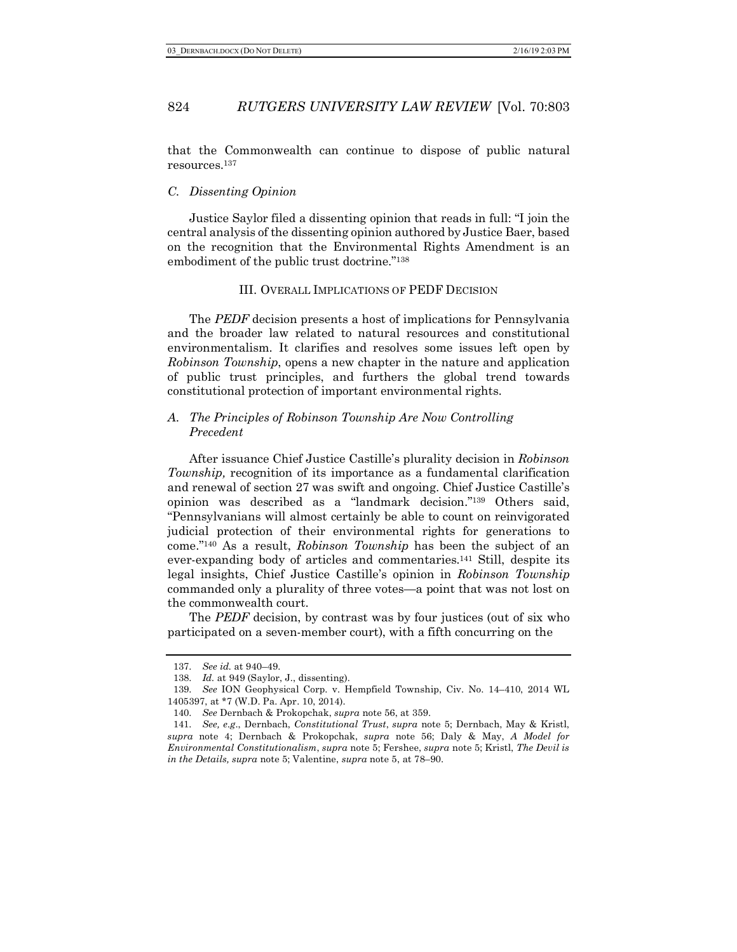that the Commonwealth can continue to dispose of public natural resources.137

### *C. Dissenting Opinion*

Justice Saylor filed a dissenting opinion that reads in full: "I join the central analysis of the dissenting opinion authored by Justice Baer, based on the recognition that the Environmental Rights Amendment is an embodiment of the public trust doctrine."138

#### III. OVERALL IMPLICATIONS OF PEDF DECISION

The *PEDF* decision presents a host of implications for Pennsylvania and the broader law related to natural resources and constitutional environmentalism. It clarifies and resolves some issues left open by *Robinson Township*, opens a new chapter in the nature and application of public trust principles, and furthers the global trend towards constitutional protection of important environmental rights.

## *A. The Principles of Robinson Township Are Now Controlling Precedent*

After issuance Chief Justice Castille's plurality decision in *Robinson Township,* recognition of its importance as a fundamental clarification and renewal of section 27 was swift and ongoing. Chief Justice Castille's opinion was described as a "landmark decision."139 Others said, "Pennsylvanians will almost certainly be able to count on reinvigorated judicial protection of their environmental rights for generations to come."140 As a result, *Robinson Township* has been the subject of an ever-expanding body of articles and commentaries.141 Still, despite its legal insights, Chief Justice Castille's opinion in *Robinson Township* commanded only a plurality of three votes—a point that was not lost on the commonwealth court.

The *PEDF* decision, by contrast was by four justices (out of six who participated on a seven-member court), with a fifth concurring on the

<sup>137.</sup> *See id.* at 940–49.

<sup>138.</sup> *Id.* at 949 (Saylor, J., dissenting).

<sup>139.</sup> *See* ION Geophysical Corp. v. Hempfield Township, Civ. No. 14–410, 2014 WL 1405397, at \*7 (W.D. Pa. Apr. 10, 2014).

<sup>140.</sup> *See* Dernbach & Prokopchak, *supra* note 56, at 359.

<sup>141.</sup> *See, e.g*., Dernbach, *Constitutional Trust*, *supra* note 5; Dernbach, May & Kristl, *supra* note 4; Dernbach & Prokopchak, *supra* note 56; Daly & May, *A Model for Environmental Constitutionalism*, *supra* note 5; Fershee, *supra* note 5; Kristl, *The Devil is in the Details, supra* note 5; Valentine, *supra* note 5, at 78–90.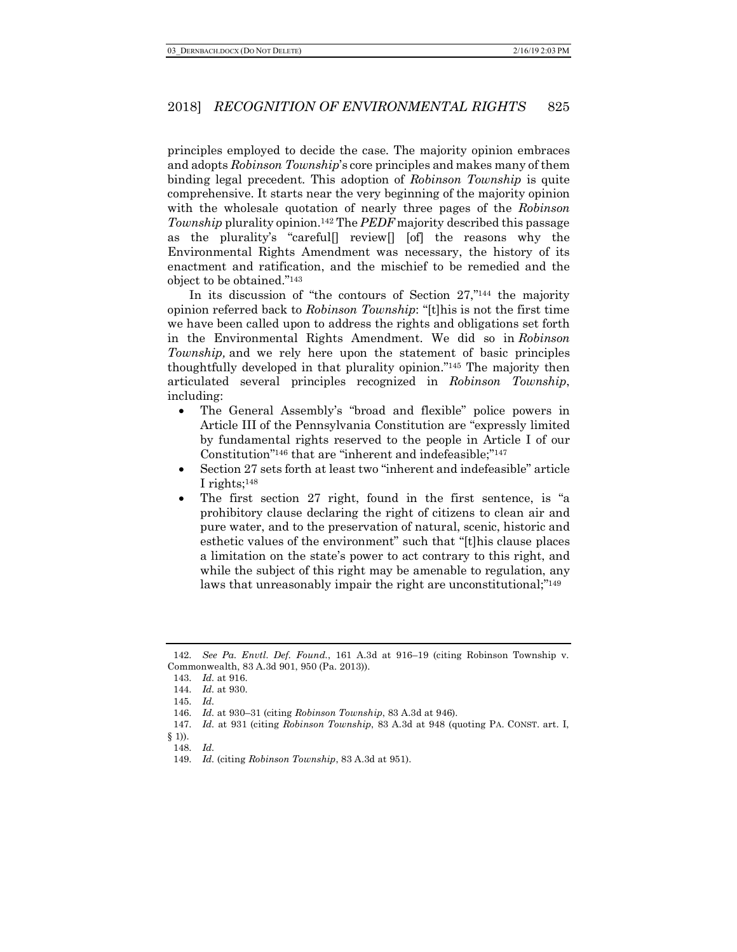principles employed to decide the case. The majority opinion embraces and adopts *Robinson Township*'s core principles and makes many of them binding legal precedent. This adoption of *Robinson Township* is quite comprehensive. It starts near the very beginning of the majority opinion with the wholesale quotation of nearly three pages of the *Robinson Township* plurality opinion.142 The *PEDF* majority described this passage as the plurality's "careful[] review[] [of] the reasons why the Environmental Rights Amendment was necessary, the history of its enactment and ratification, and the mischief to be remedied and the object to be obtained."143

In its discussion of "the contours of Section 27,"<sup>144</sup> the majority opinion referred back to *Robinson Township*: "[t]his is not the first time we have been called upon to address the rights and obligations set forth in the Environmental Rights Amendment. We did so in *Robinson Township,* and we rely here upon the statement of basic principles thoughtfully developed in that plurality opinion."145 The majority then articulated several principles recognized in *Robinson Township*, including:

- The General Assembly's "broad and flexible" police powers in Article III of the Pennsylvania Constitution are "expressly limited by fundamental rights reserved to the people in Article I of our Constitution"146 that are "inherent and indefeasible;"147
- Section 27 sets forth at least two "inherent and indefeasible" article I rights;148
- The first section 27 right, found in the first sentence, is "a prohibitory clause declaring the right of citizens to clean air and pure water, and to the preservation of natural, scenic, historic and esthetic values of the environment" such that "[t]his clause places a limitation on the state's power to act contrary to this right, and while the subject of this right may be amenable to regulation, any laws that unreasonably impair the right are unconstitutional;"<sup>149</sup>

<sup>142.</sup> *See Pa. Envtl. Def. Found.*, 161 A.3d at 916–19 (citing Robinson Township v. Commonwealth, 83 A.3d 901, 950 (Pa. 2013)).

<sup>143.</sup> *Id.* at 916.

<sup>144.</sup> *Id.* at 930.

<sup>145.</sup> *Id.*

<sup>146.</sup> *Id.* at 930–31 (citing *Robinson Township*, 83 A.3d at 946).

<sup>147.</sup> *Id.* at 931 (citing *Robinson Township*, 83 A.3d at 948 (quoting PA. CONST. art. I,

 $§$  1)). 148. *Id.*

<sup>149.</sup> *Id.* (citing *Robinson Township*, 83 A.3d at 951).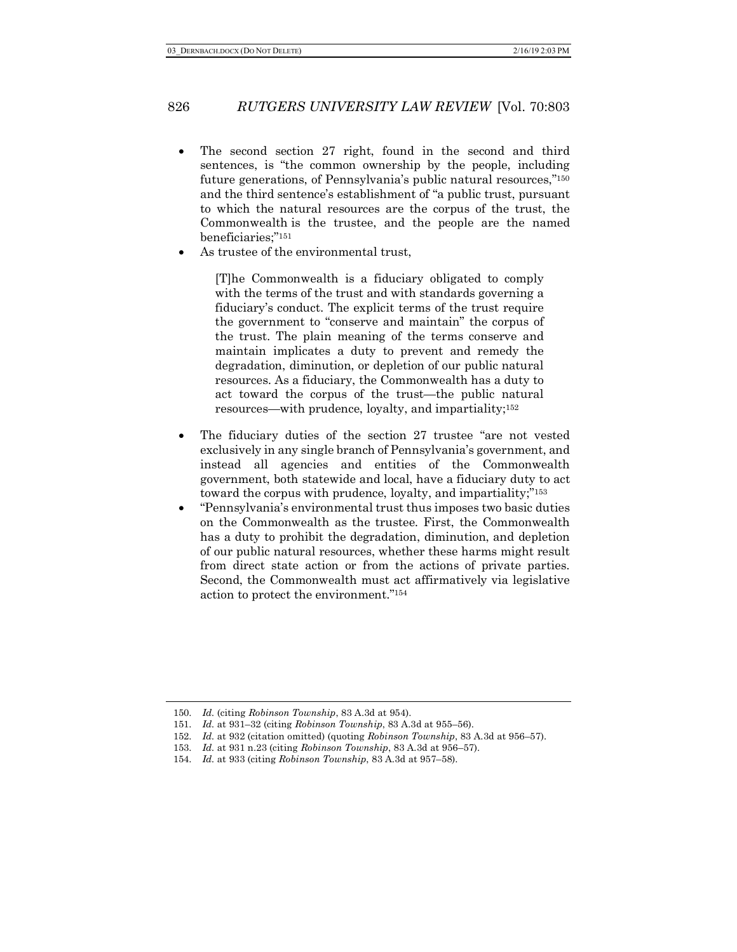- The second section 27 right, found in the second and third sentences, is "the common ownership by the people, including future generations, of Pennsylvania's public natural resources,"150 and the third sentence's establishment of "a public trust, pursuant to which the natural resources are the corpus of the trust, the Commonwealth is the trustee, and the people are the named beneficiaries;"151
- As trustee of the environmental trust,

[T]he Commonwealth is a fiduciary obligated to comply with the terms of the trust and with standards governing a fiduciary's conduct. The explicit terms of the trust require the government to "conserve and maintain" the corpus of the trust. The plain meaning of the terms conserve and maintain implicates a duty to prevent and remedy the degradation, diminution, or depletion of our public natural resources. As a fiduciary, the Commonwealth has a duty to act toward the corpus of the trust—the public natural resources—with prudence, loyalty, and impartiality;152

- The fiduciary duties of the section 27 trustee "are not vested exclusively in any single branch of Pennsylvania's government, and instead all agencies and entities of the Commonwealth government, both statewide and local, have a fiduciary duty to act toward the corpus with prudence, loyalty, and impartiality;"153
- "Pennsylvania's environmental trust thus imposes two basic duties on the Commonwealth as the trustee. First, the Commonwealth has a duty to prohibit the degradation, diminution, and depletion of our public natural resources, whether these harms might result from direct state action or from the actions of private parties. Second, the Commonwealth must act affirmatively via legislative action to protect the environment."154

<sup>150.</sup> *Id.* (citing *Robinson Township*, 83 A.3d at 954).

<sup>151.</sup> *Id.* at 931–32 (citing *Robinson Township*, 83 A.3d at 955–56).

<sup>152.</sup> *Id.* at 932 (citation omitted) (quoting *Robinson Township*, 83 A.3d at 956–57).

<sup>153.</sup> *Id.* at 931 n.23 (citing *Robinson Township*, 83 A.3d at 956–57).

<sup>154.</sup> *Id.* at 933 (citing *Robinson Township*, 83 A.3d at 957–58).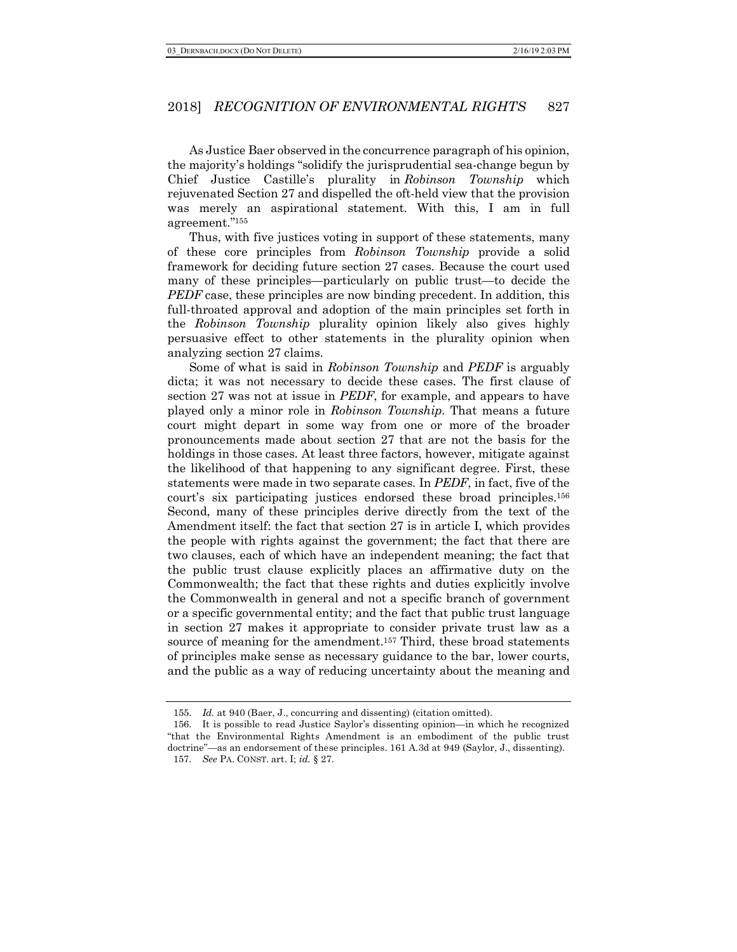As Justice Baer observed in the concurrence paragraph of his opinion, the majority's holdings "solidify the jurisprudential sea-change begun by Chief Justice Castille's plurality in *Robinson Township* which rejuvenated Section 27 and dispelled the oft-held view that the provision was merely an aspirational statement. With this, I am in full agreement."155

Thus, with five justices voting in support of these statements, many of these core principles from *Robinson Township* provide a solid framework for deciding future section 27 cases. Because the court used many of these principles—particularly on public trust—to decide the *PEDF* case, these principles are now binding precedent. In addition, this full-throated approval and adoption of the main principles set forth in the *Robinson Township* plurality opinion likely also gives highly persuasive effect to other statements in the plurality opinion when analyzing section 27 claims.

Some of what is said in *Robinson Township* and *PEDF* is arguably dicta; it was not necessary to decide these cases. The first clause of section 27 was not at issue in *PEDF*, for example, and appears to have played only a minor role in *Robinson Township*. That means a future court might depart in some way from one or more of the broader pronouncements made about section 27 that are not the basis for the holdings in those cases. At least three factors, however, mitigate against the likelihood of that happening to any significant degree. First, these statements were made in two separate cases. In *PEDF*, in fact, five of the court's six participating justices endorsed these broad principles.156 Second, many of these principles derive directly from the text of the Amendment itself: the fact that section 27 is in article I, which provides the people with rights against the government; the fact that there are two clauses, each of which have an independent meaning; the fact that the public trust clause explicitly places an affirmative duty on the Commonwealth; the fact that these rights and duties explicitly involve the Commonwealth in general and not a specific branch of government or a specific governmental entity; and the fact that public trust language in section 27 makes it appropriate to consider private trust law as a source of meaning for the amendment.<sup>157</sup> Third, these broad statements of principles make sense as necessary guidance to the bar, lower courts, and the public as a way of reducing uncertainty about the meaning and

<sup>155.</sup> *Id.* at 940 (Baer, J., concurring and dissenting) (citation omitted).

<sup>156.</sup> It is possible to read Justice Saylor's dissenting opinion—in which he recognized "that the Environmental Rights Amendment is an embodiment of the public trust doctrine"—as an endorsement of these principles. 161 A.3d at 949 (Saylor, J., dissenting). 157. *See* PA. CONST. art. I; *id.* § 27.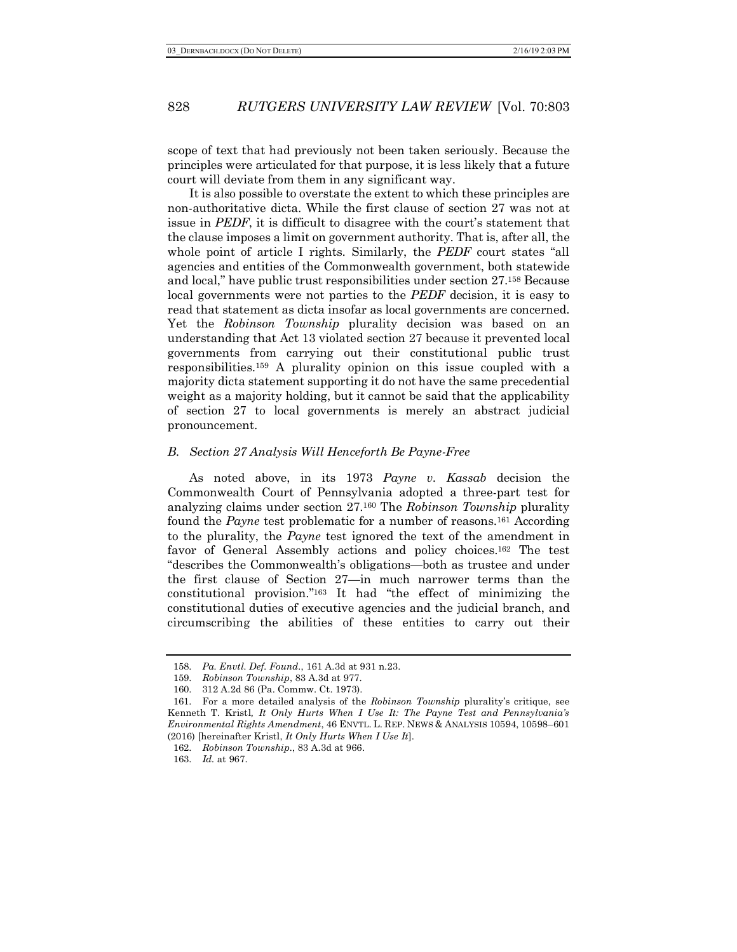scope of text that had previously not been taken seriously. Because the principles were articulated for that purpose, it is less likely that a future court will deviate from them in any significant way.

It is also possible to overstate the extent to which these principles are non-authoritative dicta. While the first clause of section 27 was not at issue in *PEDF*, it is difficult to disagree with the court's statement that the clause imposes a limit on government authority. That is, after all, the whole point of article I rights. Similarly, the *PEDF* court states "all agencies and entities of the Commonwealth government, both statewide and local," have public trust responsibilities under section 27.158 Because local governments were not parties to the *PEDF* decision, it is easy to read that statement as dicta insofar as local governments are concerned. Yet the *Robinson Township* plurality decision was based on an understanding that Act 13 violated section 27 because it prevented local governments from carrying out their constitutional public trust responsibilities.159 A plurality opinion on this issue coupled with a majority dicta statement supporting it do not have the same precedential weight as a majority holding, but it cannot be said that the applicability of section 27 to local governments is merely an abstract judicial pronouncement.

#### *B. Section 27 Analysis Will Henceforth Be Payne-Free*

As noted above, in its 1973 *Payne v. Kassab* decision the Commonwealth Court of Pennsylvania adopted a three-part test for analyzing claims under section 27.160 The *Robinson Township* plurality found the *Payne* test problematic for a number of reasons.161 According to the plurality, the *Payne* test ignored the text of the amendment in favor of General Assembly actions and policy choices.162 The test "describes the Commonwealth's obligations—both as trustee and under the first clause of Section 27—in much narrower terms than the constitutional provision."163 It had "the effect of minimizing the constitutional duties of executive agencies and the judicial branch, and circumscribing the abilities of these entities to carry out their

<sup>158.</sup> *Pa. Envtl. Def. Found.*, 161 A.3d at 931 n.23.

<sup>159.</sup> *Robinson Township*, 83 A.3d at 977.

<sup>160.</sup> 312 A.2d 86 (Pa. Commw. Ct. 1973).

<sup>161.</sup> For a more detailed analysis of the *Robinson Township* plurality's critique, see Kenneth T. Kristl*, It Only Hurts When I Use It: The Payne Test and Pennsylvania's Environmental Rights Amendment*, 46 ENVTL. L. REP. NEWS & ANALYSIS 10594, 10598–601 (2016) [hereinafter Kristl, *It Only Hurts When I Use It*].

<sup>162.</sup> *Robinson Township.*, 83 A.3d at 966.

<sup>163.</sup> *Id.* at 967.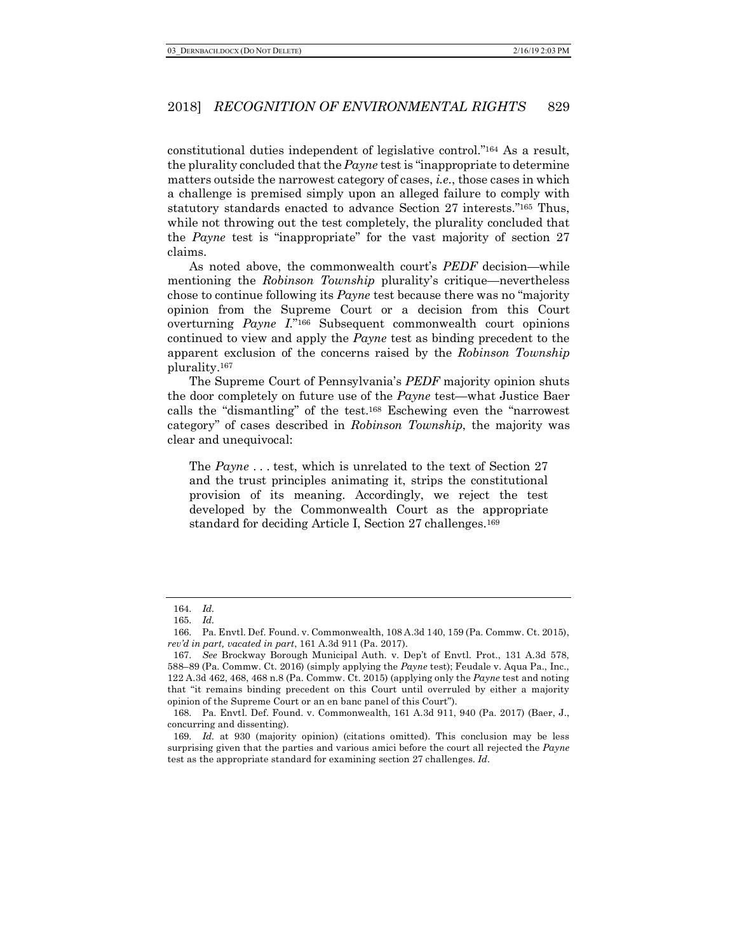constitutional duties independent of legislative control."164 As a result, the plurality concluded that the *Payne* test is "inappropriate to determine matters outside the narrowest category of cases, *i.e.*, those cases in which a challenge is premised simply upon an alleged failure to comply with statutory standards enacted to advance Section 27 interests."165 Thus, while not throwing out the test completely, the plurality concluded that the *Payne* test is "inappropriate" for the vast majority of section 27 claims.

As noted above, the commonwealth court's *PEDF* decision—while mentioning the *Robinson Township* plurality's critique—nevertheless chose to continue following its *Payne* test because there was no "majority opinion from the Supreme Court or a decision from this Court overturning *Payne I*."166 Subsequent commonwealth court opinions continued to view and apply the *Payne* test as binding precedent to the apparent exclusion of the concerns raised by the *Robinson Township* plurality.167

The Supreme Court of Pennsylvania's *PEDF* majority opinion shuts the door completely on future use of the *Payne* test—what Justice Baer calls the "dismantling" of the test.168 Eschewing even the "narrowest category" of cases described in *Robinson Township*, the majority was clear and unequivocal:

The *Payne* . . . test, which is unrelated to the text of Section 27 and the trust principles animating it, strips the constitutional provision of its meaning. Accordingly, we reject the test developed by the Commonwealth Court as the appropriate standard for deciding Article I, Section 27 challenges.169

<sup>164.</sup> *Id.*

<sup>165.</sup> *Id.*

<sup>166.</sup> Pa. Envtl. Def. Found. v. Commonwealth, 108 A.3d 140, 159 (Pa. Commw. Ct. 2015), *rev'd in part, vacated in part*, 161 A.3d 911 (Pa. 2017).

<sup>167.</sup> *See* Brockway Borough Municipal Auth. v. Dep't of Envtl. Prot., 131 A.3d 578, 588–89 (Pa. Commw. Ct. 2016) (simply applying the *Payne* test); Feudale v. Aqua Pa., Inc., 122 A.3d 462, 468, 468 n.8 (Pa. Commw. Ct. 2015) (applying only the *Payne* test and noting that "it remains binding precedent on this Court until overruled by either a majority opinion of the Supreme Court or an en banc panel of this Court").

<sup>168.</sup> Pa. Envtl. Def. Found. v. Commonwealth, 161 A.3d 911, 940 (Pa. 2017) (Baer, J., concurring and dissenting).

<sup>169.</sup> *Id.* at 930 (majority opinion) (citations omitted). This conclusion may be less surprising given that the parties and various amici before the court all rejected the *Payne* test as the appropriate standard for examining section 27 challenges. *Id.*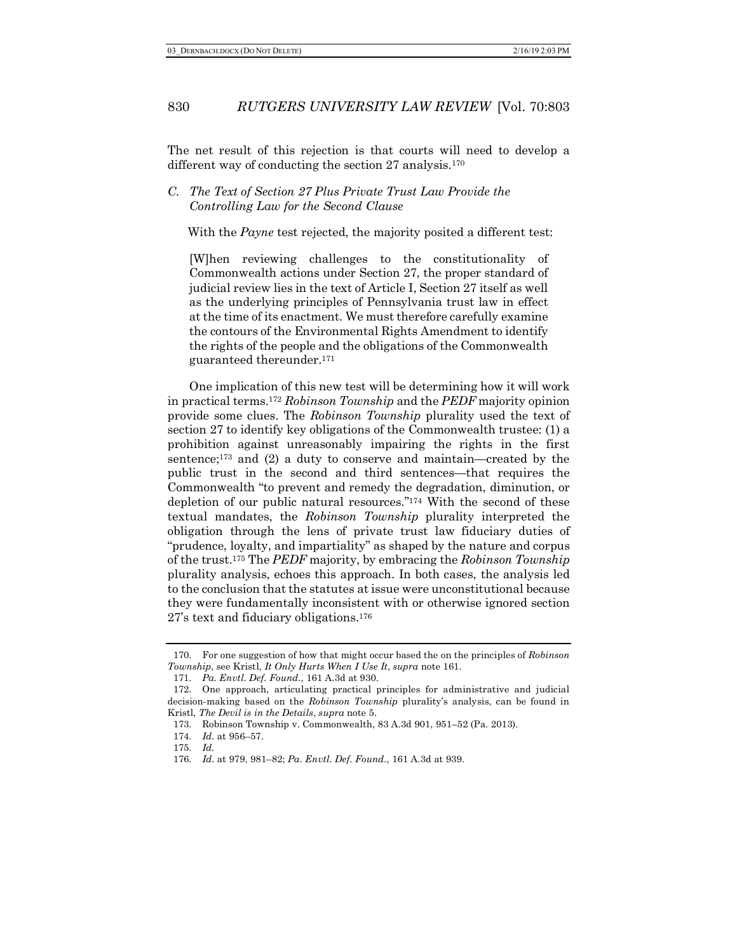The net result of this rejection is that courts will need to develop a different way of conducting the section 27 analysis.<sup>170</sup>

## *C. The Text of Section 27 Plus Private Trust Law Provide the Controlling Law for the Second Clause*

With the *Payne* test rejected, the majority posited a different test:

[W]hen reviewing challenges to the constitutionality of Commonwealth actions under Section 27, the proper standard of judicial review lies in the text of Article I, Section 27 itself as well as the underlying principles of Pennsylvania trust law in effect at the time of its enactment. We must therefore carefully examine the contours of the Environmental Rights Amendment to identify the rights of the people and the obligations of the Commonwealth guaranteed thereunder.171

One implication of this new test will be determining how it will work in practical terms.172 *Robinson Township* and the *PEDF* majority opinion provide some clues. The *Robinson Township* plurality used the text of section 27 to identify key obligations of the Commonwealth trustee: (1) a prohibition against unreasonably impairing the rights in the first sentence;173 and (2) a duty to conserve and maintain—created by the public trust in the second and third sentences—that requires the Commonwealth "to prevent and remedy the degradation, diminution, or depletion of our public natural resources."174 With the second of these textual mandates, the *Robinson Township* plurality interpreted the obligation through the lens of private trust law fiduciary duties of "prudence, loyalty, and impartiality" as shaped by the nature and corpus of the trust.175 The *PEDF* majority, by embracing the *Robinson Township* plurality analysis, echoes this approach. In both cases, the analysis led to the conclusion that the statutes at issue were unconstitutional because they were fundamentally inconsistent with or otherwise ignored section 27's text and fiduciary obligations.176

<sup>170.</sup> For one suggestion of how that might occur based the on the principles of *Robinson Township*, see Kristl, *It Only Hurts When I Use It*, *supra* note 161.

<sup>171.</sup> *Pa. Envtl. Def. Found.*, 161 A.3d at 930.

<sup>172.</sup> One approach, articulating practical principles for administrative and judicial decision-making based on the *Robinson Township* plurality's analysis, can be found in Kristl, *The Devil is in the Details*, *supra* note 5.

<sup>173.</sup> Robinson Township v. Commonwealth, 83 A.3d 901, 951–52 (Pa. 2013).

<sup>174.</sup> *Id.* at 956–57.

<sup>175.</sup> *Id.*

<sup>176.</sup> *Id.* at 979, 981–82; *Pa. Envtl. Def. Found.*, 161 A.3d at 939.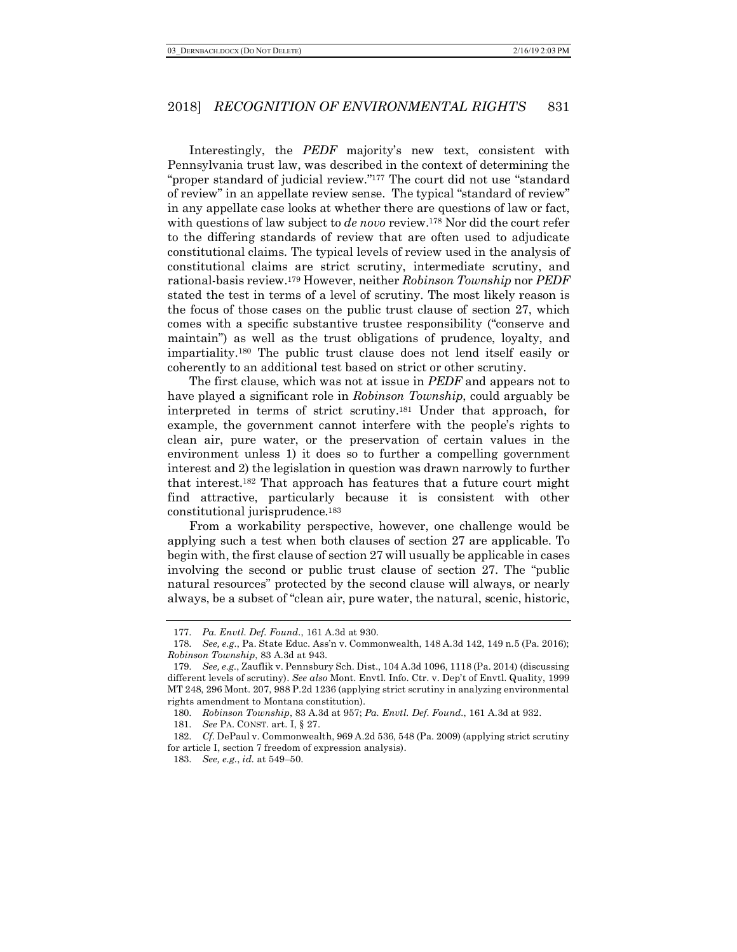Interestingly, the *PEDF* majority's new text, consistent with Pennsylvania trust law, was described in the context of determining the "proper standard of judicial review."177 The court did not use "standard of review" in an appellate review sense. The typical "standard of review" in any appellate case looks at whether there are questions of law or fact, with questions of law subject to *de novo* review.178 Nor did the court refer to the differing standards of review that are often used to adjudicate constitutional claims. The typical levels of review used in the analysis of constitutional claims are strict scrutiny, intermediate scrutiny, and rational-basis review.179 However, neither *Robinson Township* nor *PEDF* stated the test in terms of a level of scrutiny. The most likely reason is the focus of those cases on the public trust clause of section 27, which comes with a specific substantive trustee responsibility ("conserve and maintain") as well as the trust obligations of prudence, loyalty, and impartiality.180 The public trust clause does not lend itself easily or coherently to an additional test based on strict or other scrutiny.

The first clause, which was not at issue in *PEDF* and appears not to have played a significant role in *Robinson Township*, could arguably be interpreted in terms of strict scrutiny.181 Under that approach, for example, the government cannot interfere with the people's rights to clean air, pure water, or the preservation of certain values in the environment unless 1) it does so to further a compelling government interest and 2) the legislation in question was drawn narrowly to further that interest.182 That approach has features that a future court might find attractive, particularly because it is consistent with other constitutional jurisprudence.183

From a workability perspective, however, one challenge would be applying such a test when both clauses of section 27 are applicable. To begin with, the first clause of section 27 will usually be applicable in cases involving the second or public trust clause of section 27. The "public natural resources" protected by the second clause will always, or nearly always, be a subset of "clean air, pure water, the natural, scenic, historic,

<sup>177.</sup> *Pa. Envtl. Def. Found.*, 161 A.3d at 930.

<sup>178.</sup> *See, e.g.*, Pa. State Educ. Ass'n v. Commonwealth, 148 A.3d 142, 149 n.5 (Pa. 2016); *Robinson Township*, 83 A.3d at 943.

<sup>179.</sup> *See, e.g.*, Zauflik v. Pennsbury Sch. Dist., 104 A.3d 1096, 1118 (Pa. 2014) (discussing different levels of scrutiny). *See also* Mont. Envtl. Info. Ctr. v. Dep't of Envtl. Quality, 1999 MT 248, 296 Mont. 207, 988 P.2d 1236 (applying strict scrutiny in analyzing environmental rights amendment to Montana constitution).

<sup>180.</sup> *Robinson Township*, 83 A.3d at 957; *Pa. Envtl. Def. Found.*, 161 A.3d at 932.

<sup>181.</sup> *See* PA. CONST. art. I, § 27.

<sup>182.</sup> *Cf.* DePaul v. Commonwealth, 969 A.2d 536, 548 (Pa. 2009) (applying strict scrutiny for article I, section 7 freedom of expression analysis).

<sup>183.</sup> *See, e.g.*, *id.* at 549–50.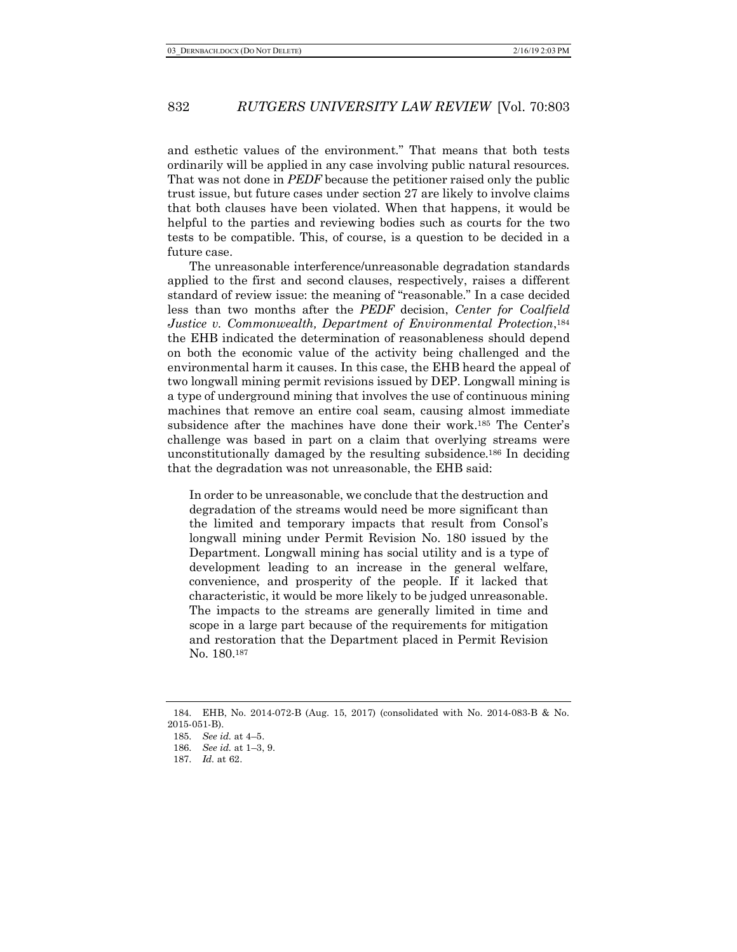and esthetic values of the environment." That means that both tests ordinarily will be applied in any case involving public natural resources. That was not done in *PEDF* because the petitioner raised only the public trust issue, but future cases under section 27 are likely to involve claims that both clauses have been violated. When that happens, it would be helpful to the parties and reviewing bodies such as courts for the two tests to be compatible. This, of course, is a question to be decided in a future case.

The unreasonable interference/unreasonable degradation standards applied to the first and second clauses, respectively, raises a different standard of review issue: the meaning of "reasonable." In a case decided less than two months after the *PEDF* decision, *Center for Coalfield Justice v. Commonwealth, Department of Environmental Protection*,<sup>184</sup> the EHB indicated the determination of reasonableness should depend on both the economic value of the activity being challenged and the environmental harm it causes. In this case, the EHB heard the appeal of two longwall mining permit revisions issued by DEP. Longwall mining is a type of underground mining that involves the use of continuous mining machines that remove an entire coal seam, causing almost immediate subsidence after the machines have done their work.185 The Center's challenge was based in part on a claim that overlying streams were unconstitutionally damaged by the resulting subsidence.186 In deciding that the degradation was not unreasonable, the EHB said:

In order to be unreasonable, we conclude that the destruction and degradation of the streams would need be more significant than the limited and temporary impacts that result from Consol's longwall mining under Permit Revision No. 180 issued by the Department. Longwall mining has social utility and is a type of development leading to an increase in the general welfare, convenience, and prosperity of the people. If it lacked that characteristic, it would be more likely to be judged unreasonable. The impacts to the streams are generally limited in time and scope in a large part because of the requirements for mitigation and restoration that the Department placed in Permit Revision No. 180.187

<sup>184.</sup> EHB, No. 2014-072-B (Aug. 15, 2017) (consolidated with No. 2014-083-B & No. 2015-051-B).

<sup>185.</sup> *See id.* at 4–5.

<sup>186.</sup> *See id.* at 1–3, 9.

<sup>187.</sup> *Id.* at 62.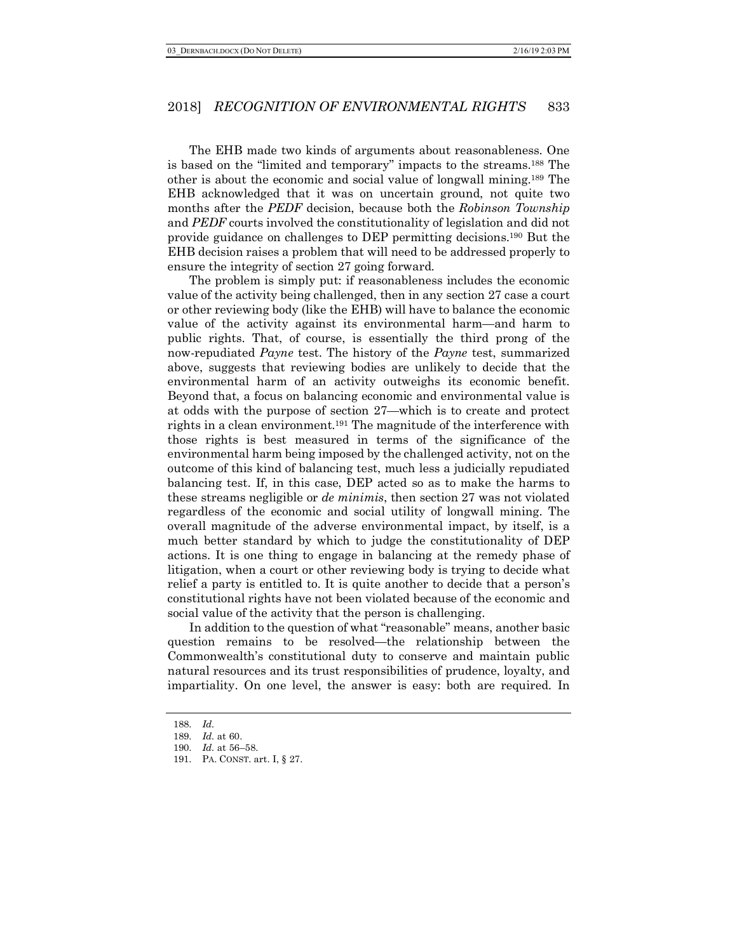The EHB made two kinds of arguments about reasonableness. One is based on the "limited and temporary" impacts to the streams.188 The other is about the economic and social value of longwall mining.189 The EHB acknowledged that it was on uncertain ground, not quite two months after the *PEDF* decision, because both the *Robinson Township* and *PEDF* courts involved the constitutionality of legislation and did not provide guidance on challenges to DEP permitting decisions.190 But the EHB decision raises a problem that will need to be addressed properly to ensure the integrity of section 27 going forward.

The problem is simply put: if reasonableness includes the economic value of the activity being challenged, then in any section 27 case a court or other reviewing body (like the EHB) will have to balance the economic value of the activity against its environmental harm—and harm to public rights. That, of course, is essentially the third prong of the now-repudiated *Payne* test. The history of the *Payne* test, summarized above, suggests that reviewing bodies are unlikely to decide that the environmental harm of an activity outweighs its economic benefit. Beyond that, a focus on balancing economic and environmental value is at odds with the purpose of section 27—which is to create and protect rights in a clean environment.191 The magnitude of the interference with those rights is best measured in terms of the significance of the environmental harm being imposed by the challenged activity, not on the outcome of this kind of balancing test, much less a judicially repudiated balancing test. If, in this case, DEP acted so as to make the harms to these streams negligible or *de minimis*, then section 27 was not violated regardless of the economic and social utility of longwall mining. The overall magnitude of the adverse environmental impact, by itself, is a much better standard by which to judge the constitutionality of DEP actions. It is one thing to engage in balancing at the remedy phase of litigation, when a court or other reviewing body is trying to decide what relief a party is entitled to. It is quite another to decide that a person's constitutional rights have not been violated because of the economic and social value of the activity that the person is challenging.

In addition to the question of what "reasonable" means, another basic question remains to be resolved—the relationship between the Commonwealth's constitutional duty to conserve and maintain public natural resources and its trust responsibilities of prudence, loyalty, and impartiality. On one level, the answer is easy: both are required. In

<sup>188.</sup> *Id.*

<sup>189.</sup> *Id.* at 60.

<sup>190.</sup> *Id.* at 56–58.

<sup>191.</sup> PA. CONST. art. I, § 27.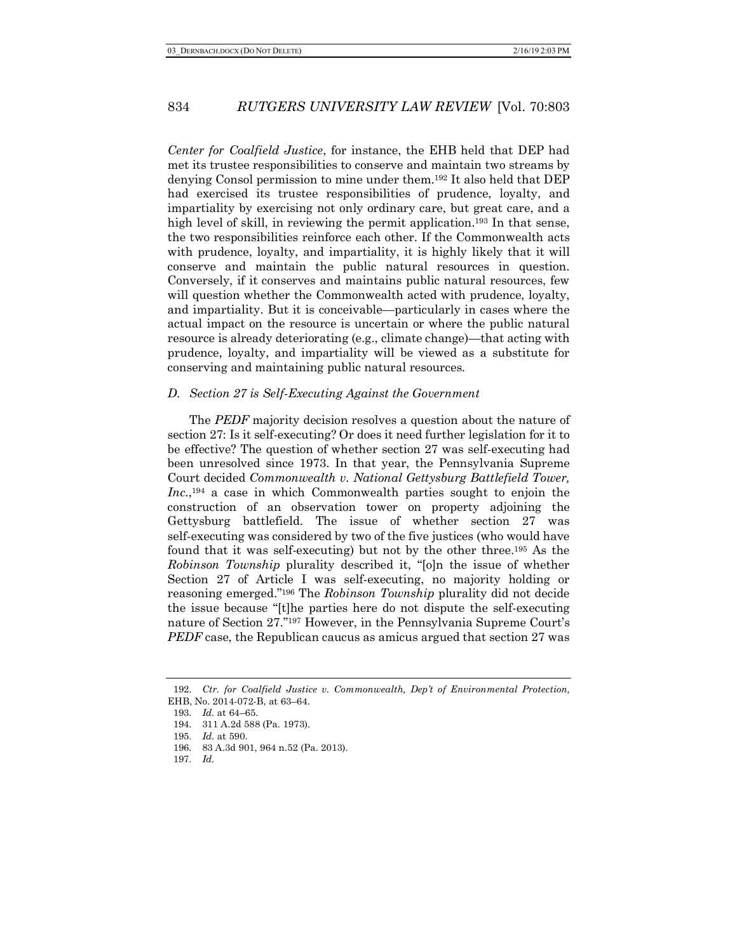*Center for Coalfield Justice*, for instance, the EHB held that DEP had met its trustee responsibilities to conserve and maintain two streams by denying Consol permission to mine under them.192 It also held that DEP had exercised its trustee responsibilities of prudence, loyalty, and impartiality by exercising not only ordinary care, but great care, and a high level of skill, in reviewing the permit application.<sup>193</sup> In that sense, the two responsibilities reinforce each other. If the Commonwealth acts with prudence, loyalty, and impartiality, it is highly likely that it will conserve and maintain the public natural resources in question. Conversely, if it conserves and maintains public natural resources, few will question whether the Commonwealth acted with prudence, loyalty, and impartiality. But it is conceivable—particularly in cases where the actual impact on the resource is uncertain or where the public natural resource is already deteriorating (e.g., climate change)—that acting with prudence, loyalty, and impartiality will be viewed as a substitute for conserving and maintaining public natural resources.

#### *D. Section 27 is Self-Executing Against the Government*

The *PEDF* majority decision resolves a question about the nature of section 27: Is it self-executing? Or does it need further legislation for it to be effective? The question of whether section 27 was self-executing had been unresolved since 1973. In that year, the Pennsylvania Supreme Court decided *Commonwealth v. National Gettysburg Battlefield Tower,*  Inc.,<sup>194</sup> a case in which Commonwealth parties sought to enjoin the construction of an observation tower on property adjoining the Gettysburg battlefield. The issue of whether section 27 was self-executing was considered by two of the five justices (who would have found that it was self-executing) but not by the other three.195 As the *Robinson Township* plurality described it, "[o]n the issue of whether Section 27 of Article I was self-executing, no majority holding or reasoning emerged."196 The *Robinson Township* plurality did not decide the issue because "[t]he parties here do not dispute the self-executing nature of Section 27."197 However, in the Pennsylvania Supreme Court's *PEDF* case, the Republican caucus as amicus argued that section 27 was

<sup>192.</sup> *Ctr. for Coalfield Justice v. Commonwealth, Dep't of Environmental Protection,*  EHB, No. 2014-072-B, at 63–64.

<sup>193.</sup> *Id.* at 64–65.

<sup>194.</sup> 311 A.2d 588 (Pa. 1973).

<sup>195.</sup> *Id.* at 590.

<sup>196.</sup> 83 A.3d 901, 964 n.52 (Pa. 2013).

<sup>197.</sup> *Id.*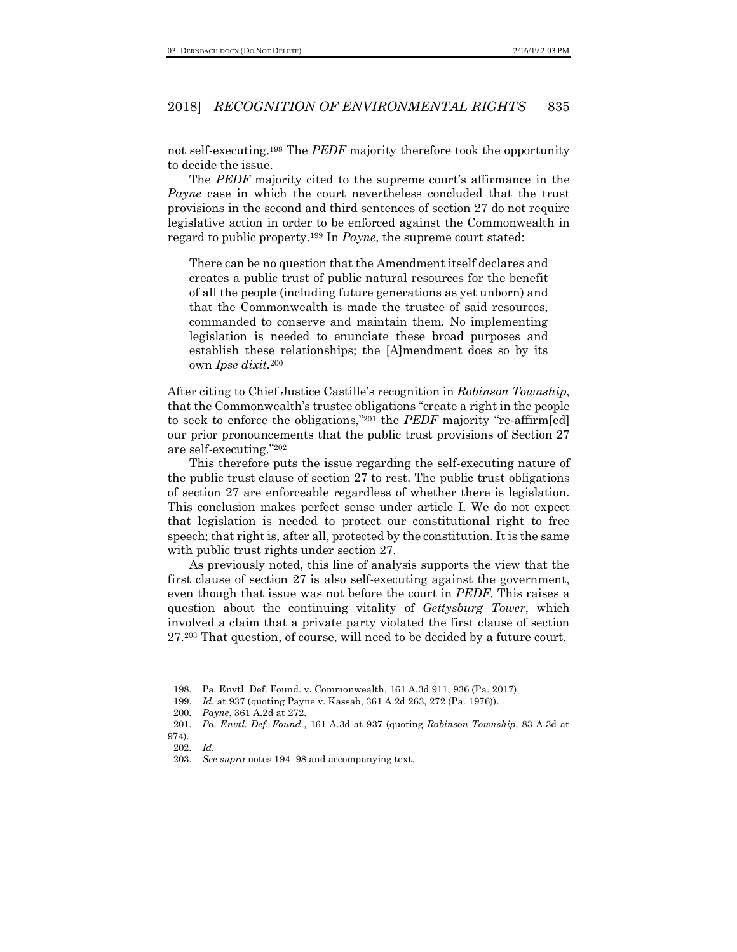not self-executing.198 The *PEDF* majority therefore took the opportunity to decide the issue.

The *PEDF* majority cited to the supreme court's affirmance in the *Payne* case in which the court nevertheless concluded that the trust provisions in the second and third sentences of section 27 do not require legislative action in order to be enforced against the Commonwealth in regard to public property.199 In *Payne*, the supreme court stated:

There can be no question that the Amendment itself declares and creates a public trust of public natural resources for the benefit of all the people (including future generations as yet unborn) and that the Commonwealth is made the trustee of said resources, commanded to conserve and maintain them. No implementing legislation is needed to enunciate these broad purposes and establish these relationships; the [A]mendment does so by its own *Ipse dixit.*<sup>200</sup>

After citing to Chief Justice Castille's recognition in *Robinson Township*, that the Commonwealth's trustee obligations "create a right in the people to seek to enforce the obligations,"201 the *PEDF* majority "re-affirm[ed] our prior pronouncements that the public trust provisions of Section 27 are self-executing."202

This therefore puts the issue regarding the self-executing nature of the public trust clause of section 27 to rest. The public trust obligations of section 27 are enforceable regardless of whether there is legislation. This conclusion makes perfect sense under article I. We do not expect that legislation is needed to protect our constitutional right to free speech; that right is, after all, protected by the constitution. It is the same with public trust rights under section 27.

As previously noted, this line of analysis supports the view that the first clause of section 27 is also self-executing against the government, even though that issue was not before the court in *PEDF*. This raises a question about the continuing vitality of *Gettysburg Tower*, which involved a claim that a private party violated the first clause of section 27.203 That question, of course, will need to be decided by a future court.

<sup>198.</sup> Pa. Envtl. Def. Found. v. Commonwealth, 161 A.3d 911, 936 (Pa. 2017).

<sup>199.</sup> *Id.* at 937 (quoting Payne v. Kassab, 361 A.2d 263, 272 (Pa. 1976)).

<sup>200.</sup> *Payne*, 361 A.2d at 272.

<sup>201.</sup> *Pa. Envtl. Def. Found*., 161 A.3d at 937 (quoting *Robinson Township*, 83 A.3d at 974).

<sup>202.</sup> *Id.*

<sup>203.</sup> *See supra* notes 194–98 and accompanying text.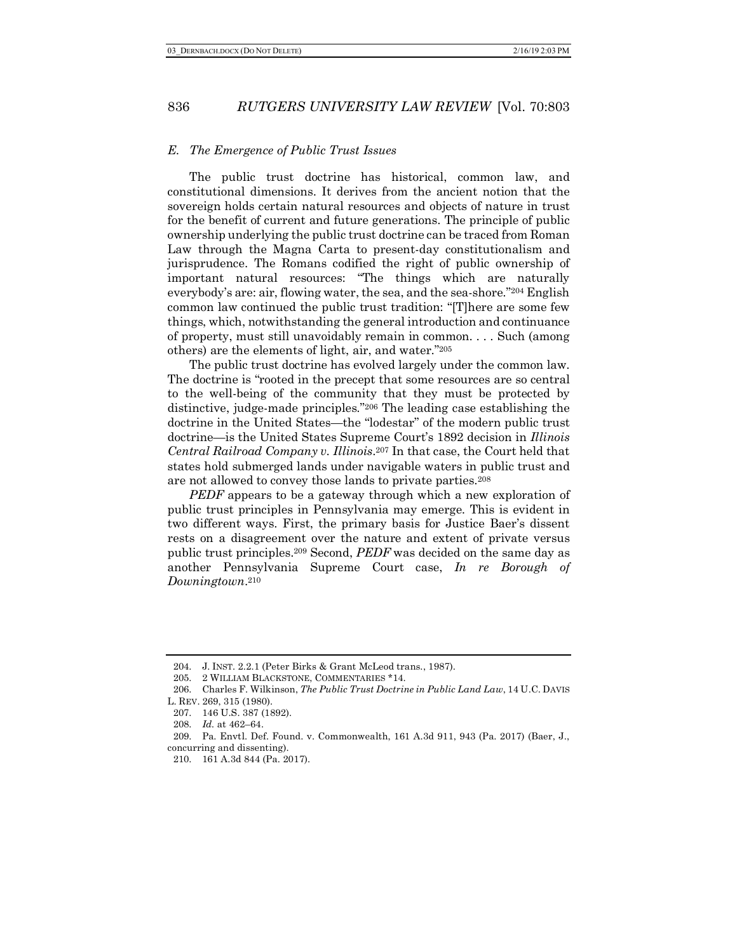#### *E. The Emergence of Public Trust Issues*

The public trust doctrine has historical, common law, and constitutional dimensions. It derives from the ancient notion that the sovereign holds certain natural resources and objects of nature in trust for the benefit of current and future generations. The principle of public ownership underlying the public trust doctrine can be traced from Roman Law through the Magna Carta to present-day constitutionalism and jurisprudence. The Romans codified the right of public ownership of important natural resources: "The things which are naturally everybody's are: air, flowing water, the sea, and the sea-shore."204 English common law continued the public trust tradition: "[T]here are some few things, which, notwithstanding the general introduction and continuance of property, must still unavoidably remain in common. . . . Such (among others) are the elements of light, air, and water."205

The public trust doctrine has evolved largely under the common law. The doctrine is "rooted in the precept that some resources are so central to the well-being of the community that they must be protected by distinctive, judge-made principles."206 The leading case establishing the doctrine in the United States—the "lodestar" of the modern public trust doctrine—is the United States Supreme Court's 1892 decision in *Illinois Central Railroad Company v. Illinois*.207 In that case, the Court held that states hold submerged lands under navigable waters in public trust and are not allowed to convey those lands to private parties.208

*PEDF* appears to be a gateway through which a new exploration of public trust principles in Pennsylvania may emerge. This is evident in two different ways. First, the primary basis for Justice Baer's dissent rests on a disagreement over the nature and extent of private versus public trust principles.209 Second, *PEDF* was decided on the same day as another Pennsylvania Supreme Court case, *In re Borough of Downingtown*.210

208. *Id.* at 462–64.

<sup>204.</sup> J. INST. 2.2.1 (Peter Birks & Grant McLeod trans., 1987).

<sup>205.</sup> 2 WILLIAM BLACKSTONE, COMMENTARIES \*14.

<sup>206.</sup> Charles F. Wilkinson, *The Public Trust Doctrine in Public Land Law*, 14 U.C. DAVIS

L. REV. 269, 315 (1980).

<sup>207.</sup> 146 U.S. 387 (1892).

<sup>209.</sup> Pa. Envtl. Def. Found. v. Commonwealth, 161 A.3d 911, 943 (Pa. 2017) (Baer, J., concurring and dissenting).

<sup>210.</sup> 161 A.3d 844 (Pa. 2017).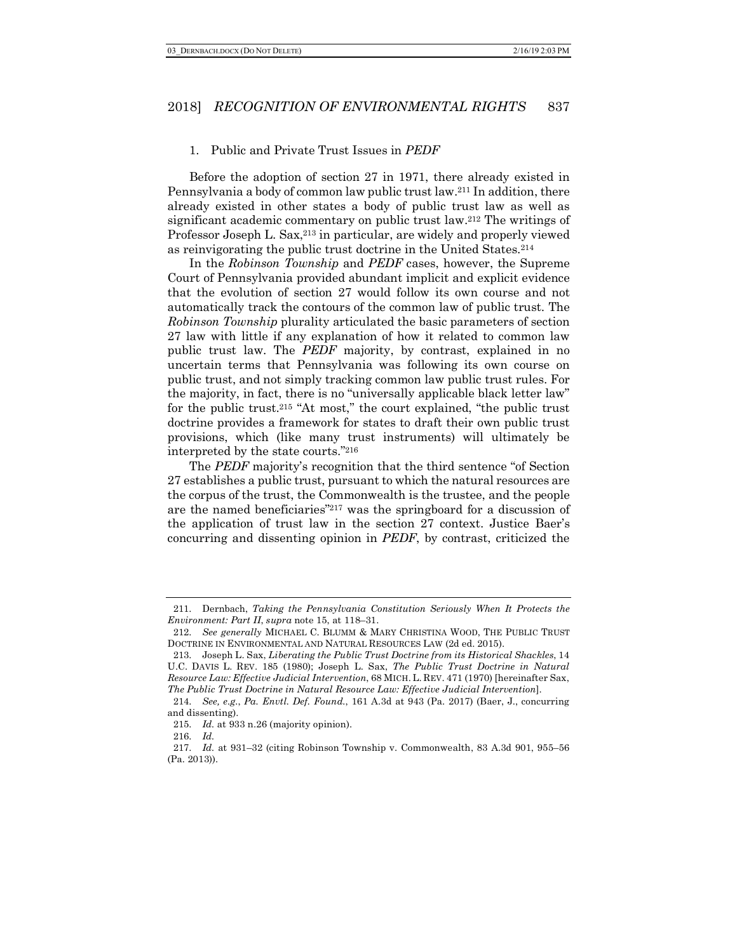#### 1. Public and Private Trust Issues in *PEDF*

Before the adoption of section 27 in 1971, there already existed in Pennsylvania a body of common law public trust law.211 In addition, there already existed in other states a body of public trust law as well as significant academic commentary on public trust law.212 The writings of Professor Joseph L. Sax,213 in particular, are widely and properly viewed as reinvigorating the public trust doctrine in the United States.214

In the *Robinson Township* and *PEDF* cases, however, the Supreme Court of Pennsylvania provided abundant implicit and explicit evidence that the evolution of section 27 would follow its own course and not automatically track the contours of the common law of public trust. The *Robinson Township* plurality articulated the basic parameters of section 27 law with little if any explanation of how it related to common law public trust law. The *PEDF* majority, by contrast, explained in no uncertain terms that Pennsylvania was following its own course on public trust, and not simply tracking common law public trust rules. For the majority, in fact, there is no "universally applicable black letter law" for the public trust.215 "At most," the court explained, "the public trust doctrine provides a framework for states to draft their own public trust provisions, which (like many trust instruments) will ultimately be interpreted by the state courts."216

The *PEDF* majority's recognition that the third sentence "of Section 27 establishes a public trust, pursuant to which the natural resources are the corpus of the trust, the Commonwealth is the trustee, and the people are the named beneficiaries"217 was the springboard for a discussion of the application of trust law in the section 27 context. Justice Baer's concurring and dissenting opinion in *PEDF*, by contrast, criticized the

<sup>211.</sup> Dernbach, *Taking the Pennsylvania Constitution Seriously When It Protects the Environment: Part II*, *supra* note 15, at 118–31.

<sup>212.</sup> *See generally* MICHAEL C. BLUMM & MARY CHRISTINA WOOD, THE PUBLIC TRUST DOCTRINE IN ENVIRONMENTAL AND NATURAL RESOURCES LAW (2d ed. 2015).

<sup>213.</sup> Joseph L. Sax, *Liberating the Public Trust Doctrine from its Historical Shackles*, 14 U.C. DAVIS L. REV. 185 (1980); Joseph L. Sax, *The Public Trust Doctrine in Natural Resource Law: Effective Judicial Intervention*, 68 MICH. L. REV. 471 (1970) [hereinafter Sax, *The Public Trust Doctrine in Natural Resource Law: Effective Judicial Intervention*].

<sup>214.</sup> *See, e.g.*, *Pa. Envtl. Def. Found.*, 161 A.3d at 943 (Pa. 2017) (Baer, J., concurring and dissenting).

<sup>215.</sup> *Id.* at 933 n.26 (majority opinion).

<sup>216.</sup> *Id.*

<sup>217.</sup> *Id.* at 931–32 (citing Robinson Township v. Commonwealth, 83 A.3d 901, 955–56 (Pa. 2013)).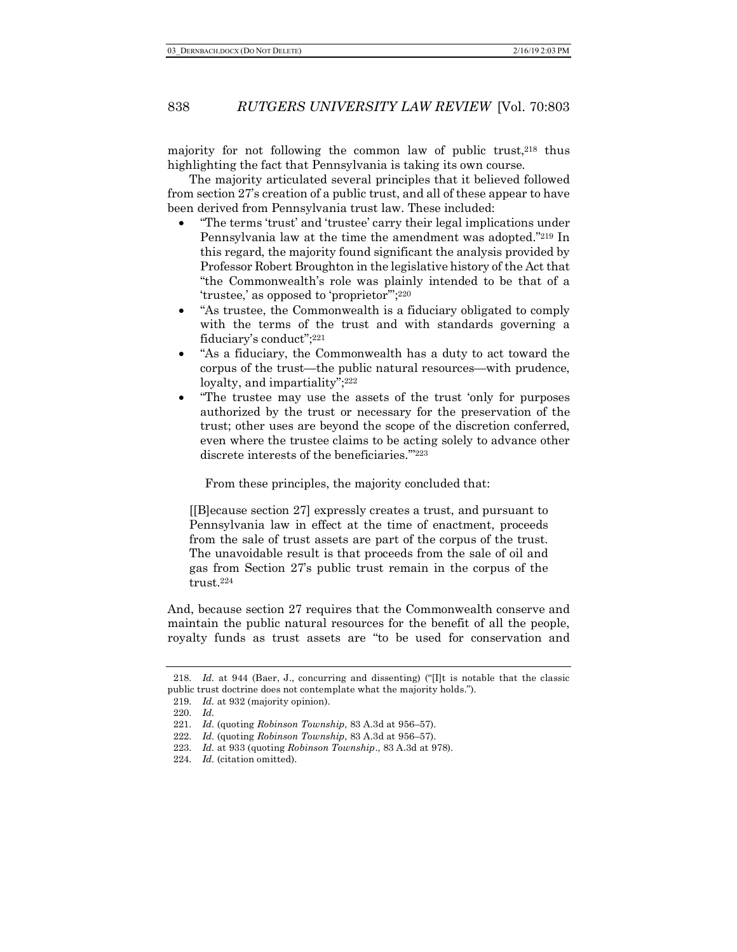majority for not following the common law of public trust,<sup>218</sup> thus highlighting the fact that Pennsylvania is taking its own course.

The majority articulated several principles that it believed followed from section 27's creation of a public trust, and all of these appear to have been derived from Pennsylvania trust law. These included:

- "The terms 'trust' and 'trustee' carry their legal implications under Pennsylvania law at the time the amendment was adopted."219 In this regard, the majority found significant the analysis provided by Professor Robert Broughton in the legislative history of the Act that "the Commonwealth's role was plainly intended to be that of a 'trustee,' as opposed to 'proprietor'";220
- "As trustee, the Commonwealth is a fiduciary obligated to comply with the terms of the trust and with standards governing a fiduciary's conduct";221
- "As a fiduciary, the Commonwealth has a duty to act toward the corpus of the trust—the public natural resources—with prudence, loyalty, and impartiality";<sup>222</sup>
- "The trustee may use the assets of the trust 'only for purposes authorized by the trust or necessary for the preservation of the trust; other uses are beyond the scope of the discretion conferred, even where the trustee claims to be acting solely to advance other discrete interests of the beneficiaries.'"223

From these principles, the majority concluded that:

[[B]ecause section 27] expressly creates a trust, and pursuant to Pennsylvania law in effect at the time of enactment, proceeds from the sale of trust assets are part of the corpus of the trust. The unavoidable result is that proceeds from the sale of oil and gas from Section 27's public trust remain in the corpus of the trust.224

And, because section 27 requires that the Commonwealth conserve and maintain the public natural resources for the benefit of all the people, royalty funds as trust assets are "to be used for conservation and

<sup>218.</sup> *Id.* at 944 (Baer, J., concurring and dissenting) ("Ilt is notable that the classic public trust doctrine does not contemplate what the majority holds.").

<sup>219.</sup> *Id.* at 932 (majority opinion).

<sup>220.</sup> *Id.*

<sup>221.</sup> *Id.* (quoting *Robinson Township*, 83 A.3d at 956–57).

<sup>222.</sup> *Id.* (quoting *Robinson Township*, 83 A.3d at 956–57).

<sup>223.</sup> *Id.* at 933 (quoting *Robinson Township*., 83 A.3d at 978).

<sup>224.</sup> *Id.* (citation omitted).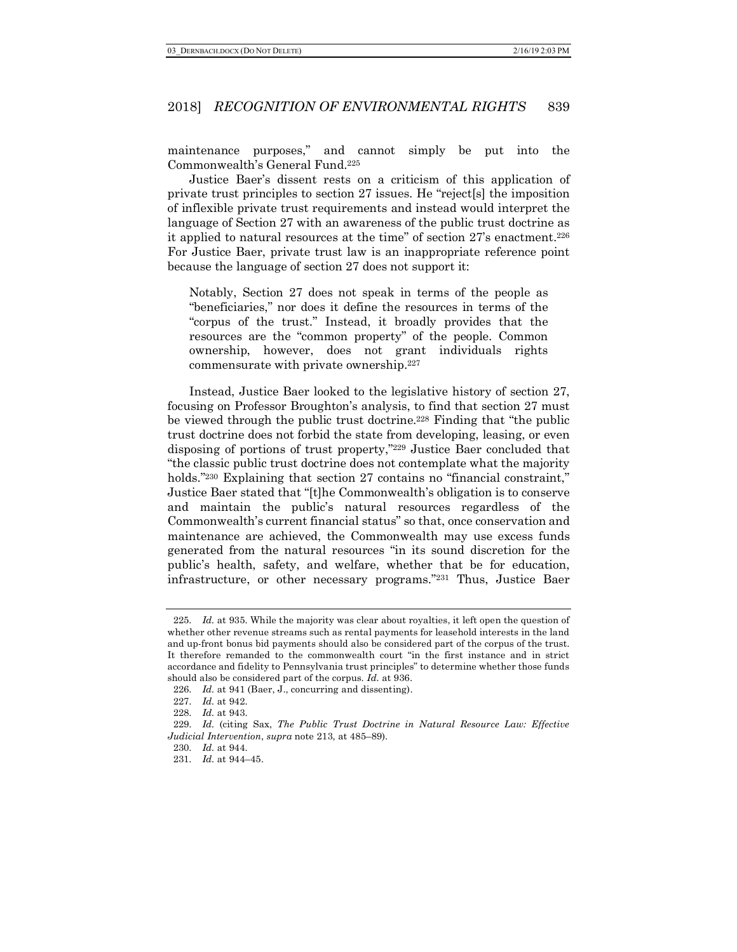maintenance purposes," and cannot simply be put into the Commonwealth's General Fund.225

Justice Baer's dissent rests on a criticism of this application of private trust principles to section 27 issues. He "reject[s] the imposition of inflexible private trust requirements and instead would interpret the language of Section 27 with an awareness of the public trust doctrine as it applied to natural resources at the time" of section 27's enactment.226 For Justice Baer, private trust law is an inappropriate reference point because the language of section 27 does not support it:

Notably, Section 27 does not speak in terms of the people as "beneficiaries," nor does it define the resources in terms of the "corpus of the trust." Instead, it broadly provides that the resources are the "common property" of the people. Common ownership, however, does not grant individuals rights commensurate with private ownership.227

Instead, Justice Baer looked to the legislative history of section 27, focusing on Professor Broughton's analysis, to find that section 27 must be viewed through the public trust doctrine.228 Finding that "the public trust doctrine does not forbid the state from developing, leasing, or even disposing of portions of trust property,"229 Justice Baer concluded that "the classic public trust doctrine does not contemplate what the majority holds.<sup>"230</sup> Explaining that section 27 contains no "financial constraint," Justice Baer stated that "[t]he Commonwealth's obligation is to conserve and maintain the public's natural resources regardless of the Commonwealth's current financial status" so that, once conservation and maintenance are achieved, the Commonwealth may use excess funds generated from the natural resources "in its sound discretion for the public's health, safety, and welfare, whether that be for education, infrastructure, or other necessary programs."231 Thus, Justice Baer

<sup>225.</sup> *Id.* at 935. While the majority was clear about royalties, it left open the question of whether other revenue streams such as rental payments for leasehold interests in the land and up-front bonus bid payments should also be considered part of the corpus of the trust. It therefore remanded to the commonwealth court "in the first instance and in strict accordance and fidelity to Pennsylvania trust principles" to determine whether those funds should also be considered part of the corpus. *Id.* at 936.

<sup>226.</sup> *Id.* at 941 (Baer, J., concurring and dissenting).

<sup>227.</sup> *Id.* at 942.

<sup>228.</sup> *Id.* at 943.

<sup>229.</sup> *Id.* (citing Sax, *The Public Trust Doctrine in Natural Resource Law: Effective Judicial Intervention*, *supra* note 213, at 485–89).

<sup>230.</sup> *Id.* at 944.

<sup>231.</sup> *Id.* at 944–45.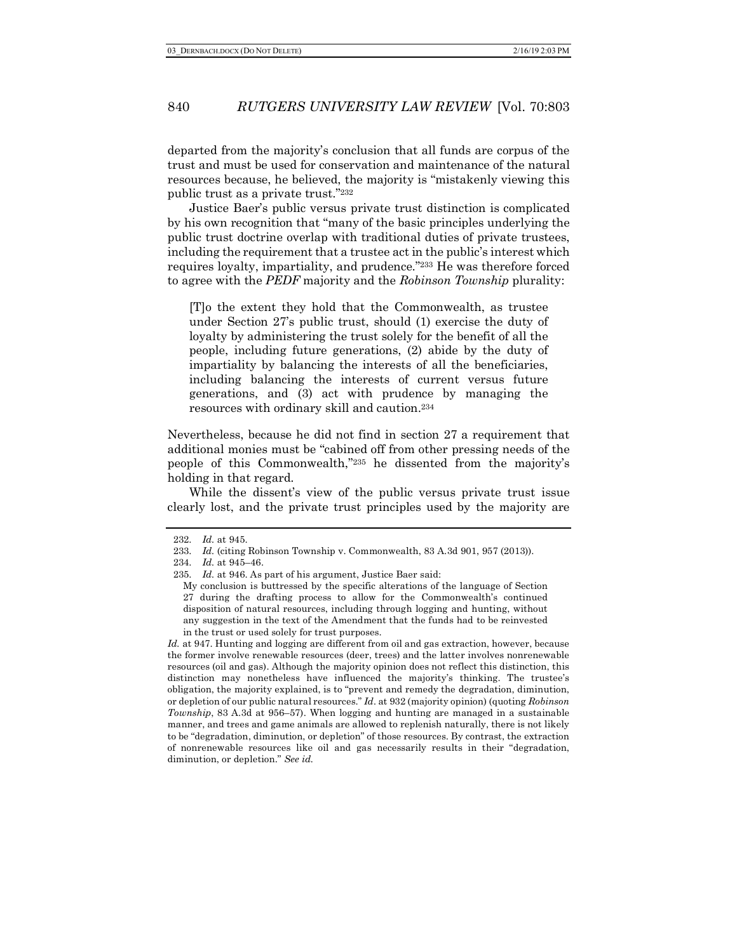departed from the majority's conclusion that all funds are corpus of the trust and must be used for conservation and maintenance of the natural resources because, he believed, the majority is "mistakenly viewing this public trust as a private trust."232

Justice Baer's public versus private trust distinction is complicated by his own recognition that "many of the basic principles underlying the public trust doctrine overlap with traditional duties of private trustees, including the requirement that a trustee act in the public's interest which requires loyalty, impartiality, and prudence."233 He was therefore forced to agree with the *PEDF* majority and the *Robinson Township* plurality:

[T]o the extent they hold that the Commonwealth, as trustee under Section 27's public trust, should (1) exercise the duty of loyalty by administering the trust solely for the benefit of all the people, including future generations, (2) abide by the duty of impartiality by balancing the interests of all the beneficiaries, including balancing the interests of current versus future generations, and (3) act with prudence by managing the resources with ordinary skill and caution.234

Nevertheless, because he did not find in section 27 a requirement that additional monies must be "cabined off from other pressing needs of the people of this Commonwealth,"235 he dissented from the majority's holding in that regard.

While the dissent's view of the public versus private trust issue clearly lost, and the private trust principles used by the majority are

Id. at 947. Hunting and logging are different from oil and gas extraction, however, because the former involve renewable resources (deer, trees) and the latter involves nonrenewable resources (oil and gas). Although the majority opinion does not reflect this distinction, this distinction may nonetheless have influenced the majority's thinking. The trustee's obligation, the majority explained, is to "prevent and remedy the degradation, diminution, or depletion of our public natural resources." *Id.* at 932 (majority opinion) (quoting *Robinson Township*, 83 A.3d at 956–57). When logging and hunting are managed in a sustainable manner, and trees and game animals are allowed to replenish naturally, there is not likely to be "degradation, diminution, or depletion" of those resources. By contrast, the extraction of nonrenewable resources like oil and gas necessarily results in their "degradation, diminution, or depletion." *See id.*

<sup>232.</sup> *Id.* at 945.

<sup>233.</sup> *Id.* (citing Robinson Township v. Commonwealth, 83 A.3d 901, 957 (2013)).

<sup>234.</sup> *Id.* at 945–46.

<sup>235.</sup> *Id.* at 946. As part of his argument, Justice Baer said:

My conclusion is buttressed by the specific alterations of the language of Section 27 during the drafting process to allow for the Commonwealth's continued disposition of natural resources, including through logging and hunting, without any suggestion in the text of the Amendment that the funds had to be reinvested in the trust or used solely for trust purposes.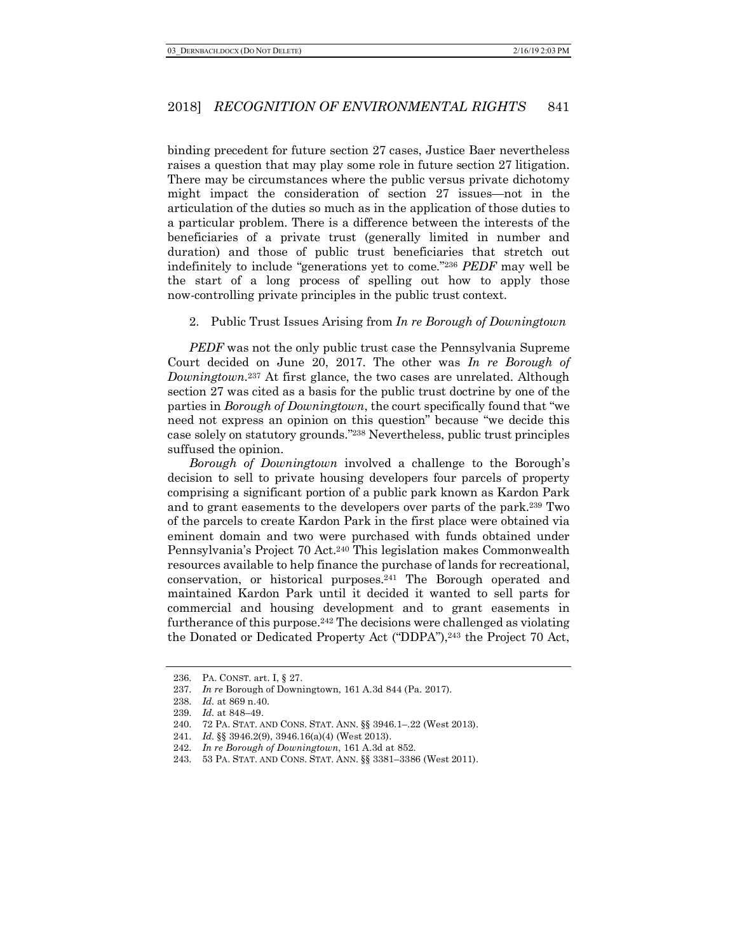binding precedent for future section 27 cases, Justice Baer nevertheless raises a question that may play some role in future section 27 litigation. There may be circumstances where the public versus private dichotomy might impact the consideration of section 27 issues—not in the articulation of the duties so much as in the application of those duties to a particular problem. There is a difference between the interests of the beneficiaries of a private trust (generally limited in number and duration) and those of public trust beneficiaries that stretch out indefinitely to include "generations yet to come."236 *PEDF* may well be the start of a long process of spelling out how to apply those now-controlling private principles in the public trust context.

#### 2. Public Trust Issues Arising from *In re Borough of Downingtown*

*PEDF* was not the only public trust case the Pennsylvania Supreme Court decided on June 20, 2017. The other was *In re Borough of Downingtown.*<sup>237</sup> At first glance, the two cases are unrelated. Although section 27 was cited as a basis for the public trust doctrine by one of the parties in *Borough of Downingtown*, the court specifically found that "we need not express an opinion on this question" because "we decide this case solely on statutory grounds."238 Nevertheless, public trust principles suffused the opinion.

*Borough of Downingtown* involved a challenge to the Borough's decision to sell to private housing developers four parcels of property comprising a significant portion of a public park known as Kardon Park and to grant easements to the developers over parts of the park.239 Two of the parcels to create Kardon Park in the first place were obtained via eminent domain and two were purchased with funds obtained under Pennsylvania's Project 70 Act.240 This legislation makes Commonwealth resources available to help finance the purchase of lands for recreational, conservation, or historical purposes.241 The Borough operated and maintained Kardon Park until it decided it wanted to sell parts for commercial and housing development and to grant easements in furtherance of this purpose.242 The decisions were challenged as violating the Donated or Dedicated Property Act ("DDPA"),243 the Project 70 Act,

<sup>236.</sup> PA. CONST. art. I, § 27.

<sup>237.</sup> *In re* Borough of Downingtown, 161 A.3d 844 (Pa. 2017).

<sup>238.</sup> *Id.* at 869 n.40.

<sup>239.</sup> *Id.* at 848–49.

<sup>240.</sup> 72 PA. STAT. AND CONS. STAT. ANN. §§ 3946.1–.22 (West 2013).

<sup>241.</sup> *Id.* §§ 3946.2(9), 3946.16(a)(4) (West 2013).

<sup>242.</sup> *In re Borough of Downingtown*, 161 A.3d at 852.

<sup>243.</sup> 53 PA. STAT. AND CONS. STAT. ANN. §§ 3381–3386 (West 2011).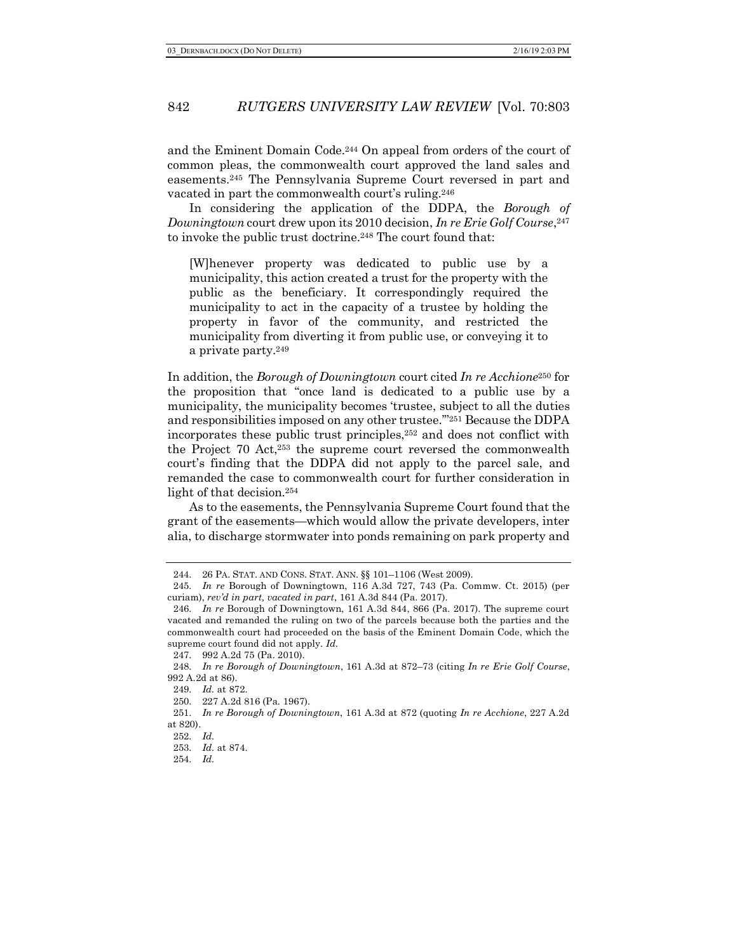and the Eminent Domain Code.244 On appeal from orders of the court of common pleas, the commonwealth court approved the land sales and easements.245 The Pennsylvania Supreme Court reversed in part and vacated in part the commonwealth court's ruling.246

In considering the application of the DDPA, the *Borough of Downingtown* court drew upon its 2010 decision, *In re Erie Golf Course*, <sup>247</sup> to invoke the public trust doctrine.248 The court found that:

[W]henever property was dedicated to public use by a municipality, this action created a trust for the property with the public as the beneficiary. It correspondingly required the municipality to act in the capacity of a trustee by holding the property in favor of the community, and restricted the municipality from diverting it from public use, or conveying it to a private party.249

In addition, the *Borough of Downingtown* court cited *In re Acchione*<sup>250</sup> for the proposition that "once land is dedicated to a public use by a municipality, the municipality becomes 'trustee, subject to all the duties and responsibilities imposed on any other trustee.'"251 Because the DDPA incorporates these public trust principles,252 and does not conflict with the Project 70 Act,253 the supreme court reversed the commonwealth court's finding that the DDPA did not apply to the parcel sale, and remanded the case to commonwealth court for further consideration in light of that decision.254

As to the easements, the Pennsylvania Supreme Court found that the grant of the easements—which would allow the private developers, inter alia, to discharge stormwater into ponds remaining on park property and

<sup>244.</sup> 26 PA. STAT. AND CONS. STAT. ANN. §§ 101–1106 (West 2009).

<sup>245.</sup> *In re* Borough of Downingtown, 116 A.3d 727, 743 (Pa. Commw. Ct. 2015) (per curiam), *rev'd in part, vacated in part*, 161 A.3d 844 (Pa. 2017).

<sup>246.</sup> *In re* Borough of Downingtown, 161 A.3d 844, 866 (Pa. 2017). The supreme court vacated and remanded the ruling on two of the parcels because both the parties and the commonwealth court had proceeded on the basis of the Eminent Domain Code, which the supreme court found did not apply. *Id.*

<sup>247.</sup> 992 A.2d 75 (Pa. 2010).

<sup>248.</sup> *In re Borough of Downingtown*, 161 A.3d at 872–73 (citing *In re Erie Golf Course*, 992 A.2d at 86).

<sup>249.</sup> *Id.* at 872.

<sup>250.</sup> 227 A.2d 816 (Pa. 1967).

<sup>251.</sup> *In re Borough of Downingtown*, 161 A.3d at 872 (quoting *In re Acchione*, 227 A.2d at 820).

<sup>252.</sup> *Id.*

<sup>253.</sup> *Id.* at 874.

<sup>254.</sup> *Id.*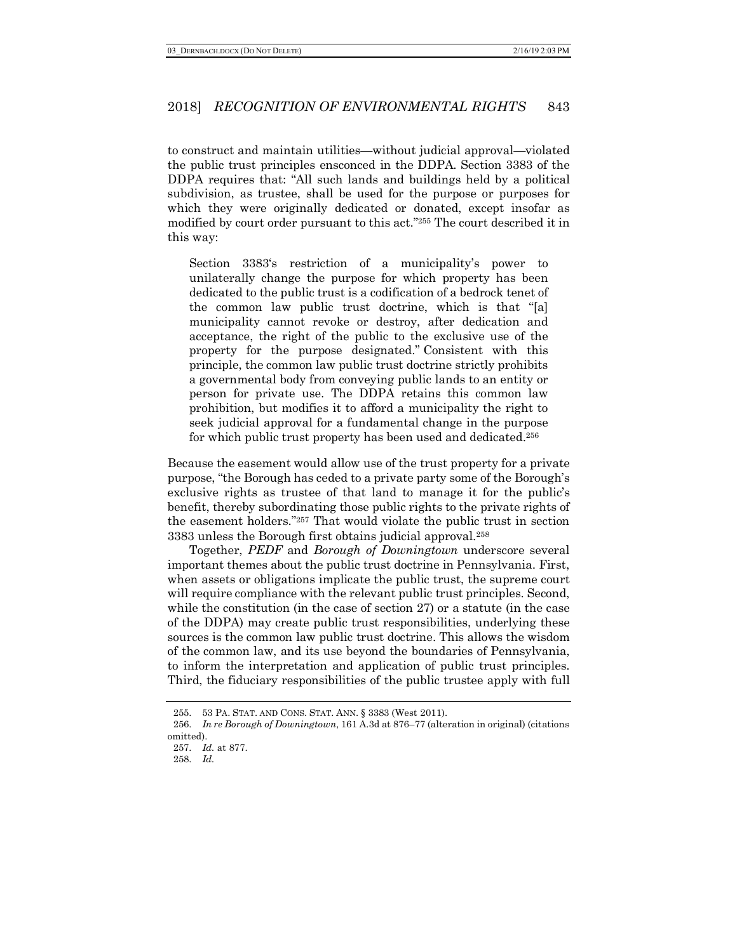to construct and maintain utilities—without judicial approval—violated the public trust principles ensconced in the DDPA. Section 3383 of the DDPA requires that: "All such lands and buildings held by a political subdivision, as trustee, shall be used for the purpose or purposes for which they were originally dedicated or donated, except insofar as modified by court order pursuant to this act."255 The court described it in this way:

Section 3383's restriction of a municipality's power to unilaterally change the purpose for which property has been dedicated to the public trust is a codification of a bedrock tenet of the common law public trust doctrine, which is that "[a] municipality cannot revoke or destroy, after dedication and acceptance, the right of the public to the exclusive use of the property for the purpose designated." Consistent with this principle, the common law public trust doctrine strictly prohibits a governmental body from conveying public lands to an entity or person for private use. The DDPA retains this common law prohibition, but modifies it to afford a municipality the right to seek judicial approval for a fundamental change in the purpose for which public trust property has been used and dedicated.256

Because the easement would allow use of the trust property for a private purpose, "the Borough has ceded to a private party some of the Borough's exclusive rights as trustee of that land to manage it for the public's benefit, thereby subordinating those public rights to the private rights of the easement holders."257 That would violate the public trust in section 3383 unless the Borough first obtains judicial approval.258

Together, *PEDF* and *Borough of Downingtown* underscore several important themes about the public trust doctrine in Pennsylvania. First, when assets or obligations implicate the public trust, the supreme court will require compliance with the relevant public trust principles. Second, while the constitution (in the case of section 27) or a statute (in the case of the DDPA) may create public trust responsibilities, underlying these sources is the common law public trust doctrine. This allows the wisdom of the common law, and its use beyond the boundaries of Pennsylvania, to inform the interpretation and application of public trust principles. Third, the fiduciary responsibilities of the public trustee apply with full

<sup>255.</sup> 53 PA. STAT. AND CONS. STAT. ANN. § 3383 (West 2011).

<sup>256.</sup> *In re Borough of Downingtown*, 161 A.3d at 876–77 (alteration in original) (citations omitted).

<sup>257.</sup> *Id.* at 877.

<sup>258.</sup> *Id.*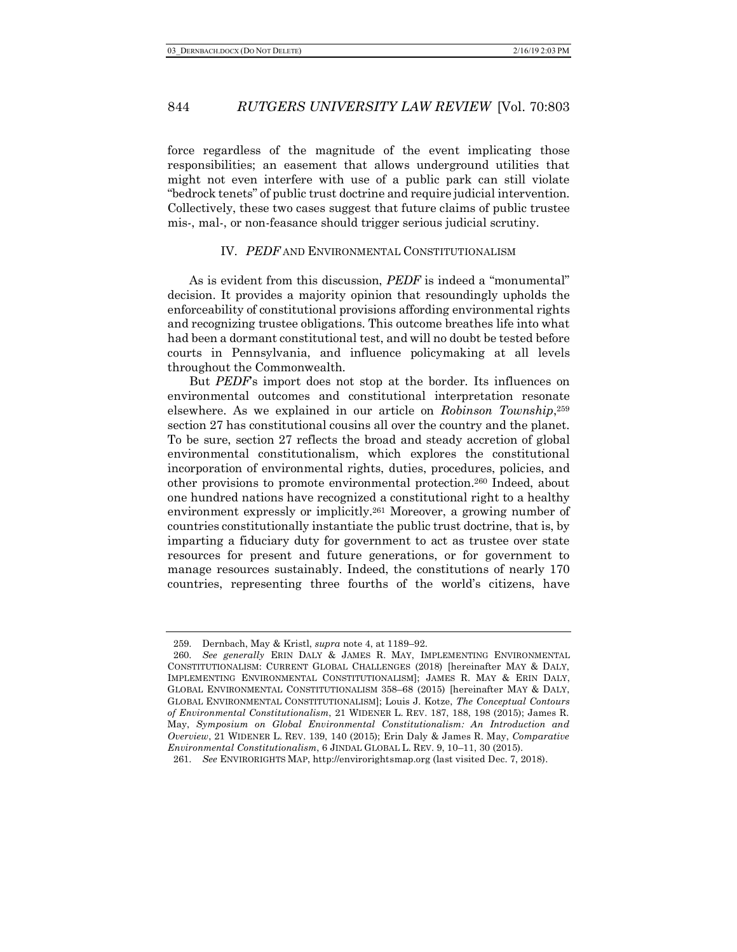force regardless of the magnitude of the event implicating those responsibilities; an easement that allows underground utilities that might not even interfere with use of a public park can still violate "bedrock tenets" of public trust doctrine and require judicial intervention. Collectively, these two cases suggest that future claims of public trustee mis-, mal-, or non-feasance should trigger serious judicial scrutiny.

## IV. *PEDF* AND ENVIRONMENTAL CONSTITUTIONALISM

As is evident from this discussion, *PEDF* is indeed a "monumental" decision. It provides a majority opinion that resoundingly upholds the enforceability of constitutional provisions affording environmental rights and recognizing trustee obligations. This outcome breathes life into what had been a dormant constitutional test, and will no doubt be tested before courts in Pennsylvania, and influence policymaking at all levels throughout the Commonwealth.

But *PEDF*'s import does not stop at the border. Its influences on environmental outcomes and constitutional interpretation resonate elsewhere. As we explained in our article on *Robinson Township*,259 section 27 has constitutional cousins all over the country and the planet. To be sure, section 27 reflects the broad and steady accretion of global environmental constitutionalism, which explores the constitutional incorporation of environmental rights, duties, procedures, policies, and other provisions to promote environmental protection.260 Indeed, about one hundred nations have recognized a constitutional right to a healthy environment expressly or implicitly.261 Moreover, a growing number of countries constitutionally instantiate the public trust doctrine, that is, by imparting a fiduciary duty for government to act as trustee over state resources for present and future generations, or for government to manage resources sustainably. Indeed, the constitutions of nearly 170 countries, representing three fourths of the world's citizens, have

<sup>259.</sup> Dernbach, May & Kristl, *supra* note 4, at 1189–92.

<sup>260.</sup> *See generally* ERIN DALY & JAMES R. MAY, IMPLEMENTING ENVIRONMENTAL CONSTITUTIONALISM: CURRENT GLOBAL CHALLENGES (2018) [hereinafter MAY & DALY, IMPLEMENTING ENVIRONMENTAL CONSTITUTIONALISM]; JAMES R. MAY & ERIN DALY, GLOBAL ENVIRONMENTAL CONSTITUTIONALISM 358–68 (2015) [hereinafter MAY & DALY, GLOBAL ENVIRONMENTAL CONSTITUTIONALISM]; Louis J. Kotze, *The Conceptual Contours of Environmental Constitutionalism*, 21 WIDENER L. REV. 187, 188, 198 (2015); James R. May, *Symposium on Global Environmental Constitutionalism: An Introduction and Overview*, 21 WIDENER L. REV. 139, 140 (2015); Erin Daly & James R. May, *Comparative Environmental Constitutionalism*, 6 JINDAL GLOBAL L. REV. 9, 10–11, 30 (2015).

<sup>261.</sup> *See* ENVIRORIGHTS MAP, http://envirorightsmap.org (last visited Dec. 7, 2018).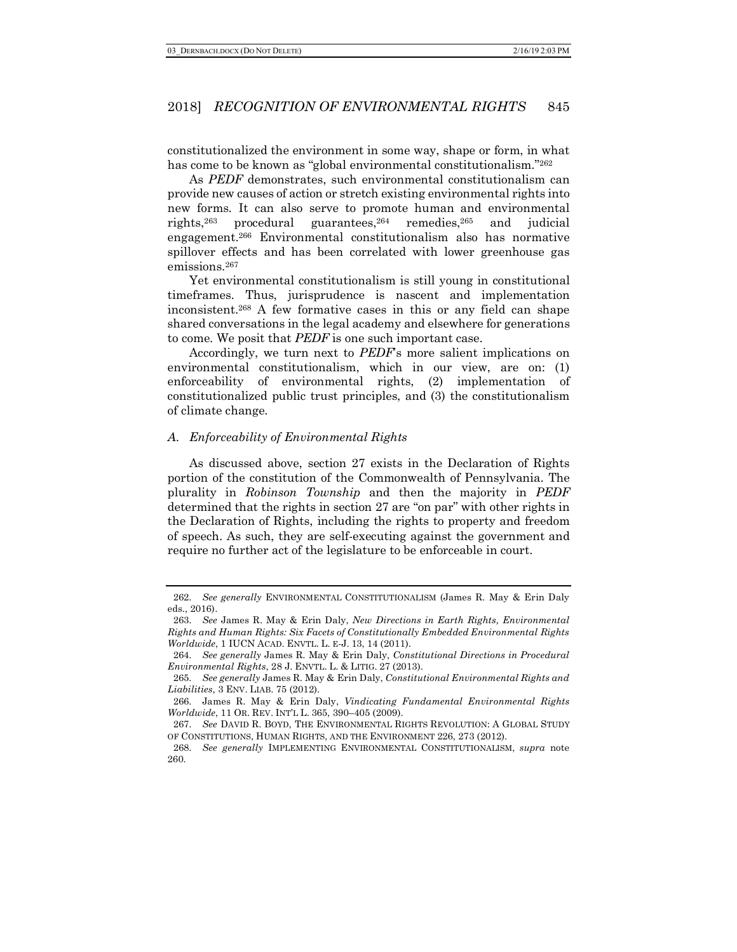constitutionalized the environment in some way, shape or form, in what has come to be known as "global environmental constitutionalism."262

As *PEDF* demonstrates, such environmental constitutionalism can provide new causes of action or stretch existing environmental rights into new forms. It can also serve to promote human and environmental rights,263 procedural guarantees,264 remedies,265 and judicial engagement.266 Environmental constitutionalism also has normative spillover effects and has been correlated with lower greenhouse gas emissions.267

Yet environmental constitutionalism is still young in constitutional timeframes. Thus, jurisprudence is nascent and implementation inconsistent.268 A few formative cases in this or any field can shape shared conversations in the legal academy and elsewhere for generations to come. We posit that *PEDF* is one such important case.

Accordingly, we turn next to *PEDF*'s more salient implications on environmental constitutionalism, which in our view, are on: (1) enforceability of environmental rights, (2) implementation of constitutionalized public trust principles, and (3) the constitutionalism of climate change.

#### *A. Enforceability of Environmental Rights*

As discussed above, section 27 exists in the Declaration of Rights portion of the constitution of the Commonwealth of Pennsylvania. The plurality in *Robinson Township* and then the majority in *PEDF* determined that the rights in section 27 are "on par" with other rights in the Declaration of Rights, including the rights to property and freedom of speech. As such, they are self-executing against the government and require no further act of the legislature to be enforceable in court.

<sup>262.</sup> *See generally* ENVIRONMENTAL CONSTITUTIONALISM (James R. May & Erin Daly eds., 2016).

<sup>263.</sup> *See* James R. May & Erin Daly, *New Directions in Earth Rights, Environmental Rights and Human Rights: Six Facets of Constitutionally Embedded Environmental Rights Worldwide*, 1 IUCN ACAD. ENVTL. L. E-J. 13, 14 (2011).

<sup>264.</sup> *See generally* James R. May & Erin Daly, *Constitutional Directions in Procedural Environmental Rights*, 28 J. ENVTL. L. & LITIG. 27 (2013).

<sup>265.</sup> *See generally* James R. May & Erin Daly, *Constitutional Environmental Rights and Liabilities*, 3 ENV. LIAB. 75 (2012).

<sup>266.</sup> James R. May & Erin Daly, *Vindicating Fundamental Environmental Rights Worldwide*, 11 OR. REV. INT'L L. 365, 390–405 (2009).

<sup>267.</sup> *See* DAVID R. BOYD, THE ENVIRONMENTAL RIGHTS REVOLUTION: A GLOBAL STUDY OF CONSTITUTIONS, HUMAN RIGHTS, AND THE ENVIRONMENT 226, 273 (2012).

<sup>268.</sup> *See generally* IMPLEMENTING ENVIRONMENTAL CONSTITUTIONALISM, *supra* note 260.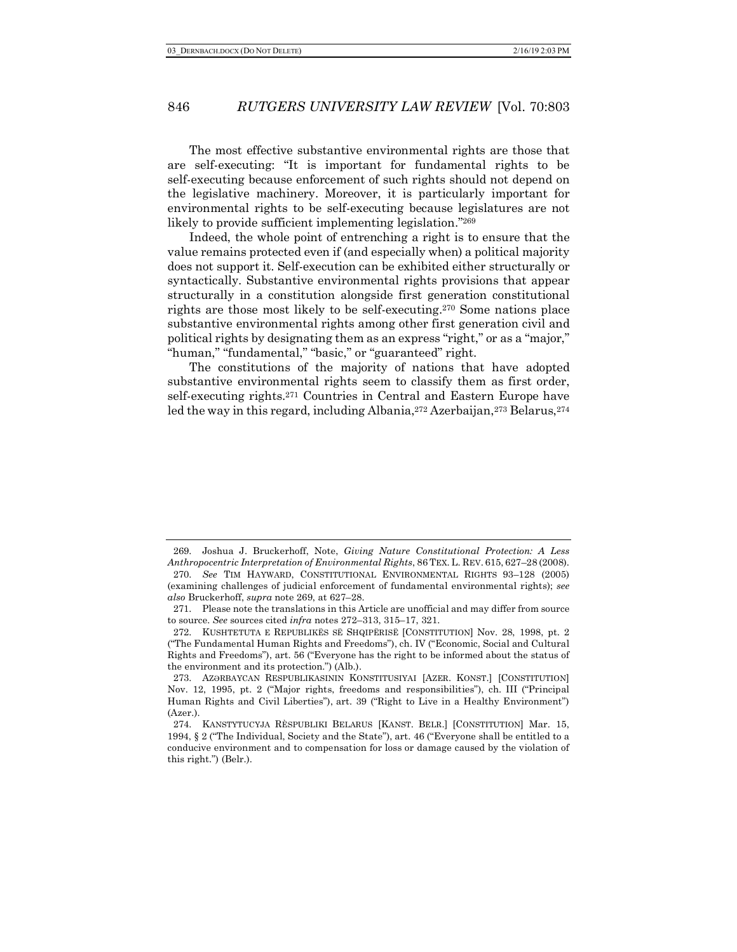The most effective substantive environmental rights are those that are self-executing: "It is important for fundamental rights to be self-executing because enforcement of such rights should not depend on the legislative machinery. Moreover, it is particularly important for environmental rights to be self-executing because legislatures are not likely to provide sufficient implementing legislation."269

Indeed, the whole point of entrenching a right is to ensure that the value remains protected even if (and especially when) a political majority does not support it. Self-execution can be exhibited either structurally or syntactically. Substantive environmental rights provisions that appear structurally in a constitution alongside first generation constitutional rights are those most likely to be self-executing.270 Some nations place substantive environmental rights among other first generation civil and political rights by designating them as an express "right," or as a "major," "human," "fundamental," "basic," or "guaranteed" right.

The constitutions of the majority of nations that have adopted substantive environmental rights seem to classify them as first order, self-executing rights.271 Countries in Central and Eastern Europe have led the way in this regard, including Albania, 272 Azerbaijan, 273 Belarus, 274

<sup>269.</sup> Joshua J. Bruckerhoff, Note, *Giving Nature Constitutional Protection: A Less Anthropocentric Interpretation of Environmental Rights*, 86 TEX. L. REV. 615, 627–28 (2008). 270. *See* TIM HAYWARD, CONSTITUTIONAL ENVIRONMENTAL RIGHTS 93–128 (2005) (examining challenges of judicial enforcement of fundamental environmental rights); *see also* Bruckerhoff, *supra* note 269, at 627–28.

<sup>271.</sup> Please note the translations in this Article are unofficial and may differ from source to source. *See* sources cited *infra* notes 272–313, 315–17, 321.

<sup>272.</sup> KUSHTETUTA E REPUBLIKËS SË SHQIPËRISË [CONSTITUTION] Nov. 28, 1998, pt. 2 ("The Fundamental Human Rights and Freedoms"), ch. IV ("Economic, Social and Cultural Rights and Freedoms"), art. 56 ("Everyone has the right to be informed about the status of the environment and its protection.") (Alb.).

<sup>273.</sup> AZƏRBAYCAN RESPUBLIKASININ KONSTITUSIYAI [AZER. KONST.] [CONSTITUTION] Nov. 12, 1995, pt. 2 ("Major rights, freedoms and responsibilities"), ch. III ("Principal Human Rights and Civil Liberties"), art. 39 ("Right to Live in a Healthy Environment") (Azer.).

<sup>274.</sup> KANSTYTUCYJA RÈSPUBLIKI BELARUS [KANST. BELR.] [CONSTITUTION] Mar. 15, 1994, § 2 ("The Individual, Society and the State"), art. 46 ("Everyone shall be entitled to a conducive environment and to compensation for loss or damage caused by the violation of this right.") (Belr.).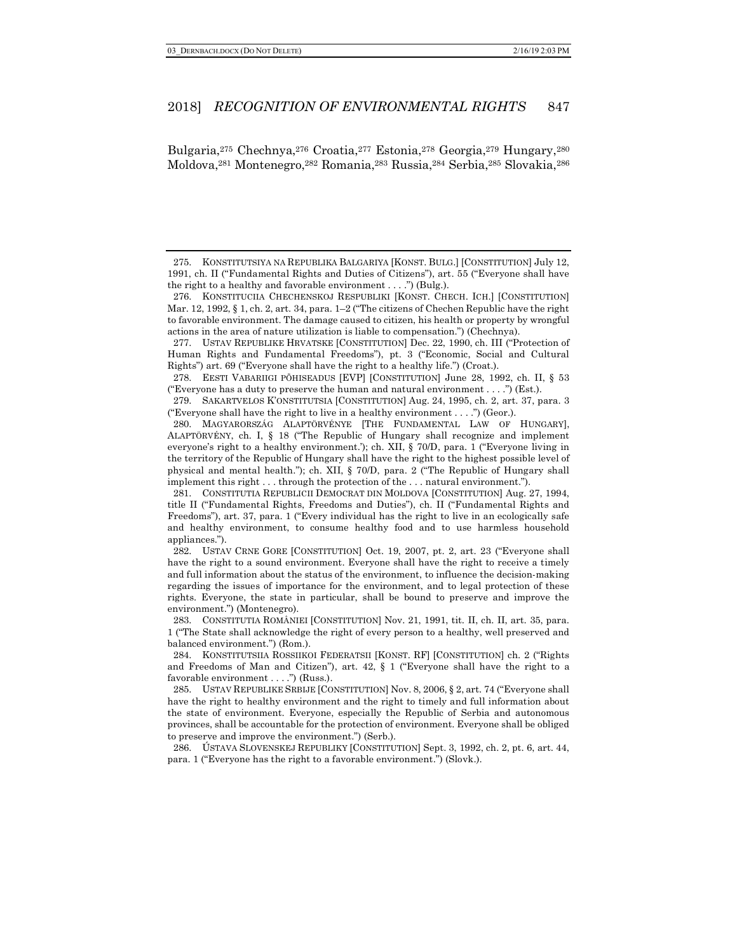Bulgaria,275 Chechnya,276 Croatia,277 Estonia,278 Georgia,279 Hungary,280 Moldova,281 Montenegro,282 Romania,283 Russia,284 Serbia,285 Slovakia,286

277. USTAV REPUBLIKE HRVATSKE [CONSTITUTION] Dec. 22, 1990, ch. III ("Protection of Human Rights and Fundamental Freedoms"), pt. 3 ("Economic, Social and Cultural Rights") art. 69 ("Everyone shall have the right to a healthy life.") (Croat.).

278. EESTI VABARIIGI PÕHISEADUS [EVP] [CONSTITUTION] June 28, 1992, ch. II, § 53 ("Everyone has a duty to preserve the human and natural environment . . . .") (Est.).

279. SAKARTVELOS K'ONSTITUTSIA [CONSTITUTION] Aug. 24, 1995, ch. 2, art. 37, para. 3 ("Everyone shall have the right to live in a healthy environment  $\dots$ ") (Geor.).

280. MAGYARORSZÁG ALAPTÖRVÉNYE [THE FUNDAMENTAL LAW OF HUNGARY], ALAPTÖRVÉNY, ch. I, § 18 ("The Republic of Hungary shall recognize and implement everyone's right to a healthy environment.'); ch. XII, § 70/D, para. 1 ("Everyone living in the territory of the Republic of Hungary shall have the right to the highest possible level of physical and mental health."); ch. XII, § 70/D, para. 2 ("The Republic of Hungary shall implement this right . . . through the protection of the . . . natural environment.").

282. USTAV CRNE GORE [CONSTITUTION] Oct. 19, 2007, pt. 2, art. 23 ("Everyone shall have the right to a sound environment. Everyone shall have the right to receive a timely and full information about the status of the environment, to influence the decision-making regarding the issues of importance for the environment, and to legal protection of these rights. Everyone, the state in particular, shall be bound to preserve and improve the environment.") (Montenegro).

283. CONSTITUTIA ROMÂNIEI [CONSTITUTION] Nov. 21, 1991, tit. II, ch. II, art. 35, para. 1 ("The State shall acknowledge the right of every person to a healthy, well preserved and balanced environment.") (Rom.).

284. KONSTITUTSIIA ROSSIIKOI FEDERATSII [KONST. RF] [CONSTITUTION] ch. 2 ("Rights and Freedoms of Man and Citizen"), art. 42, § 1 ("Everyone shall have the right to a favorable environment . . . .") (Russ.).

286. ÚSTAVA SLOVENSKEJ REPUBLIKY [CONSTITUTION] Sept. 3, 1992, ch. 2, pt. 6, art. 44, para. 1 ("Everyone has the right to a favorable environment.") (Slovk.).

<sup>275.</sup> KONSTITUTSIYA NA REPUBLIKA BALGARIYA [KONST. BULG.] [CONSTITUTION] July 12, 1991, ch. II ("Fundamental Rights and Duties of Citizens"), art. 55 ("Everyone shall have the right to a healthy and favorable environment . . . .") (Bulg.).

<sup>276.</sup> KONSTITUCIIA CHECHENSKOJ RESPUBLIKI [KONST. CHECH. ICH.] [CONSTITUTION] Mar. 12, 1992, § 1, ch. 2, art. 34, para. 1–2 ("The citizens of Chechen Republic have the right to favorable environment. The damage caused to citizen, his health or property by wrongful actions in the area of nature utilization is liable to compensation.") (Chechnya).

<sup>281.</sup> CONSTITUTIA REPUBLICII DEMOCRAT DIN MOLDOVA [CONSTITUTION] Aug. 27, 1994, title II ("Fundamental Rights, Freedoms and Duties"), ch. II ("Fundamental Rights and Freedoms"), art. 37, para. 1 ("Every individual has the right to live in an ecologically safe and healthy environment, to consume healthy food and to use harmless household appliances.").

<sup>285.</sup> USTAV REPUBLIKE SRBIJE [CONSTITUTION] Nov. 8, 2006, § 2, art. 74 ("Everyone shall have the right to healthy environment and the right to timely and full information about the state of environment. Everyone, especially the Republic of Serbia and autonomous provinces, shall be accountable for the protection of environment. Everyone shall be obliged to preserve and improve the environment.") (Serb.).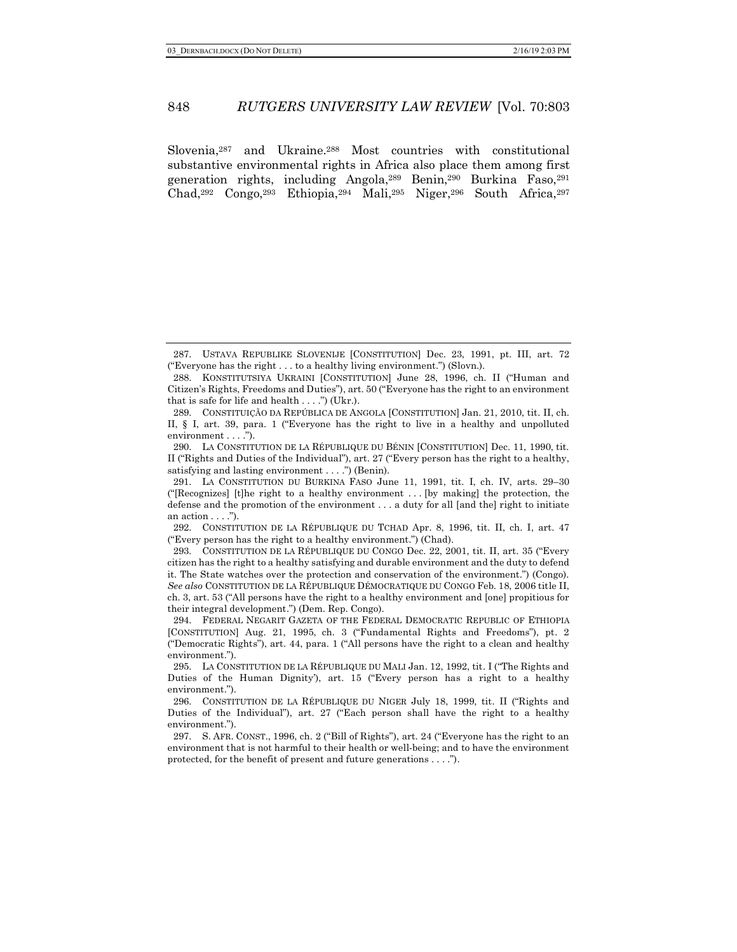Slovenia,287 and Ukraine.288 Most countries with constitutional substantive environmental rights in Africa also place them among first generation rights, including Angola,289 Benin,290 Burkina Faso,291 Chad,292 Congo,293 Ethiopia,294 Mali,295 Niger,296 South Africa,297

<sup>287.</sup> USTAVA REPUBLIKE SLOVENIJE [CONSTITUTION] Dec. 23, 1991, pt. III, art. 72 ("Everyone has the right . . . to a healthy living environment.") (Slovn.).

<sup>288.</sup> KONSTITUTSIYA UKRAINI [CONSTITUTION] June 28, 1996, ch. II ("Human and Citizen's Rights, Freedoms and Duties"), art. 50 ("Everyone has the right to an environment that is safe for life and health  $\dots$ .") (Ukr.).

<sup>289.</sup> CONSTITUIÇÃO DA REPÚBLICA DE ANGOLA [CONSTITUTION] Jan. 21, 2010, tit. II, ch. II, § I, art. 39, para. 1 ("Everyone has the right to live in a healthy and unpolluted environment . . . .").

<sup>290.</sup> LA CONSTITUTION DE LA RÉPUBLIQUE DU BÉNIN [CONSTITUTION] Dec. 11, 1990, tit. II ("Rights and Duties of the Individual"), art. 27 ("Every person has the right to a healthy, satisfying and lasting environment . . . .") (Benin).

<sup>291.</sup> LA CONSTITUTION DU BURKINA FASO June 11, 1991, tit. I, ch. IV, arts. 29–30 ("[Recognizes] [t]he right to a healthy environment . . . [by making] the protection, the defense and the promotion of the environment . . . a duty for all [and the] right to initiate an  $action \ldots$ .").

<sup>292.</sup> CONSTITUTION DE LA RÉPUBLIQUE DU TCHAD Apr. 8, 1996, tit. II, ch. I, art. 47 ("Every person has the right to a healthy environment.") (Chad).

<sup>293.</sup> CONSTITUTION DE LA RÉPUBLIQUE DU CONGO Dec. 22, 2001, tit. II, art. 35 ("Every citizen has the right to a healthy satisfying and durable environment and the duty to defend it. The State watches over the protection and conservation of the environment.") (Congo). *See also* CONSTITUTION DE LA RÉPUBLIQUE DÉMOCRATIQUE DU CONGO Feb. 18, 2006 title II, ch. 3, art. 53 ("All persons have the right to a healthy environment and [one] propitious for their integral development.") (Dem. Rep. Congo).

<sup>294.</sup> FEDERAL NEGARIT GAZETA OF THE FEDERAL DEMOCRATIC REPUBLIC OF ETHIOPIA [CONSTITUTION] Aug. 21, 1995, ch. 3 ("Fundamental Rights and Freedoms"), pt. 2 ("Democratic Rights"), art. 44, para. 1 ("All persons have the right to a clean and healthy environment.").

<sup>295.</sup> LA CONSTITUTION DE LA RÉPUBLIQUE DU MALI Jan. 12, 1992, tit. I ("The Rights and Duties of the Human Dignity'), art. 15 ("Every person has a right to a healthy environment.").

<sup>296.</sup> CONSTITUTION DE LA RÉPUBLIQUE DU NIGER July 18, 1999, tit. II ("Rights and Duties of the Individual"), art. 27 ("Each person shall have the right to a healthy environment.").

<sup>297.</sup> S. AFR. CONST., 1996, ch. 2 ("Bill of Rights"), art. 24 ("Everyone has the right to an environment that is not harmful to their health or well-being; and to have the environment protected, for the benefit of present and future generations . . . .").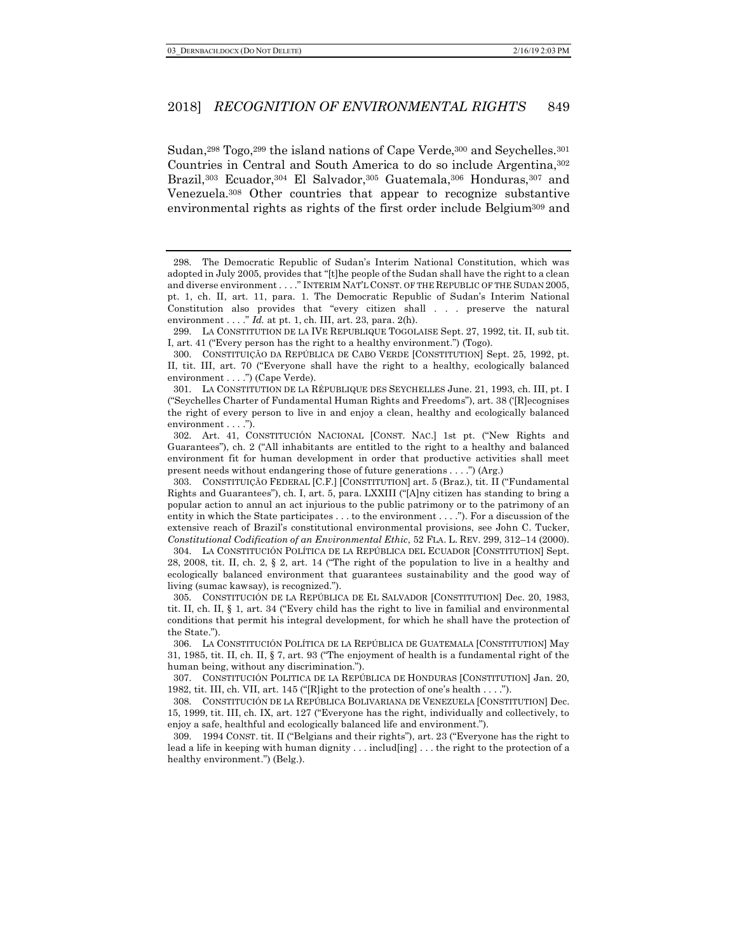Sudan,<sup>298</sup> Togo,<sup>299</sup> the island nations of Cape Verde,<sup>300</sup> and Seychelles.<sup>301</sup> Countries in Central and South America to do so include Argentina,302 Brazil,303 Ecuador,304 El Salvador,305 Guatemala,306 Honduras,307 and Venezuela.308 Other countries that appear to recognize substantive environmental rights as rights of the first order include Belgium309 and

304. LA CONSTITUCIÓN POLÍTICA DE LA REPÚBLICA DEL ECUADOR [CONSTITUTION] Sept. 28, 2008, tit. II, ch. 2, § 2, art. 14 ("The right of the population to live in a healthy and ecologically balanced environment that guarantees sustainability and the good way of living (sumac kawsay), is recognized.").

305. CONSTITUCIÓN DE LA REPÚBLICA DE EL SALVADOR [CONSTITUTION] Dec. 20, 1983, tit. II, ch. II, § 1, art. 34 ("Every child has the right to live in familial and environmental conditions that permit his integral development, for which he shall have the protection of the State.").

306. LA CONSTITUCIÓN POLÍTICA DE LA REPÚBLICA DE GUATEMALA [CONSTITUTION] May 31, 1985, tit. II, ch. II, § 7, art. 93 ("The enjoyment of health is a fundamental right of the human being, without any discrimination.").

308. CONSTITUCIÓN DE LA REPÚBLICA BOLIVARIANA DE VENEZUELA [CONSTITUTION] Dec. 15, 1999, tit. III, ch. IX, art. 127 ("Everyone has the right, individually and collectively, to enjoy a safe, healthful and ecologically balanced life and environment.").

309. 1994 CONST. tit. II ("Belgians and their rights"), art. 23 ("Everyone has the right to lead a life in keeping with human dignity . . . includ[ing] . . . the right to the protection of a healthy environment.") (Belg.).

<sup>298.</sup> The Democratic Republic of Sudan's Interim National Constitution, which was adopted in July 2005, provides that "[t]he people of the Sudan shall have the right to a clean and diverse environment . . . ." INTERIM NAT'L CONST. OF THE REPUBLIC OF THE SUDAN 2005, pt. 1, ch. II, art. 11, para. 1. The Democratic Republic of Sudan's Interim National Constitution also provides that "every citizen shall . . . preserve the natural environment . . . ." *Id.* at pt. 1, ch. III, art. 23, para. 2(h).

<sup>299.</sup> LA CONSTITUTION DE LA IVE REPUBLIQUE TOGOLAISE Sept. 27, 1992, tit. II, sub tit. I, art. 41 ("Every person has the right to a healthy environment.") (Togo).

<sup>300.</sup> CONSTITUIÇÃO DA REPÚBLICA DE CABO VERDE [CONSTITUTION] Sept. 25, 1992, pt. II, tit. III, art. 70 ("Everyone shall have the right to a healthy, ecologically balanced environment . . . .") (Cape Verde).

<sup>301.</sup> LA CONSTITUTION DE LA RÉPUBLIQUE DES SEYCHELLES June. 21, 1993, ch. III, pt. I ("Seychelles Charter of Fundamental Human Rights and Freedoms"), art. 38 ('[R]ecognises the right of every person to live in and enjoy a clean, healthy and ecologically balanced environment . . . .").

<sup>302.</sup> Art. 41, CONSTITUCIÓN NACIONAL [CONST. NAC.] 1st pt. ("New Rights and Guarantees"), ch. 2 ("All inhabitants are entitled to the right to a healthy and balanced environment fit for human development in order that productive activities shall meet present needs without endangering those of future generations . . . .") (Arg.)

<sup>303.</sup> CONSTITUIÇÃO FEDERAL [C.F.] [CONSTITUTION] art. 5 (Braz.), tit. II ("Fundamental Rights and Guarantees"), ch. I, art. 5, para. LXXIII ("[A]ny citizen has standing to bring a popular action to annul an act injurious to the public patrimony or to the patrimony of an entity in which the State participates . . . to the environment . . . ."). For a discussion of the extensive reach of Brazil's constitutional environmental provisions, see John C. Tucker, *Constitutional Codification of an Environmental Ethic*, 52 FLA. L. REV*.* 299, 312–14 (2000).

<sup>307.</sup> CONSTITUCIÓN POLITICA DE LA REPÚBLICA DE HONDURAS [CONSTITUTION] Jan. 20, 1982, tit. III, ch. VII, art. 145 ("[R]ight to the protection of one's health . . . .").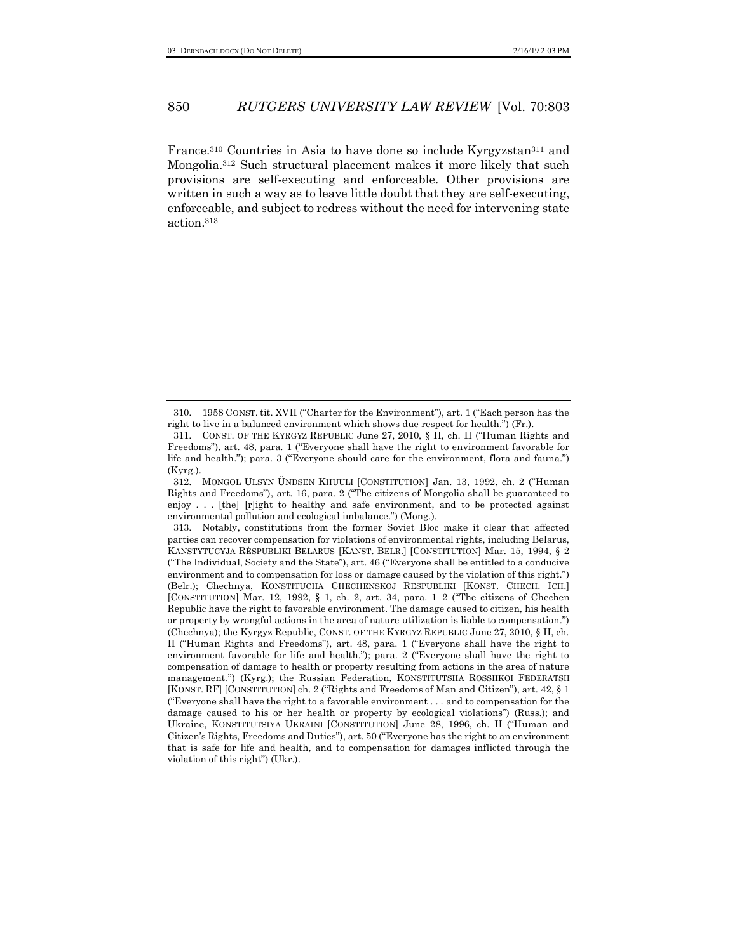France.310 Countries in Asia to have done so include Kyrgyzstan311 and Mongolia.312 Such structural placement makes it more likely that such provisions are self-executing and enforceable. Other provisions are written in such a way as to leave little doubt that they are self-executing, enforceable, and subject to redress without the need for intervening state action.313

<sup>310.</sup> 1958 CONST. tit. XVII ("Charter for the Environment"), art. 1 ("Each person has the right to live in a balanced environment which shows due respect for health.") (Fr.).

<sup>311.</sup> CONST. OF THE KYRGYZ REPUBLIC June 27, 2010, § II, ch. II ("Human Rights and Freedoms"), art. 48, para. 1 ("Everyone shall have the right to environment favorable for life and health."); para. 3 ("Everyone should care for the environment, flora and fauna.") (Kyrg.).

<sup>312.</sup> MONGOL ULSYN ÜNDSEN KHUULI [CONSTITUTION] Jan. 13, 1992, ch. 2 ("Human Rights and Freedoms"), art. 16, para. 2 ("The citizens of Mongolia shall be guaranteed to enjoy . . . [the] [r]ight to healthy and safe environment, and to be protected against environmental pollution and ecological imbalance.") (Mong.).

<sup>313.</sup> Notably, constitutions from the former Soviet Bloc make it clear that affected parties can recover compensation for violations of environmental rights, including Belarus, KANSTYTUCYJA RÈSPUBLIKI BELARUS [KANST. BELR.] [CONSTITUTION] Mar. 15, 1994, § 2 ("The Individual, Society and the State"), art. 46 ("Everyone shall be entitled to a conducive environment and to compensation for loss or damage caused by the violation of this right.") (Belr.); Chechnya, KONSTITUCIIA CHECHENSKOJ RESPUBLIKI [KONST. CHECH. ICH.] [CONSTITUTION] Mar. 12, 1992, § 1, ch. 2, art. 34, para. 1–2 ("The citizens of Chechen Republic have the right to favorable environment. The damage caused to citizen, his health or property by wrongful actions in the area of nature utilization is liable to compensation.") (Chechnya); the Kyrgyz Republic, CONST. OF THE KYRGYZ REPUBLIC June 27, 2010, § II, ch. II ("Human Rights and Freedoms"), art. 48, para. 1 ("Everyone shall have the right to environment favorable for life and health."); para. 2 ("Everyone shall have the right to compensation of damage to health or property resulting from actions in the area of nature management.") (Kyrg.); the Russian Federation, KONSTITUTSIIA ROSSIIKOI FEDERATSII [KONST. RF] [CONSTITUTION] ch. 2 ("Rights and Freedoms of Man and Citizen"), art. 42, § 1 ("Everyone shall have the right to a favorable environment . . . and to compensation for the damage caused to his or her health or property by ecological violations") (Russ.); and Ukraine, KONSTITUTSIYA UKRAINI [CONSTITUTION] June 28, 1996, ch. II ("Human and Citizen's Rights, Freedoms and Duties"), art. 50 ("Everyone has the right to an environment that is safe for life and health, and to compensation for damages inflicted through the violation of this right") (Ukr.).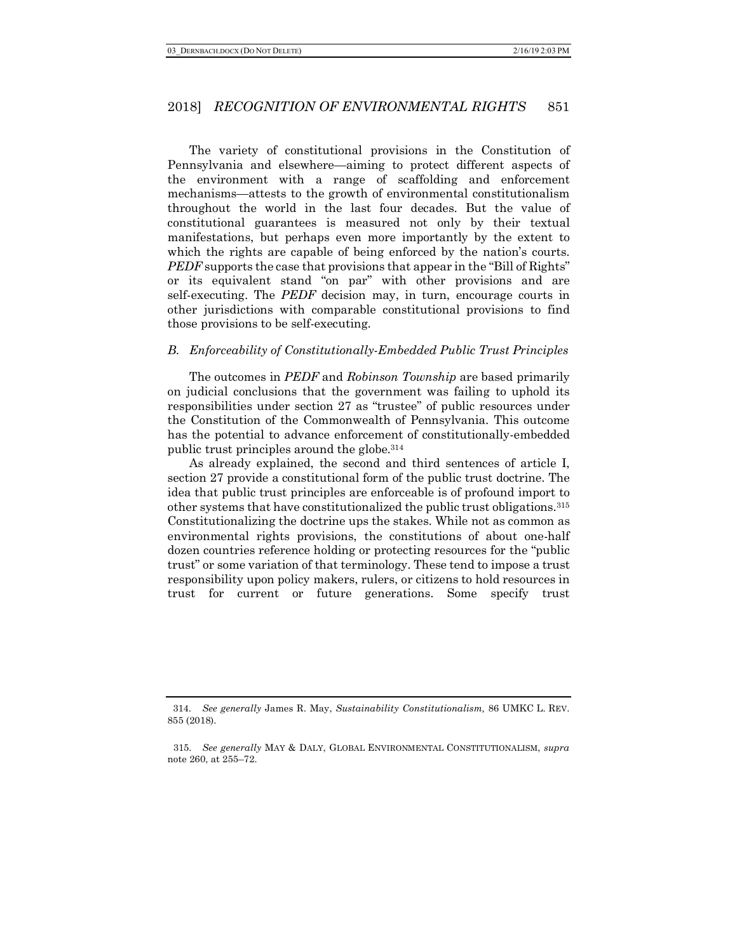The variety of constitutional provisions in the Constitution of Pennsylvania and elsewhere—aiming to protect different aspects of the environment with a range of scaffolding and enforcement mechanisms—attests to the growth of environmental constitutionalism throughout the world in the last four decades. But the value of constitutional guarantees is measured not only by their textual manifestations, but perhaps even more importantly by the extent to which the rights are capable of being enforced by the nation's courts. *PEDF* supports the case that provisions that appear in the "Bill of Rights" or its equivalent stand "on par" with other provisions and are self-executing. The *PEDF* decision may, in turn, encourage courts in other jurisdictions with comparable constitutional provisions to find those provisions to be self-executing.

## *B. Enforceability of Constitutionally-Embedded Public Trust Principles*

The outcomes in *PEDF* and *Robinson Township* are based primarily on judicial conclusions that the government was failing to uphold its responsibilities under section 27 as "trustee" of public resources under the Constitution of the Commonwealth of Pennsylvania. This outcome has the potential to advance enforcement of constitutionally-embedded public trust principles around the globe.314

As already explained, the second and third sentences of article I, section 27 provide a constitutional form of the public trust doctrine. The idea that public trust principles are enforceable is of profound import to other systems that have constitutionalized the public trust obligations.315 Constitutionalizing the doctrine ups the stakes. While not as common as environmental rights provisions, the constitutions of about one-half dozen countries reference holding or protecting resources for the "public trust" or some variation of that terminology. These tend to impose a trust responsibility upon policy makers, rulers, or citizens to hold resources in trust for current or future generations. Some specify trust

<sup>314.</sup> *See generally* James R. May, *Sustainability Constitutionalism,* 86 UMKC L. REV. 855 (2018).

<sup>315.</sup> *See generally* MAY & DALY, GLOBAL ENVIRONMENTAL CONSTITUTIONALISM, *supra*  note 260, at 255–72.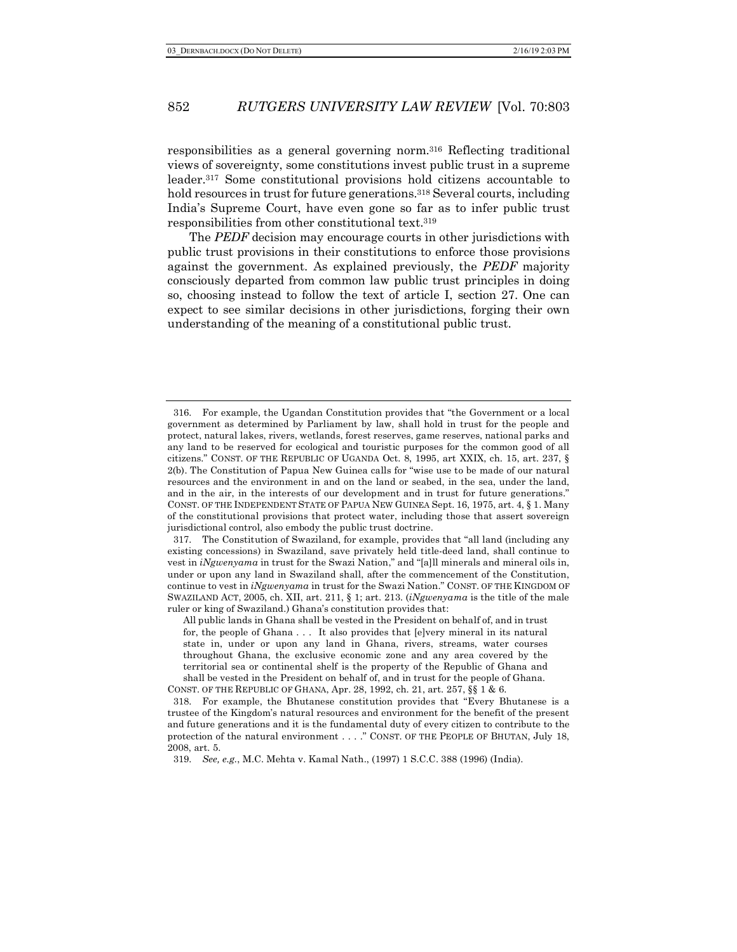responsibilities as a general governing norm.316 Reflecting traditional views of sovereignty, some constitutions invest public trust in a supreme leader.317 Some constitutional provisions hold citizens accountable to hold resources in trust for future generations.<sup>318</sup> Several courts, including India's Supreme Court, have even gone so far as to infer public trust responsibilities from other constitutional text.319

The *PEDF* decision may encourage courts in other jurisdictions with public trust provisions in their constitutions to enforce those provisions against the government. As explained previously, the *PEDF* majority consciously departed from common law public trust principles in doing so, choosing instead to follow the text of article I, section 27. One can expect to see similar decisions in other jurisdictions, forging their own understanding of the meaning of a constitutional public trust.

<sup>316.</sup> For example, the Ugandan Constitution provides that "the Government or a local government as determined by Parliament by law, shall hold in trust for the people and protect, natural lakes, rivers, wetlands, forest reserves, game reserves, national parks and any land to be reserved for ecological and touristic purposes for the common good of all citizens." CONST. OF THE REPUBLIC OF UGANDA Oct. 8, 1995, art XXIX, ch. 15, art. 237, § 2(b). The Constitution of Papua New Guinea calls for "wise use to be made of our natural resources and the environment in and on the land or seabed, in the sea, under the land, and in the air, in the interests of our development and in trust for future generations." CONST. OF THE INDEPENDENT STATE OF PAPUA NEW GUINEA Sept. 16, 1975, art. 4, § 1. Many of the constitutional provisions that protect water, including those that assert sovereign jurisdictional control, also embody the public trust doctrine.

<sup>317.</sup> The Constitution of Swaziland, for example, provides that "all land (including any existing concessions) in Swaziland, save privately held title-deed land, shall continue to vest in *iNgwenyama* in trust for the Swazi Nation," and "[a]ll minerals and mineral oils in, under or upon any land in Swaziland shall, after the commencement of the Constitution, continue to vest in *iNgwenyama* in trust for the Swazi Nation." CONST. OF THE KINGDOM OF SWAZILAND ACT, 2005, ch. XII, art. 211, § 1; art. 213. (*iNgwenyama* is the title of the male ruler or king of Swaziland.) Ghana's constitution provides that:

All public lands in Ghana shall be vested in the President on behalf of, and in trust for, the people of Ghana . . . It also provides that [e]very mineral in its natural state in, under or upon any land in Ghana, rivers, streams, water courses throughout Ghana, the exclusive economic zone and any area covered by the territorial sea or continental shelf is the property of the Republic of Ghana and shall be vested in the President on behalf of, and in trust for the people of Ghana.

CONST. OF THE REPUBLIC OF GHANA, Apr. 28, 1992, ch. 21, art. 257, §§ 1 & 6.

<sup>318.</sup> For example, the Bhutanese constitution provides that "Every Bhutanese is a trustee of the Kingdom's natural resources and environment for the benefit of the present and future generations and it is the fundamental duty of every citizen to contribute to the protection of the natural environment . . . ." CONST. OF THE PEOPLE OF BHUTAN, July 18, 2008, art. 5.

<sup>319.</sup> *See, e.g.*, M.C. Mehta v. Kamal Nath., (1997) 1 S.C.C. 388 (1996) (India).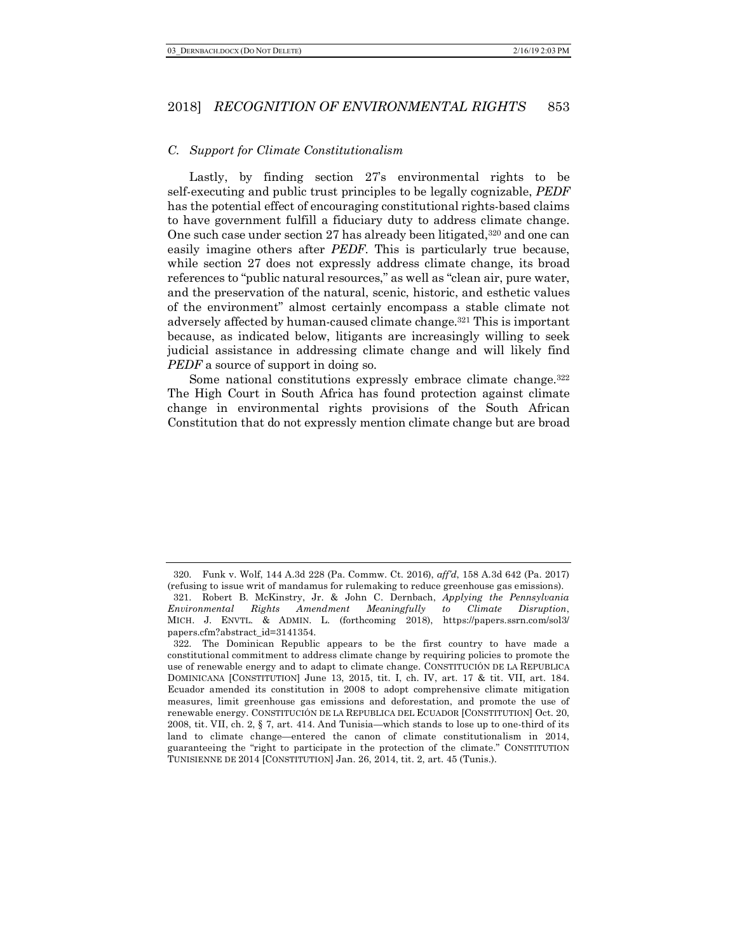#### *C. Support for Climate Constitutionalism*

Lastly, by finding section 27's environmental rights to be self-executing and public trust principles to be legally cognizable, *PEDF*  has the potential effect of encouraging constitutional rights-based claims to have government fulfill a fiduciary duty to address climate change. One such case under section 27 has already been litigated,320 and one can easily imagine others after *PEDF*. This is particularly true because, while section 27 does not expressly address climate change, its broad references to "public natural resources," as well as "clean air, pure water, and the preservation of the natural, scenic, historic, and esthetic values of the environment" almost certainly encompass a stable climate not adversely affected by human-caused climate change.321 This is important because, as indicated below, litigants are increasingly willing to seek judicial assistance in addressing climate change and will likely find *PEDF* a source of support in doing so.

Some national constitutions expressly embrace climate change.<sup>322</sup> The High Court in South Africa has found protection against climate change in environmental rights provisions of the South African Constitution that do not expressly mention climate change but are broad

<sup>320.</sup> Funk v. Wolf, 144 A.3d 228 (Pa. Commw. Ct. 2016), *aff'd*, 158 A.3d 642 (Pa. 2017) (refusing to issue writ of mandamus for rulemaking to reduce greenhouse gas emissions). 321. Robert B. McKinstry, Jr. & John C. Dernbach, *Applying the Pennsylvania Environmental Rights Amendment Meaningfully to Climate Disruption*, MICH. J. ENVTL. & ADMIN. L. (forthcoming 2018), https://papers.ssrn.com/sol3/ papers.cfm?abstract\_id=3141354.

<sup>322.</sup> The Dominican Republic appears to be the first country to have made a constitutional commitment to address climate change by requiring policies to promote the use of renewable energy and to adapt to climate change. CONSTITUCIÓN DE LA REPUBLICA DOMINICANA [CONSTITUTION] June 13, 2015, tit. I, ch. IV, art. 17 & tit. VII, art. 184. Ecuador amended its constitution in 2008 to adopt comprehensive climate mitigation measures, limit greenhouse gas emissions and deforestation, and promote the use of renewable energy. CONSTITUCIÓN DE LA REPUBLICA DEL ECUADOR [CONSTITUTION] Oct. 20, 2008, tit. VII, ch. 2, § 7, art. 414. And Tunisia—which stands to lose up to one-third of its land to climate change—entered the canon of climate constitutionalism in 2014, guaranteeing the "right to participate in the protection of the climate." CONSTITUTION TUNISIENNE DE 2014 [CONSTITUTION] Jan. 26, 2014, tit. 2, art. 45 (Tunis.).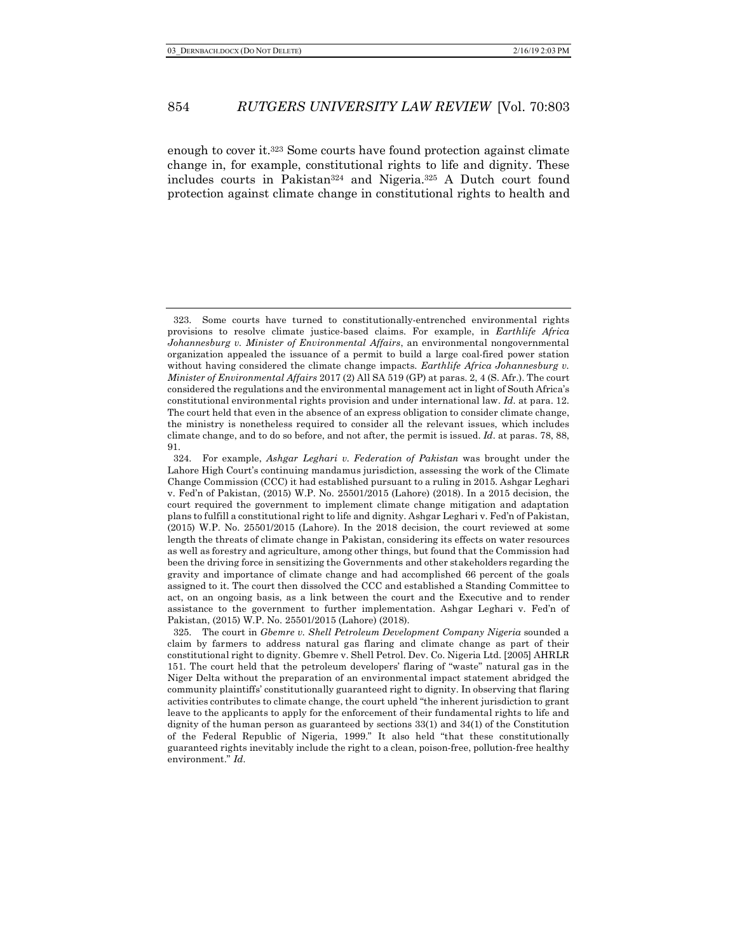enough to cover it.323 Some courts have found protection against climate change in, for example, constitutional rights to life and dignity. These includes courts in Pakistan324 and Nigeria.325 A Dutch court found protection against climate change in constitutional rights to health and

<sup>323.</sup> Some courts have turned to constitutionally-entrenched environmental rights provisions to resolve climate justice-based claims. For example, in *Earthlife Africa Johannesburg v. Minister of Environmental Affairs*, an environmental nongovernmental organization appealed the issuance of a permit to build a large coal-fired power station without having considered the climate change impacts. *Earthlife Africa Johannesburg v. Minister of Environmental Affairs* 2017 (2) All SA 519 (GP) at paras. 2, 4 (S. Afr.). The court considered the regulations and the environmental management act in light of South Africa's constitutional environmental rights provision and under international law. *Id.* at para. 12. The court held that even in the absence of an express obligation to consider climate change, the ministry is nonetheless required to consider all the relevant issues, which includes climate change, and to do so before, and not after, the permit is issued. *Id.* at paras. 78, 88, 91.

<sup>324.</sup> For example, *Ashgar Leghari v. Federation of Pakistan* was brought under the Lahore High Court's continuing mandamus jurisdiction, assessing the work of the Climate Change Commission (CCC) it had established pursuant to a ruling in 2015. Ashgar Leghari v. Fed'n of Pakistan, (2015) W.P. No. 25501/2015 (Lahore) (2018). In a 2015 decision, the court required the government to implement climate change mitigation and adaptation plans to fulfill a constitutional right to life and dignity. Ashgar Leghari v. Fed'n of Pakistan, (2015) W.P. No. 25501/2015 (Lahore). In the 2018 decision, the court reviewed at some length the threats of climate change in Pakistan, considering its effects on water resources as well as forestry and agriculture, among other things, but found that the Commission had been the driving force in sensitizing the Governments and other stakeholders regarding the gravity and importance of climate change and had accomplished 66 percent of the goals assigned to it. The court then dissolved the CCC and established a Standing Committee to act, on an ongoing basis, as a link between the court and the Executive and to render assistance to the government to further implementation. Ashgar Leghari v. Fed'n of Pakistan, (2015) W.P. No. 25501/2015 (Lahore) (2018).

<sup>325.</sup> The court in *Gbemre v. Shell Petroleum Development Company Nigeria* sounded a claim by farmers to address natural gas flaring and climate change as part of their constitutional right to dignity. Gbemre v. Shell Petrol. Dev. Co. Nigeria Ltd. [2005] AHRLR 151. The court held that the petroleum developers' flaring of "waste" natural gas in the Niger Delta without the preparation of an environmental impact statement abridged the community plaintiffs' constitutionally guaranteed right to dignity. In observing that flaring activities contributes to climate change, the court upheld "the inherent jurisdiction to grant leave to the applicants to apply for the enforcement of their fundamental rights to life and dignity of the human person as guaranteed by sections 33(1) and 34(1) of the Constitution of the Federal Republic of Nigeria, 1999." It also held "that these constitutionally guaranteed rights inevitably include the right to a clean, poison-free, pollution-free healthy environment." *Id.*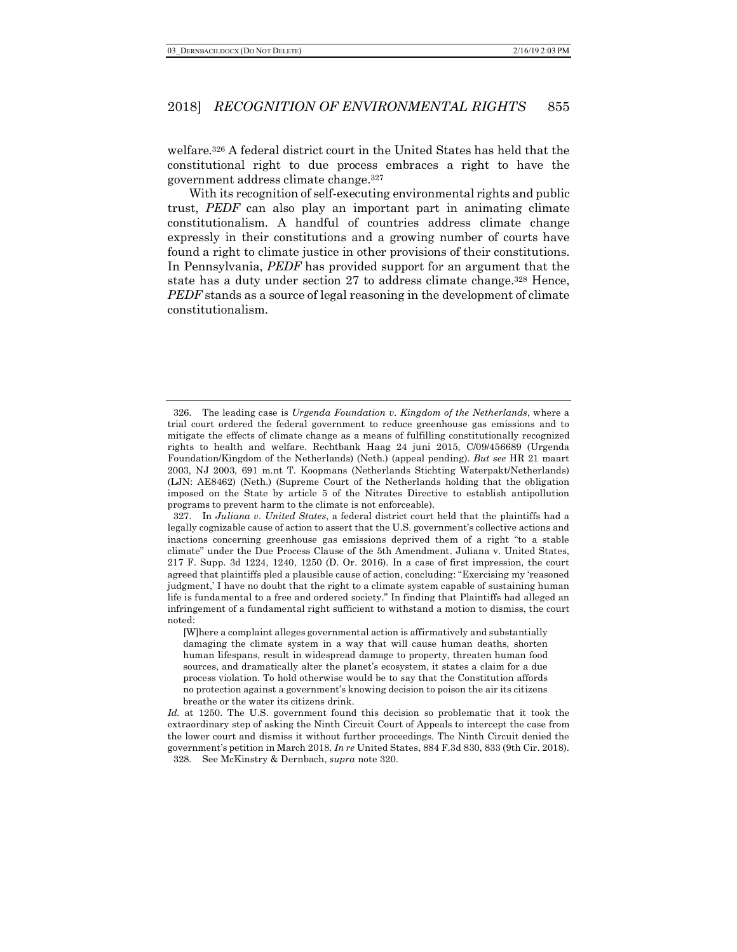welfare.326 A federal district court in the United States has held that the constitutional right to due process embraces a right to have the government address climate change.327

With its recognition of self-executing environmental rights and public trust, *PEDF* can also play an important part in animating climate constitutionalism. A handful of countries address climate change expressly in their constitutions and a growing number of courts have found a right to climate justice in other provisions of their constitutions. In Pennsylvania, *PEDF* has provided support for an argument that the state has a duty under section 27 to address climate change.328 Hence, *PEDF* stands as a source of legal reasoning in the development of climate constitutionalism.

<sup>326.</sup> The leading case is *Urgenda Foundation v. Kingdom of the Netherlands*, where a trial court ordered the federal government to reduce greenhouse gas emissions and to mitigate the effects of climate change as a means of fulfilling constitutionally recognized rights to health and welfare. Rechtbank Haag 24 juni 2015, C/09/456689 (Urgenda Foundation/Kingdom of the Netherlands) (Neth.) (appeal pending). *But see* HR 21 maart 2003, NJ 2003, 691 m.nt T. Koopmans (Netherlands Stichting Waterpakt/Netherlands) (LJN: AE8462) (Neth.) (Supreme Court of the Netherlands holding that the obligation imposed on the State by article 5 of the Nitrates Directive to establish antipollution programs to prevent harm to the climate is not enforceable).

<sup>327.</sup> In *Juliana v. United States*, a federal district court held that the plaintiffs had a legally cognizable cause of action to assert that the U.S. government's collective actions and inactions concerning greenhouse gas emissions deprived them of a right "to a stable climate" under the Due Process Clause of the 5th Amendment. Juliana v. United States, 217 F. Supp. 3d 1224, 1240, 1250 (D. Or. 2016). In a case of first impression, the court agreed that plaintiffs pled a plausible cause of action, concluding: "Exercising my 'reasoned judgment,' I have no doubt that the right to a climate system capable of sustaining human life is fundamental to a free and ordered society." In finding that Plaintiffs had alleged an infringement of a fundamental right sufficient to withstand a motion to dismiss, the court noted:

<sup>[</sup>W]here a complaint alleges governmental action is affirmatively and substantially damaging the climate system in a way that will cause human deaths, shorten human lifespans, result in widespread damage to property, threaten human food sources, and dramatically alter the planet's ecosystem, it states a claim for a due process violation. To hold otherwise would be to say that the Constitution affords no protection against a government's knowing decision to poison the air its citizens breathe or the water its citizens drink.

*Id.* at 1250. The U.S. government found this decision so problematic that it took the extraordinary step of asking the Ninth Circuit Court of Appeals to intercept the case from the lower court and dismiss it without further proceedings. The Ninth Circuit denied the government's petition in March 2018. *In re* United States, 884 F.3d 830, 833 (9th Cir. 2018). 328. See McKinstry & Dernbach, *supra* note 320.